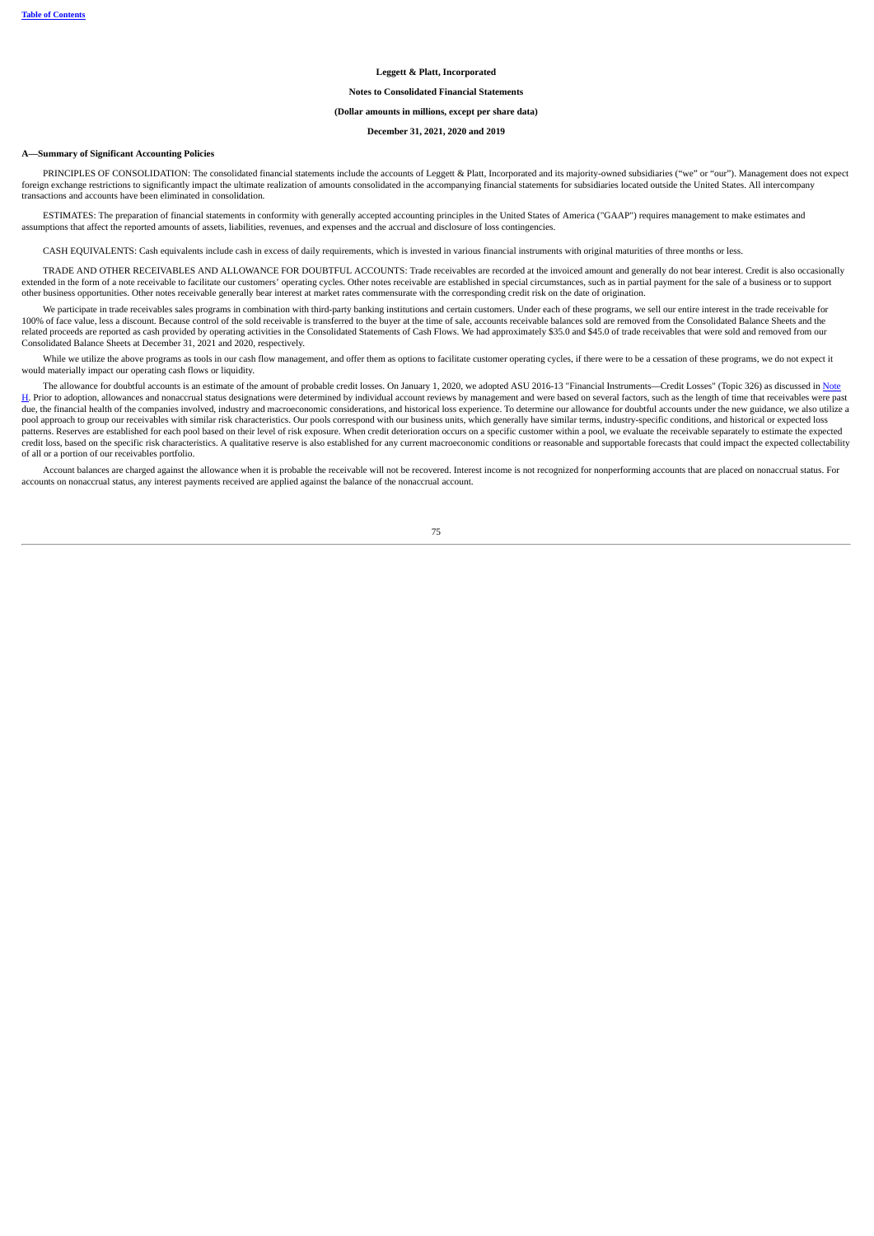#### **Leggett & Platt, Incorporated**

### **Notes to Consolidated Financial Statements**

#### **(Dollar amounts in millions, except per share data)**

**December 31, 2021, 2020 and 2019**

### **A—Summary of Significant Accounting Policies**

PRINCIPLES OF CONSOLIDATION: The consolidated financial statements include the accounts of Leggett & Platt, Incorporated and its majority-owned subsidiaries ("we" or "our"). Management does not expect foreign exchange restrictions to significantly impact the ultimate realization of amounts consolidated in the accompanying financial statements for subsidiaries located outside the United States. All intercompany transactions and accounts have been eliminated in consolidation.

ESTIMATES: The preparation of financial statements in conformity with generally accepted accounting principles in the United States of America ("GAAP") requires management to make estimates and assumptions that affect the reported amounts of assets, liabilities, revenues, and expenses and the accrual and disclosure of loss contingencies.

CASH EQUIVALENTS: Cash equivalents include cash in excess of daily requirements, which is invested in various financial instruments with original maturities of three months or less.

TRADE AND OTHER RECEIVABLES AND ALLOWANCE FOR DOUBTFUL ACCOUNTS: Trade receivables are recorded at the invoiced amount and generally do not bear interest. Credit is also occasionally extended in the form of a note receivable to facilitate our customers' operating cycles. Other notes receivable are established in special circumstances, such as in partial payment for the sale of a business or to support<br>

We participate in trade receivables sales programs in combination with third-party banking institutions and certain customers. Under each of these programs, we sell our entire interest in the trade receivable for 100% of face value, less a discount. Because control of the sold receivable is transferred to the buyer at the time of sale, accounts receivable balances sold are removed from the Consolidated Balance Sheets and the related proceeds are reported as cash provided by operating activities in the Consolidated Statements of Cash Flows. We had approximately \$35.0 and \$45.0 of trade receivables that were sold and removed from our Consolidated Balance Sheets at December 31, 2021 and 2020, respectively.

While we utilize the above programs as tools in our cash flow management, and offer them as options to facilitate customer operating cycles, if there were to be a cessation of these programs, we do not expect it would materially impact our operating cash flows or liquidity.

The allowance for doubtful accounts is an estimate of the amount of probable credit losses. On January 1, 2020, we adopted ASU 2016-13 "Financial Instruments—Credit Losses" (Topic 326) as discussed in Note H. Prior to adoption, allowances and nonaccrual status designations were determined by individual account reviews by management and were based on several factors, such as the length of time that receivables were past due, the financial health of the companies involved, industry and macroeconomic considerations, and historical loss experience. To determine our allowance for doubtful accounts under the new guidance, we also utilize a dis pool approach to group our receivables with similar risk characteristics. Our pools correspond with our business units, which generally have similar terms, industry-specific conditions, and historical or expected loss patterns. Reserves are established for each pool based on their level of risk exposure. When credit deterioration occurs on a specific customer within a pool, we evaluate the receivable separately to estimate the expected credit loss, based on the specific risk characteristics. A qualitative reserve is also established for any current macroeconomic conditions or reasonable and supportable forecasts that could impact the expected collectabil of all or a portion of our receivables portfolio.

Account balances are charged against the allowance when it is probable the receivable will not be recovered. Interest income is not recognized for nonperforming accounts that are placed on nonaccrual status. For accounts on nonaccrual status, any interest payments received are applied against the balance of the nonaccrual account.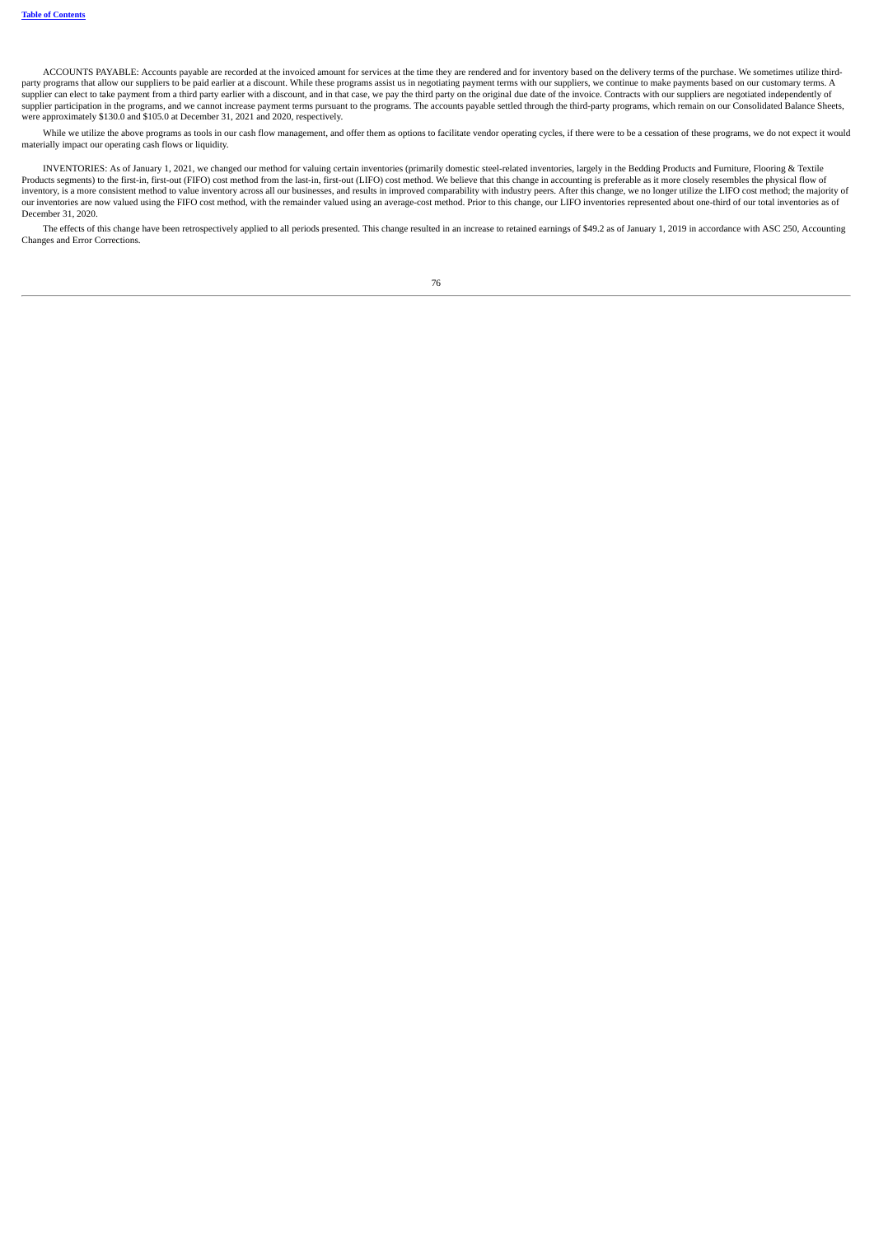ACCOUNTS PAYABLE: Accounts payable are recorded at the invoiced amount for services at the time they are rendered and for inventory based on the delivery terms of the purchase. We sometimes utilize thirdparty programs that allow our suppliers to be paid earlier at a discount. While these programs assist us in negotiating payment terms with our suppliers, we continue to make payments based on our customary terms. A<br>supplie supplier participation in the programs, and we cannot increase payment terms pursuant to the programs. The accounts payable settled through the third-party programs, which remain on our Consolidated Balance Sheets,<br>were ap

While we utilize the above programs as tools in our cash flow management, and offer them as options to facilitate vendor operating cycles, if there were to be a cessation of these programs, we do not expect it would materially impact our operating cash flows or liquidity.

INVENTORIES: As of January 1, 2021, we changed our method for valuing certain inventories (primarily domestic steel-related inventories, largely in the Bedding Products and Furniture, Flooring & Textile Products segments) to the first-in, first-out (FIFO) cost method from the last-in, first-out (LIFO) cost method. We believe that this change in accounting is preferable as it more closely resembles the physical flow of inventory, is a more consistent method to value inventory across all our businesses, and results in improved comparability with industry peers. After this change, we no longer utilize the LIFO cost method; the majority of<br> December 31, 2020.

The effects of this change have been retrospectively applied to all periods presented. This change resulted in an increase to retained earnings of \$49.2 as of January 1, 2019 in accordance with ASC 250, Accounting Changes and Error Corrections.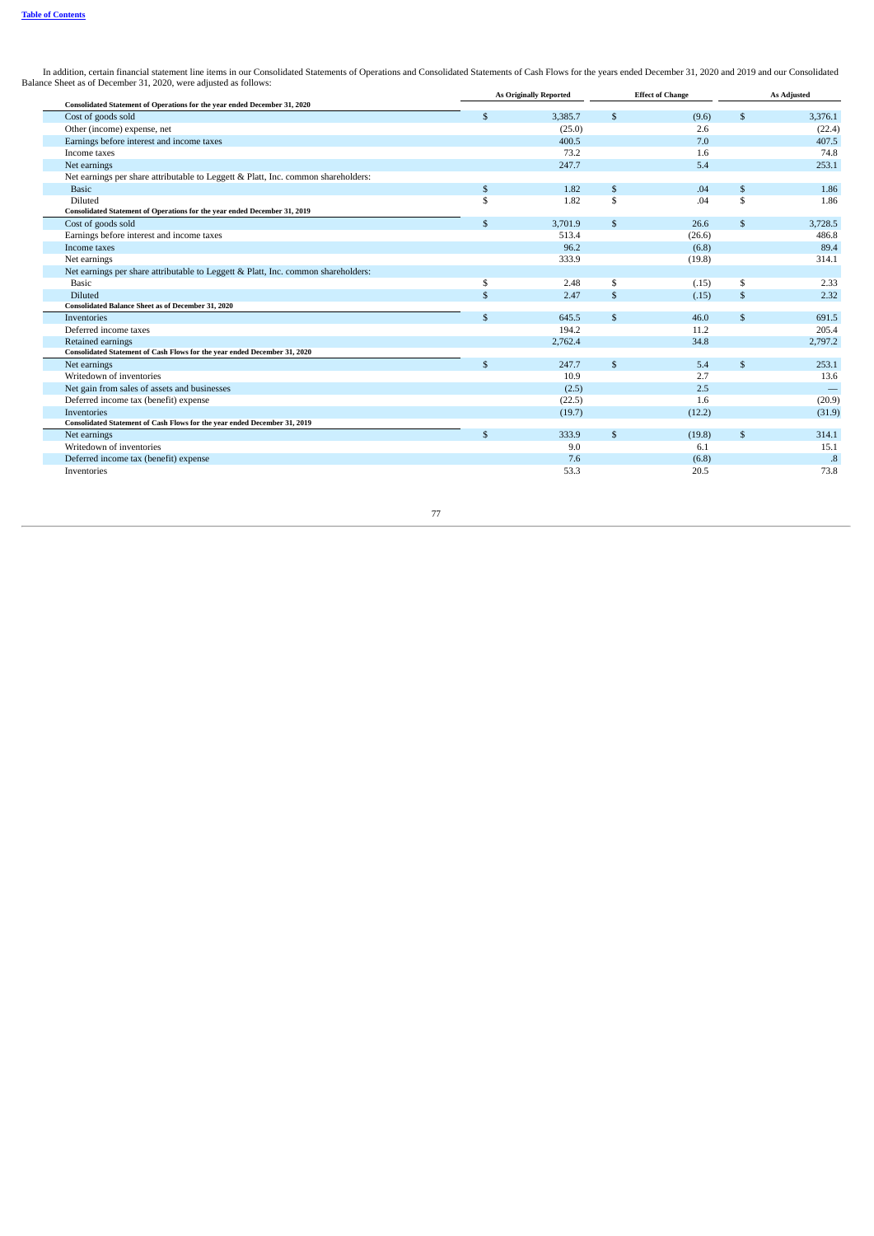In addition, certain financial statement line items in our Consolidated Statements of Operations and Consolidated Statements of Cash Flows for the years ended December 31, 2020 and 2019 and our Consolidated Balance Sheet a

| Consolidated Statement of Operations for the year ended December 31, 2020         |                    | <b>As Originally Reported</b> |                | <b>Effect of Change</b> |                | <b>As Adjusted</b> |
|-----------------------------------------------------------------------------------|--------------------|-------------------------------|----------------|-------------------------|----------------|--------------------|
| Cost of goods sold                                                                | \$                 | 3,385.7                       | $\mathfrak{s}$ | (9.6)                   | $\mathfrak{S}$ | 3,376.1            |
| Other (income) expense, net                                                       |                    | (25.0)                        |                | 2.6                     |                | (22.4)             |
| Earnings before interest and income taxes                                         |                    | 400.5                         |                | 7.0                     |                | 407.5              |
| Income taxes                                                                      |                    | 73.2                          |                | 1.6                     |                | 74.8               |
| Net earnings                                                                      |                    | 247.7                         |                | 5.4                     |                | 253.1              |
| Net earnings per share attributable to Leggett & Platt, Inc. common shareholders: |                    |                               |                |                         |                |                    |
| <b>Basic</b>                                                                      | \$                 | 1.82                          | \$             | .04                     | \$             | 1.86               |
| Diluted                                                                           | \$                 | 1.82                          | \$             | .04                     | \$             | 1.86               |
| Consolidated Statement of Operations for the year ended December 31, 2019         |                    |                               |                |                         |                |                    |
| Cost of goods sold                                                                | \$                 | 3,701.9                       | $\mathfrak{S}$ | 26.6                    | \$             | 3,728.5            |
| Earnings before interest and income taxes                                         |                    | 513.4                         |                | (26.6)                  |                | 486.8              |
| Income taxes                                                                      |                    | 96.2                          |                | (6.8)                   |                | 89.4               |
| Net earnings                                                                      |                    | 333.9                         |                | (19.8)                  |                | 314.1              |
| Net earnings per share attributable to Leggett & Platt, Inc. common shareholders: |                    |                               |                |                         |                |                    |
| <b>Basic</b>                                                                      | \$                 | 2.48                          | \$             | (.15)                   | \$             | 2.33               |
| Diluted                                                                           | $\mathbf{\hat{s}}$ | 2.47                          | $\mathfrak{S}$ | (.15)                   | \$             | 2.32               |
| <b>Consolidated Balance Sheet as of December 31, 2020</b>                         |                    |                               |                |                         |                |                    |
| Inventories                                                                       | \$                 | 645.5                         | $\mathfrak{S}$ | 46.0                    | $\mathfrak{F}$ | 691.5              |
| Deferred income taxes                                                             |                    | 194.2                         |                | 11.2                    |                | 205.4              |
| Retained earnings                                                                 |                    | 2,762.4                       |                | 34.8                    |                | 2,797.2            |
| Consolidated Statement of Cash Flows for the year ended December 31, 2020         |                    |                               |                |                         |                |                    |
| Net earnings                                                                      | \$                 | 247.7                         | $\mathfrak{S}$ | 5.4                     | \$             | 253.1              |
| Writedown of inventories                                                          |                    | 10.9                          |                | 2.7                     |                | 13.6               |
| Net gain from sales of assets and businesses                                      |                    | (2.5)                         |                | 2.5                     |                |                    |
| Deferred income tax (benefit) expense                                             |                    | (22.5)                        |                | 1.6                     |                | (20.9)             |
| Inventories                                                                       |                    | (19.7)                        |                | (12.2)                  |                | (31.9)             |
| Consolidated Statement of Cash Flows for the year ended December 31, 2019         |                    |                               |                |                         |                |                    |
| Net earnings                                                                      | $\mathbf{\hat{s}}$ | 333.9                         | $\mathfrak{S}$ | (19.8)                  | \$             | 314.1              |
| Writedown of inventories                                                          |                    | 9.0                           |                | 6.1                     |                | 15.1               |
| Deferred income tax (benefit) expense                                             |                    | 7.6                           |                | (6.8)                   |                | $\boldsymbol{.8}$  |
| Inventories                                                                       |                    | 53.3                          |                | 20.5                    |                | 73.8               |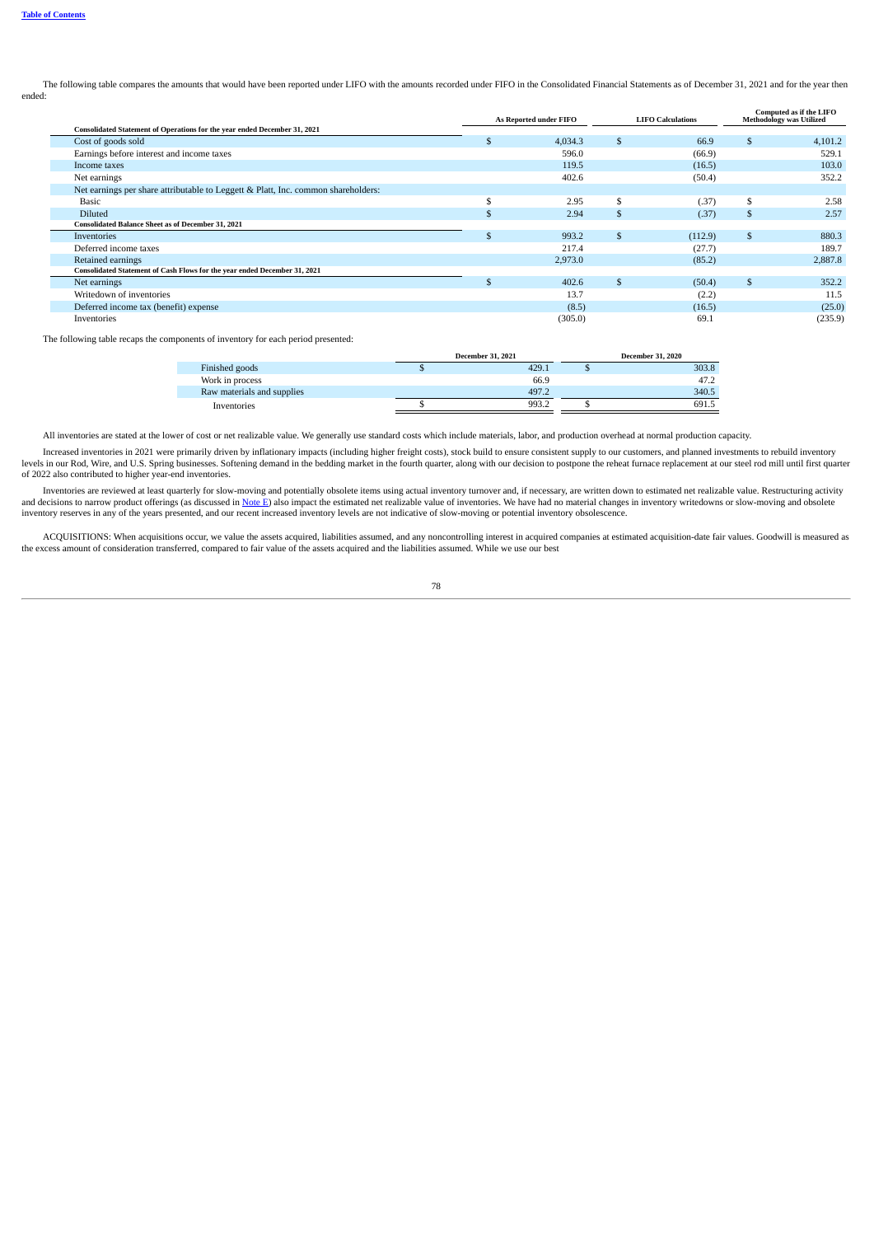The following table compares the amounts that would have been reported under LIFO with the amounts recorded under FIFO in the Consolidated Financial Statements as of December 31, 2021 and for the year then ended:

|                                                                                   |    | As Reported under FIFO | <b>LIFO Calculations</b> |         | Computed as if the LIFO<br><b>Methodology was Utilized</b> |         |
|-----------------------------------------------------------------------------------|----|------------------------|--------------------------|---------|------------------------------------------------------------|---------|
| Consolidated Statement of Operations for the year ended December 31, 2021         |    |                        |                          |         |                                                            |         |
| Cost of goods sold                                                                |    | 4,034.3                | $\mathbb{S}$             | 66.9    | \$                                                         | 4,101.2 |
| Earnings before interest and income taxes                                         |    | 596.0                  |                          | (66.9)  |                                                            | 529.1   |
| Income taxes                                                                      |    | 119.5                  |                          | (16.5)  |                                                            | 103.0   |
| Net earnings                                                                      |    | 402.6                  |                          | (50.4)  |                                                            | 352.2   |
| Net earnings per share attributable to Leggett & Platt, Inc. common shareholders: |    |                        |                          |         |                                                            |         |
| Basic                                                                             |    | 2.95                   | Эħ                       | (.37)   | \$                                                         | 2.58    |
| <b>Diluted</b>                                                                    |    | 2.94                   | \$                       | (.37)   | $\mathfrak{S}$                                             | 2.57    |
| Consolidated Balance Sheet as of December 31, 2021                                |    |                        |                          |         |                                                            |         |
| Inventories                                                                       | .S | 993.2                  | $\mathbb{S}$             | (112.9) | $\mathbb{S}$                                               | 880.3   |
| Deferred income taxes                                                             |    | 217.4                  |                          | (27.7)  |                                                            | 189.7   |
| Retained earnings                                                                 |    | 2,973.0                |                          | (85.2)  |                                                            | 2,887.8 |
| Consolidated Statement of Cash Flows for the year ended December 31, 2021         |    |                        |                          |         |                                                            |         |
| Net earnings                                                                      |    | 402.6                  | $\mathbb{S}$             | (50.4)  | $\mathfrak{S}$                                             | 352.2   |
| Writedown of inventories                                                          |    | 13.7                   |                          | (2.2)   |                                                            | 11.5    |
| Deferred income tax (benefit) expense                                             |    | (8.5)                  |                          | (16.5)  |                                                            | (25.0)  |
| Inventories                                                                       |    | (305.0)                |                          | 69.1    |                                                            | (235.9) |

The following table recaps the components of inventory for each period presented:

|                            | <b>December 31, 2021</b> | <b>December 31, 2020</b> |
|----------------------------|--------------------------|--------------------------|
| Finished goods             | 429.1                    | 303.8                    |
| Work in process            | 66.9                     | 47.2                     |
| Raw materials and supplies | 497.2                    | 340.5                    |
| Inventories                | 993.2                    | 691.5                    |

All inventories are stated at the lower of cost or net realizable value. We generally use standard costs which include materials, labor, and production overhead at normal production capacity.

Increased inventories in 2021 were primarily driven by inflationary impacts (including higher freight costs), stock build to ensure consistent supply to our customers, and planned investments to rebuild inventory levels in our Rod, Wire, and U.S. Spring businesses. Softening demand in the bedding market in the fourth quarter, along with our decision to postpone the reheat furnace replacement at our steel rod mill until first quarte

Inventories are reviewed at least quarterly for slow-moving and potentially obsolete items using actual inventory turnover and, if necessary, are written down to estimated net realizable value. Restructuring activity and decisions to narrow product offerings (as discussed in Note E) also impact the estimated net realizable value of inventories. We have had no material changes in inventory writedowns or slow-moving and obsolete inventory reserves in any of the years presented, and our recent increased inventory levels are not indicative of slow-moving or potential inventory obsolescence.

ACQUISITIONS: When acquisitions occur, we value the assets acquired, liabilities assumed, and any noncontrolling interest in acquired companies at estimated acquisition-date fair values. Goodwill is measured as<br>the excess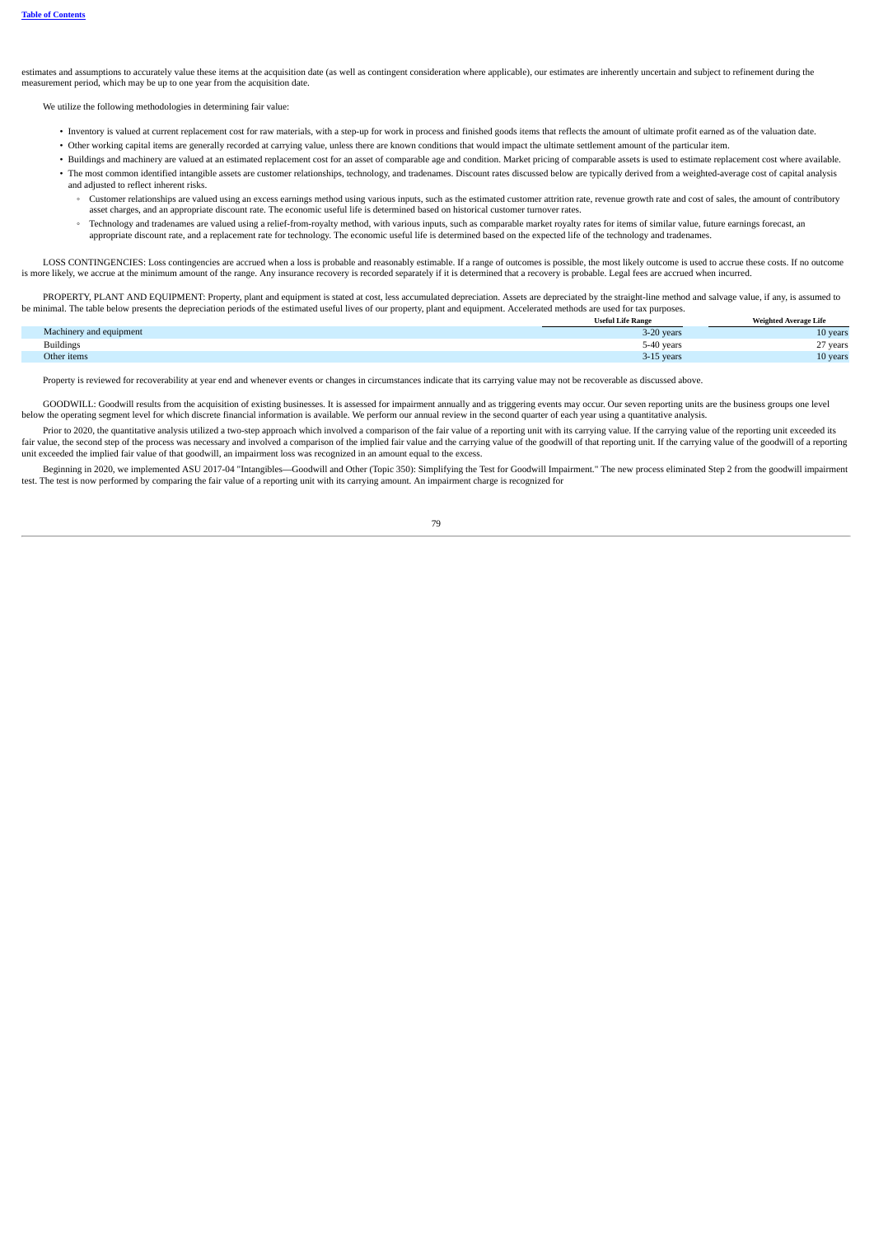estimates and assumptions to accurately value these items at the acquisition date (as well as contingent consideration where applicable), our estimates are inherently uncertain and subject to refinement during the measurement period, which may be up to one year from the acquisition date.

We utilize the following methodologies in determining fair value:

- Inventory is valued at current replacement cost for raw materials, with a step-up for work in process and finished goods items that reflects the amount of ultimate profit earned as of the valuation date.
- Other working capital items are generally recorded at carrying value, unless there are known conditions that would impact the ultimate settlement amount of the particular item.
- Buildings and machinery are valued at an estimated replacement cost for an asset of comparable age and condition. Market pricing of comparable assets is used to estimate replacement cost where available.
- The most common identified intangible assets are customer relationships, technology, and tradenames. Discount rates discussed below are typically derived from a weighted-average cost of capital analysis and adjusted to reflect inherent risks.
	- Customer relationships are valued using an excess earnings method using various inputs, such as the estimated customer attrition rate, revenue growth rate and cost of sales, the amount of contributory asset charges, and an appropriate discount rate. The economic useful life is determined based on historical customer turnover rates.
	- Technology and tradenames are valued using a relief-from-royalty method, with various inputs, such as comparable market royalty rates for items of similar value, future earnings forecast, an<br>appropriate discount rate, and

LOSS CONTINGENCIES: Loss contingencies are accrued when a loss is probable and reasonably estimable. If a range of outcomes is possible, the most likely outcome is used to accrue these costs. If no outcome is more likely, we accrue at the minimum amount of the range. Any insurance recovery is recorded separately if it is determined that a recovery is probable. Legal fees are accrued when incurred.

PROPERTY, PLANT AND EQUIPMENT: Property, plant and equipment is stated at cost, less accumulated depreciation. Assets are depreciated by the straight-line method and salvage value, if any, is assumed to be minimal. The table below presents the depreciation periods of the estimated useful lives of our property, plant and equipment. Accelerated methods are used for tax purposes.

|                         | Useful Life Range | Weighted Average Life |
|-------------------------|-------------------|-----------------------|
| Machinery and equipment | 3-20 years        | 10 years              |
| <b>Buildings</b>        | 5-40 years        | 27 years              |
| Other items             | 3-15 years        | 10 years              |

Property is reviewed for recoverability at year end and whenever events or changes in circumstances indicate that its carrying value may not be recoverable as discussed above.

GOODWILL: Goodwill results from the acquisition of existing businesses. It is assessed for impairment annually and as triggering events may occur. Our seven reporting units are the business groups one level below the operating segment level for which discrete financial information is available. We perform our annual review in the second quarter of each year using a quantitative analysis.

Prior to 2020, the quantitative analysis utilized a two-step approach which involved a comparison of the fair value of a reporting unit with its carrying value. If the carrying value of the reporting unit exceeded its fair value, the second step of the process was necessary and involved a comparison of the implied fair value and the carrying value of the goodwill of that reporting unit. If the carrying value of the goodwill of a reporti unit exceeded the implied fair value of that goodwill, an impairment loss was recognized in an amount equal to the excess.

Beginning in 2020, we implemented ASU 2017-04 "Intangibles—Goodwill and Other (Topic 350): Simplifying the Test for Goodwill Impairment." The new process eliminated Step 2 from the goodwill impairment test. The test is now performed by comparing the fair value of a reporting unit with its carrying amount. An impairment charge is recognized for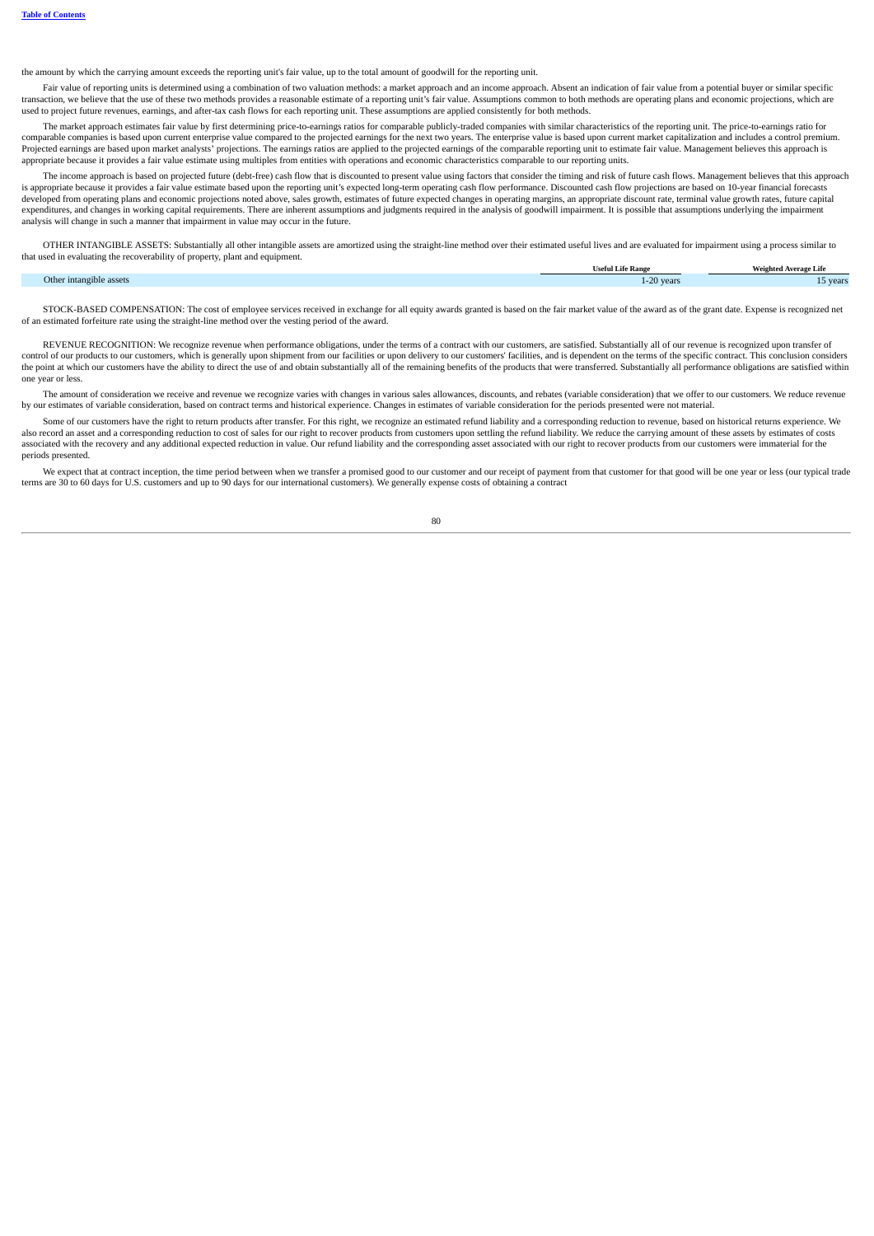the amount by which the carrying amount exceeds the reporting unit's fair value, up to the total amount of goodwill for the reporting unit.

Fair value of reporting units is determined using a combination of two valuation methods: a market approach and an income approach. Absent an indication of fair value from a potential buyer or similar specific transaction, we believe that the use of these two methods provides a reasonable estimate of a reporting unit's fair value. Assumptions common to both methods are operating plans and economic projections, which are used to project future revenues, earnings, and after-tax cash flows for each reporting unit. These assumptions are applied consistently for both methods.

The market approach estimates fair value by first determining price-to-earnings ratios for comparable publicly-traded companies with similar characteristics of the reporting unit. The price-to-earnings ratio for comparable companies is based upon current enterprise value compared to the projected earnings for the next two years. The enterprise value is based upon current market capitalization and includes a control premium. Projected earnings are based upon market analysts' projections. The earnings ratios are applied to the projected earnings of the comparable reporting unit to estimate fair value. Management believes this approach is appropriate because it provides a fair value estimate using multiples from entities with operations and economic characteristics comparable to our reporting units.

The income approach is based on projected future (debt-free) cash flow that is discounted to present value using factors that consider the timing and risk of future cash flows. Management believes that this approach is appropriate because it provides a fair value estimate based upon the reporting unit's expected long-term operating cash flow performance. Discounted cash flow projections are based on 10-year financial forecasts developed from operating plans and economic projections noted above, sales growth, estimates of future expected changes in operating margins, an appropriate discount rate, terminal value growth rates, future capital expenditures, and changes in working capital requirements. There are inherent assumptions and judgments required in the analysis of goodwill impairment. It is possible that assumptions underlying the impairment analysis will change in such a manner that impairment in value may occur in the future.

OTHER INTANGIBLE ASSETS: Substantially all other intangible assets are amortized using the straight-line method over their estimated useful lives and are evaluated for impairment using a process similar to that used in evaluating the recoverability of property, plant and equipment.

|                                         | Useful Life Range | <b>Weighted Average Life</b> |
|-----------------------------------------|-------------------|------------------------------|
| Other intangible assets<br>$\cdot$<br>. | -20 years         | 5 vear:                      |
|                                         |                   |                              |

STOCK-BASED COMPENSATION: The cost of employee services received in exchange for all equity awards granted is based on the fair market value of the award as of the grant date. Expense is recognized net of an estimated forfeiture rate using the straight-line method over the vesting period of the award.

REVENUE RECOGNITION: We recognize revenue when performance obligations, under the terms of a contract with our customers, are satisfied. Substantially all of our revenue is recognized upon transfer of control of our products to our customers, which is generally upon shipment from our facilities or upon delivery to our customers' facilities, and is dependent on the terms of the specific contract. This conclusion considers the point at which our customers have the ability to direct the use of and obtain substantially all of the remaining benefits of the products that were transferred. Substantially all performance obligations are satisfied w one year or less.

The amount of consideration we receive and revenue we recognize varies with changes in various sales allowances, discounts, and rebates (variable consideration) that we offer to our customers. We reduce revenue by our estimates of variable consideration, based on contract terms and historical experience. Changes in estimates of variable consideration for the periods presented were not material.

Some of our customers have the right to return products after transfer. For this right, we recognize an estimated refund liability and a corresponding reduction to revenue, based on historical returns experience. We also record an asset and a corresponding reduction to cost of sales for our right to recover products from customers upon settling the refund liability. We reduce the carrying amount of these assets by estimates of costs associated with the recovery and any additional expected reduction in value. Our refund liability and the corresponding asset associated with our right to recover products from our customers were immaterial for the periods presented.

We expect that at contract inception, the time period between when we transfer a promised good to our customer and our receipt of payment from that customer for that good will be one year or less (our typical trade terms are 30 to 60 days for U.S. customers and up to 90 days for our international customers). We generally expense costs of obtaining a contract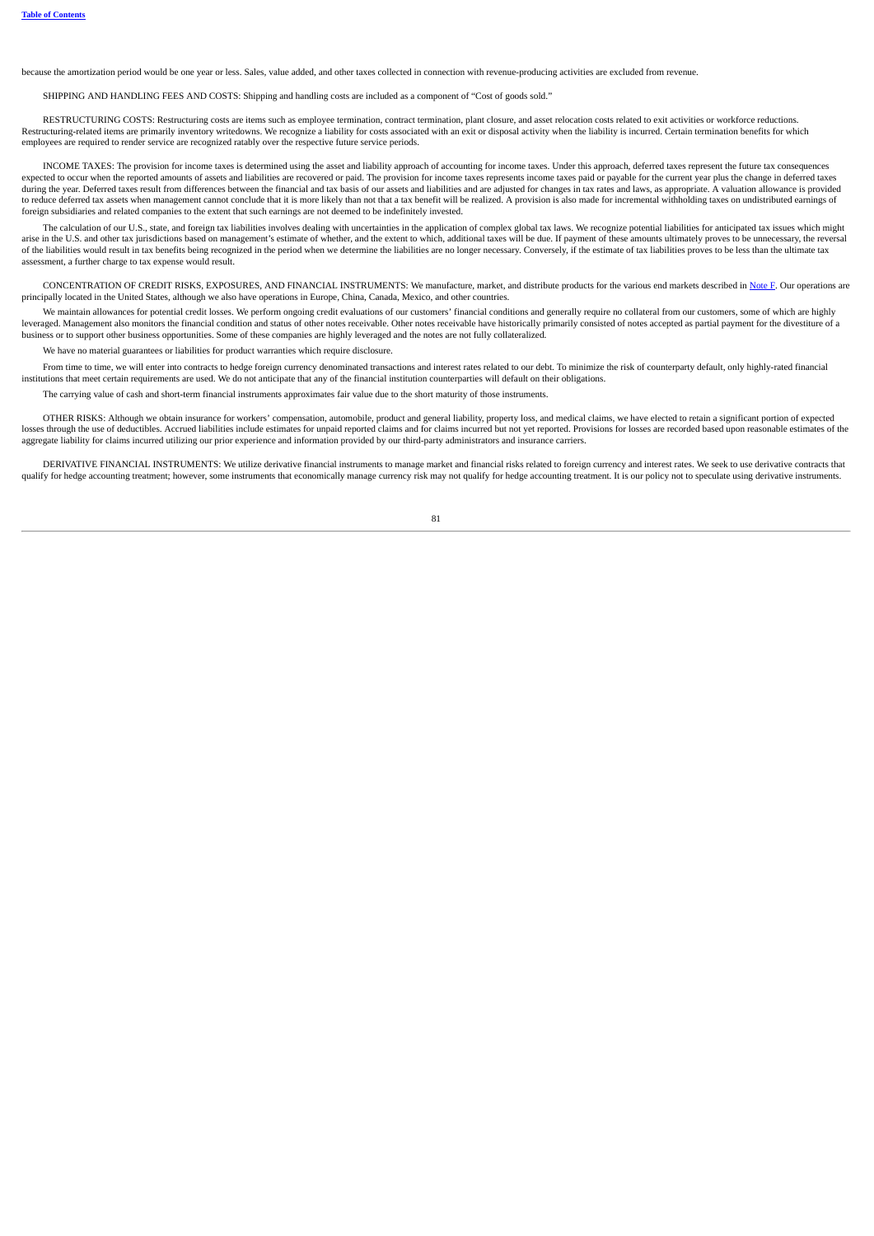because the amortization period would be one year or less. Sales, value added, and other taxes collected in connection with revenue-producing activities are excluded from revenue.

SHIPPING AND HANDLING FEES AND COSTS: Shipping and handling costs are included as a component of "Cost of goods sold."

RESTRUCTURING COSTS: Restructuring costs are items such as employee termination, contract termination, plant closure, and asset relocation costs related to exit activities or workforce reductions Restructuring-related items are primarily inventory writedowns. We recognize a liability for costs associated with an exit or disposal activity when the liability is incurred. Certain termination benefits for which employees are required to render service are recognized ratably over the respective future service periods.

INCOME TAXES: The provision for income taxes is determined using the asset and liability approach of accounting for income taxes. Under this approach, deferred taxes represent the future tax consequences expected to occur when the reported amounts of assets and liabilities are recovered or paid. The provision for income taxes represents income taxes paid or payable for the current year plus the change in deferred taxes during the year. Deferred taxes result from differences between the financial and tax basis of our assets and liabilities and are adjusted for changes in tax rates and laws, as appropriate. A valuation allowance is provide to reduce deferred tax assets when management cannot conclude that it is more likely than not that a tax benefit will be realized. A provision is also made for incremental withholding taxes on undistributed earnings of foreign subsidiaries and related companies to the extent that such earnings are not deemed to be indefinitely invested.

The calculation of our U.S., state, and foreign tax liabilities involves dealing with uncertainties in the application of complex global tax laws. We recognize potential liabilities for anticipated tax issues which might arise in the U.S. and other tax jurisdictions based on management's estimate of whether, and the extent to which, additional taxes will be due. If payment of these amounts ultimately proves to be unnecessary, the reversal of the liabilities would result in tax benefits being recognized in the period when we determine the liabilities are no longer necessary. Conversely, if the estimate of tax liabilities proves to be less than the ultimate tax assessment, a further charge to tax expense would result.

CONCENTRATION OF CREDIT RISKS, EXPOSURES, AND FINANCIAL INSTRUMENTS: We manufacture, market, and distribute products for the various end markets described in Note F. Our operations are principally located in the United States, although we also have operations in Europe, China, Canada, Mexico, and other countries.

We maintain allowances for potential credit losses. We perform ongoing credit evaluations of our customers' financial conditions and generally require no collateral from our customers, some of which are highly leveraged. Management also monitors the financial condition and status of other notes receivable. Other notes receivable have historically primarily consisted of notes accepted as partial payment for the divestiture of a business or to support other business opportunities. Some of these companies are highly leveraged and the notes are not fully collateralized.

We have no material guarantees or liabilities for product warranties which require disclosure.

From time to time, we will enter into contracts to hedge foreign currency denominated transactions and interest rates related to our debt. To minimize the risk of counterparty default, only highly-rated financial institutions that meet certain requirements are used. We do not anticipate that any of the financial institution counterparties will default on their obligations.

The carrying value of cash and short-term financial instruments approximates fair value due to the short maturity of those instruments.

OTHER RISKS: Although we obtain insurance for workers' compensation, automobile, product and general liability, property loss, and medical claims, we have elected to retain a significant portion of expected<br>losses through aggregate liability for claims incurred utilizing our prior experience and information provided by our third-party administrators and insurance carriers.

DERIVATIVE FINANCIAL INSTRUMENTS: We utilize derivative financial instruments to manage market and financial risks related to foreign currency and interest rates. We seek to use derivative contracts that qualify for hedge accounting treatment; however, some instruments that economically manage currency risk may not qualify for hedge accounting treatment. It is our policy not to speculate using derivative instruments.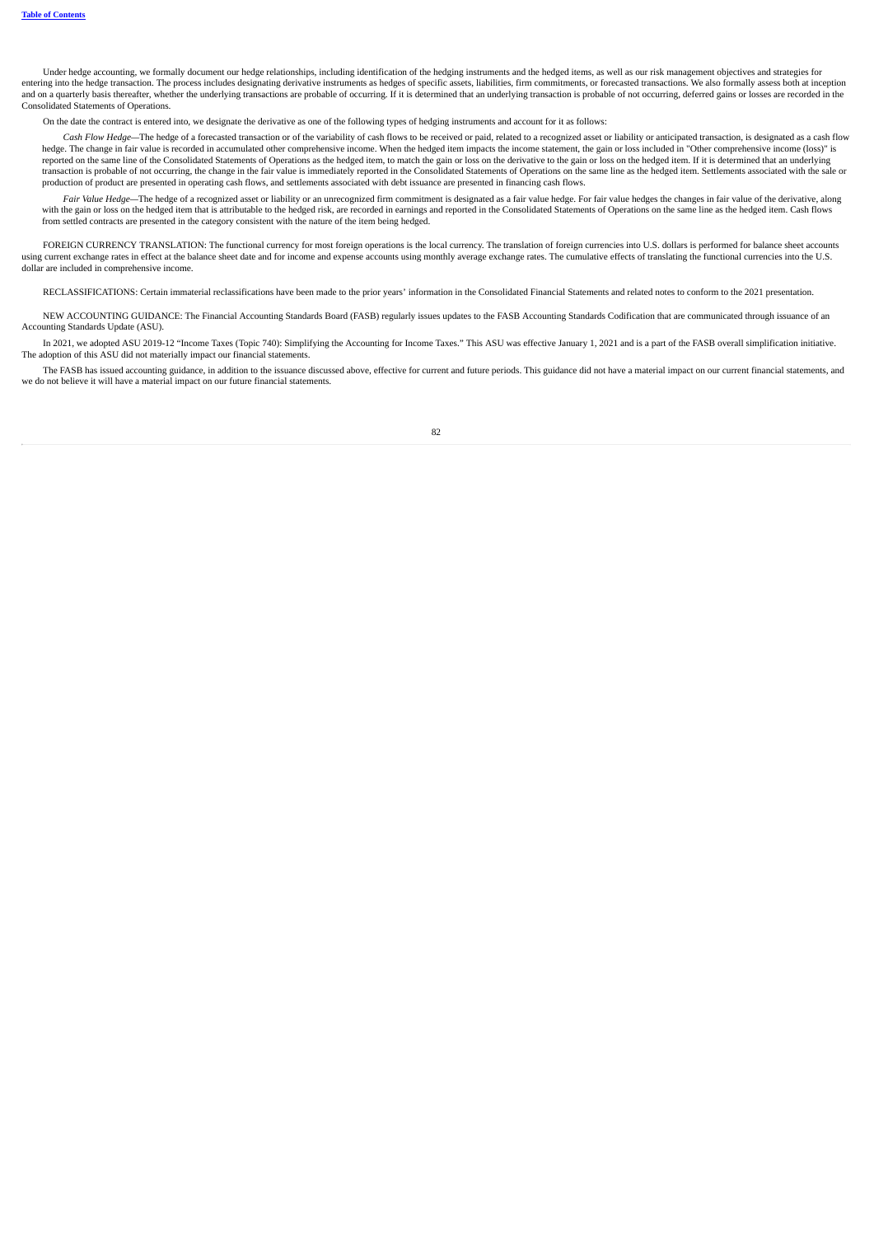Under hedge accounting, we formally document our hedge relationships, including identification of the hedging instruments and the hedged items, as well as our risk management objectives and strategies for entering into the hedge transaction. The process includes designating derivative instruments as hedges of specific assets, liabilities, firm commitments, or forecasted transactions. We also formally assess both at inception and on a quarterly basis thereafter, whether the underlying transactions are probable of occurring. If it is determined that an underlying transaction is probable of not occurring, deferred gains or losses are recorded in Consolidated Statements of Operations.

On the date the contract is entered into, we designate the derivative as one of the following types of hedging instruments and account for it as follows:

Cash Flow Hedge-The hedge of a forecasted transaction or of the variability of cash flows to be received or paid, related to a recognized asset or liability or anticipated transaction, is designated as a cash flow hedge. The change in fair value is recorded in accumulated other comprehensive income. When the hedged item impacts the income statement, the gain or loss included in "Other comprehensive income (loss)" is reported on the same line of the Consolidated Statements of Operations as the hedged item, to match the gain or loss on the derivative to the gain or loss on the hedged item. If it is determined that an underlying transaction is probable of not occurring, the change in the fair value is immediately reported in the Consolidated Statements of Operations on the same line as the hedged item. Settlements associated with the sale or production of product are presented in operating cash flows, and settlements associated with debt issuance are presented in financing cash flows.

Fair Value Hedge-The hedge of a recognized asset or liability or an unrecognized firm commitment is designated as a fair value hedge. For fair value hedges the changes in fair value of the derivative, along with the gain or loss on the hedged item that is attributable to the hedged risk, are recorded in earnings and reported in the Consolidated Statements of Operations on the same line as the hedged item. Cash flows from settled contracts are presented in the category consistent with the nature of the item being hedged.

FOREIGN CURRENCY TRANSLATION: The functional currency for most foreign operations is the local currency. The translation of foreign currencies into U.S. dollars is performed for balance sheet accounts using current exchange rates in effect at the balance sheet date and for income and expense accounts using monthly average exchange rates. The cumulative effects of translating the functional currencies into the U.S. dollar are included in comprehensive income.

RECLASSIFICATIONS: Certain immaterial reclassifications have been made to the prior years' information in the Consolidated Financial Statements and related notes to conform to the 2021 presentation.

NEW ACCOUNTING GUIDANCE: The Financial Accounting Standards Board (FASB) regularly issues updates to the FASB Accounting Standards Codification that are communicated through issuance of an Accounting Standards Update (ASU).

In 2021, we adopted ASU 2019-12 "Income Taxes (Topic 740): Simplifying the Accounting for Income Taxes." This ASU was effective January 1, 2021 and is a part of the FASB overall simplification initiative. The adoption of this ASU did not materially impact our financial statements.

The FASB has issued accounting guidance, in addition to the issuance discussed above, effective for current and future periods. This guidance did not have a material impact on our current financial statements, and we do not believe it will have a material impact on our future financial statements.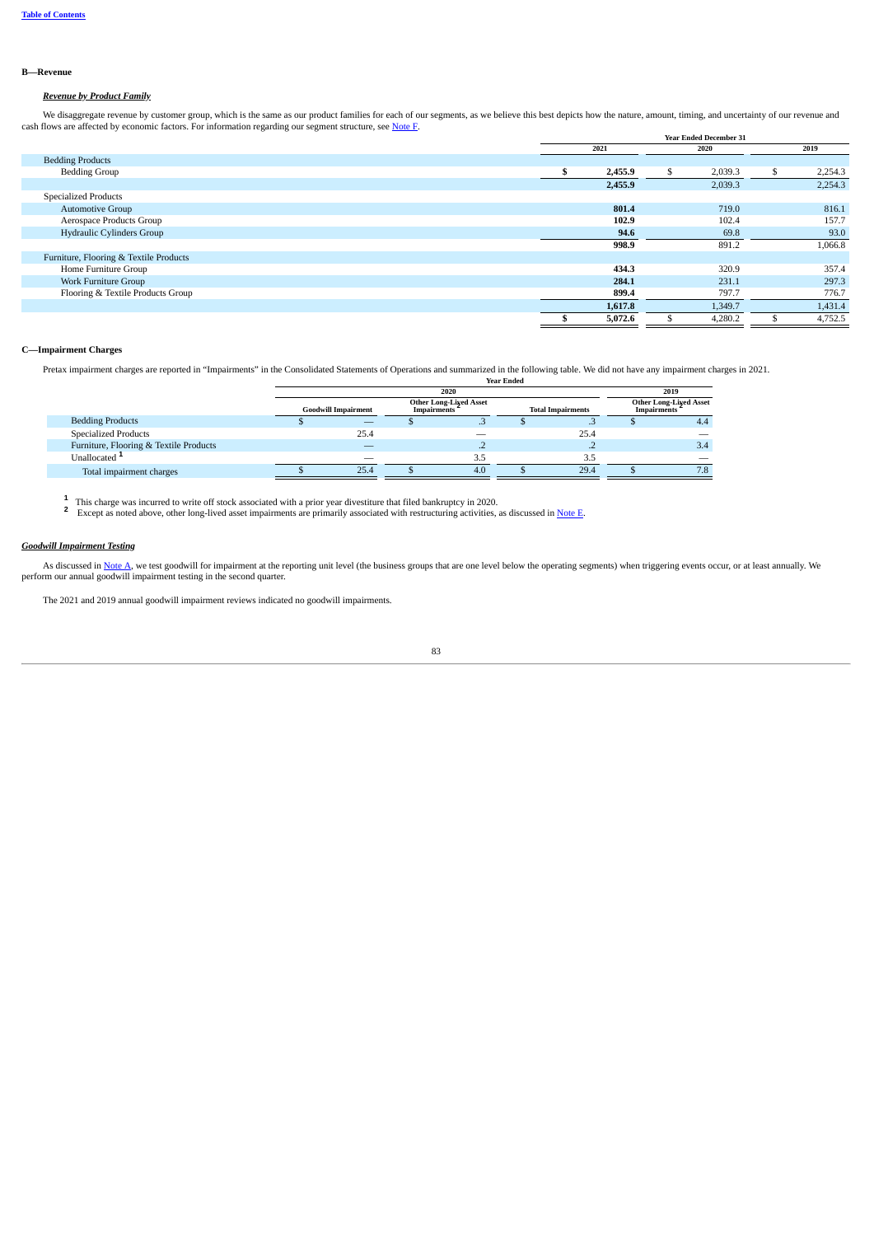### **B—Revenue**

### *Revenue by Product Family*

We disaggregate revenue by customer group, which is the same as our product families for each of our segments, as we believe this best depicts how the nature, amount, timing, and uncertainty of our revenue and cash flows are affected by economic factors. For information regarding our segment structure, see Note F.

|                                        |      | <b>Year Ended December 31</b> |    |         |    |         |
|----------------------------------------|------|-------------------------------|----|---------|----|---------|
|                                        | 2021 |                               |    | 2020    |    | 2019    |
| <b>Bedding Products</b>                |      |                               |    |         |    |         |
| <b>Bedding Group</b>                   | S.   | 2,455.9                       | \$ | 2,039.3 | \$ | 2,254.3 |
|                                        |      | 2,455.9                       |    | 2,039.3 |    | 2,254.3 |
| <b>Specialized Products</b>            |      |                               |    |         |    |         |
| <b>Automotive Group</b>                |      | 801.4                         |    | 719.0   |    | 816.1   |
| Aerospace Products Group               |      | 102.9                         |    | 102.4   |    | 157.7   |
| <b>Hydraulic Cylinders Group</b>       |      | 94.6                          |    | 69.8    |    | 93.0    |
|                                        |      | 998.9                         |    | 891.2   |    | 1,066.8 |
| Furniture, Flooring & Textile Products |      |                               |    |         |    |         |
| Home Furniture Group                   |      | 434.3                         |    | 320.9   |    | 357.4   |
| <b>Work Furniture Group</b>            |      | 284.1                         |    | 231.1   |    | 297.3   |
| Flooring & Textile Products Group      |      | 899.4                         |    | 797.7   |    | 776.7   |
|                                        |      | 1,617.8                       |    | 1,349.7 |    | 1,431.4 |
|                                        |      | 5,072.6                       |    | 4,280.2 |    | 4,752.5 |
|                                        |      |                               |    |         |    |         |

### **C—Impairment Charges**

Pretax impairment charges are reported in "Impairments" in the Consolidated Statements of Operations and summarized in the following table. We did not have any impairment charges in 2021.

|                                        |                                                                                                         |      |  |                    | <b>Year Ended</b>             |      |  |      |
|----------------------------------------|---------------------------------------------------------------------------------------------------------|------|--|--------------------|-------------------------------|------|--|------|
|                                        |                                                                                                         |      |  | 2020               |                               |      |  | 2019 |
|                                        | <b>Other Long-Liyed Asset</b><br><b>Goodwill Impairment</b><br><b>Total Impairments</b><br>Impairments' |      |  | <b>Impairments</b> | <b>Other Long-Lived Asset</b> |      |  |      |
| <b>Bedding Products</b>                |                                                                                                         |      |  | د.                 |                               | د.   |  | 4.4  |
| <b>Specialized Products</b>            |                                                                                                         | 25.4 |  | _                  |                               | 25.4 |  |      |
| Furniture, Flooring & Textile Products |                                                                                                         |      |  |                    |                               |      |  | 3.4  |
| Unallocated <sup>1</sup>               |                                                                                                         |      |  | 3.5                |                               | 3.5  |  |      |
| Total impairment charges               |                                                                                                         | 25.4 |  | 4.0                |                               | 29.4 |  | 7.8  |

**1 2**

This charge was incurred to write off stock associated with a prior year divestiture that filed bankruptcy in 2020.<br>Except as noted above, other long-lived asset impairments are primarily associated with restructuring acti

### *Goodwill Impairment Testing*

As discussed in Note A, we test goodwill for impairment at the reporting unit level (the business groups that are one level below the operating segments) when triggering events occur, or at least annually. We perform our a

The 2021 and 2019 annual goodwill impairment reviews indicated no goodwill impairments.

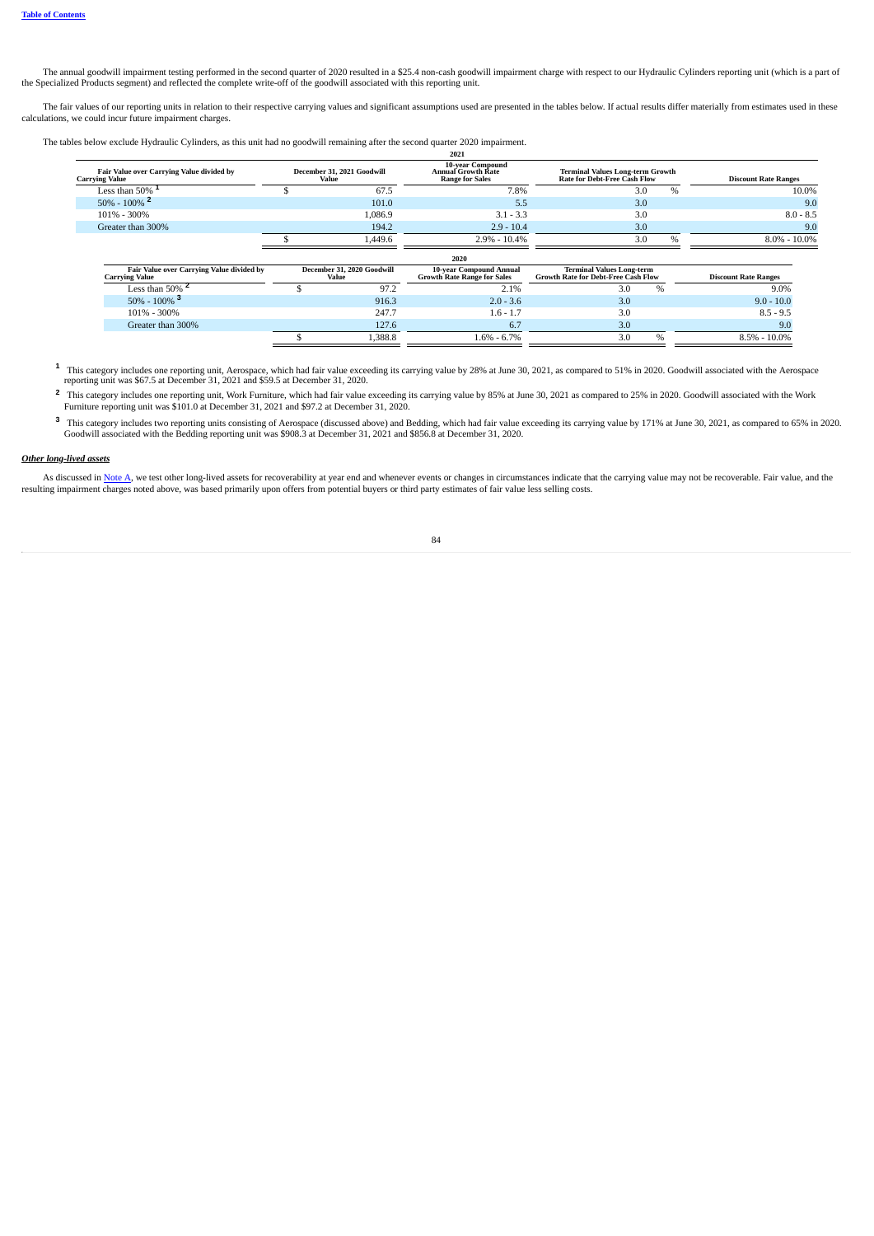The annual goodwill impairment testing performed in the second quarter of 2020 resulted in a \$25.4 non-cash goodwill impairment charge with respect to our Hydraulic Cylinders reporting unit (which is a part of the Specialized Products segment) and reflected the complete write-off of the goodwill associated with this reporting unit.

The fair values of our reporting units in relation to their respective carrying values and significant assumptions used are presented in the tables below. If actual results differ materially from estimates used in these calculations, we could incur future impairment charges.

The tables below exclude Hydraulic Cylinders, as this unit had no goodwill remaining after the second quarter 2020 impairment.

|                                                                    |                                     | 2021                                                                    |                                                                                |               |                             |
|--------------------------------------------------------------------|-------------------------------------|-------------------------------------------------------------------------|--------------------------------------------------------------------------------|---------------|-----------------------------|
| Fair Value over Carrying Value divided by<br><b>Carrying Value</b> | December 31, 2021 Goodwill<br>Value | 10-year Compound<br><b>Annual Growth Rate</b><br><b>Range for Sales</b> | <b>Terminal Values Long-term Growth</b><br><b>Rate for Debt-Free Cash Flow</b> |               | <b>Discount Rate Ranges</b> |
| Less than $50\%$ <sup>1</sup>                                      | 67.5                                | 7.8%                                                                    | 3.0                                                                            | $\%$          | 10.0%                       |
| $50\% - 100\%$ <sup>2</sup>                                        | 101.0                               | 5.5                                                                     | 3.0                                                                            |               | 9.0                         |
| 101% - 300%                                                        | 1.086.9                             | $3.1 - 3.3$                                                             | 3.0                                                                            |               | $8.0 - 8.5$                 |
| Greater than 300%                                                  | 194.2                               | $2.9 - 10.4$                                                            | 3.0                                                                            |               | 9.0                         |
|                                                                    | 1,449.6                             | $2.9\% - 10.4\%$                                                        | 3.0                                                                            | $\%$          | $8.0\% - 10.0\%$            |
|                                                                    |                                     | 2020                                                                    |                                                                                |               |                             |
| Fair Value over Carrying Value divided by<br><b>Carrying Value</b> | December 31, 2020 Goodwill<br>Value | 10-year Compound Annual<br><b>Growth Rate Range for Sales</b>           | <b>Terminal Values Long-term</b><br><b>Growth Rate for Debt-Free Cash Flow</b> |               | <b>Discount Rate Ranges</b> |
| Less than 50% $2$                                                  | 97.2                                | 2.1%                                                                    | 3.0                                                                            | $\frac{0}{6}$ | 9.0%                        |
| $50\% - 100\%$ <sup>3</sup>                                        | 916.3                               | $2.0 - 3.6$                                                             | 3.0                                                                            |               | $9.0 - 10.0$                |
| 101% - 300%                                                        | 247.7                               | $1.6 - 1.7$                                                             | 3.0                                                                            |               | $8.5 - 9.5$                 |
| Greater than 300%                                                  | 127.6                               | 6.7                                                                     | 3.0                                                                            |               | 9.0                         |
|                                                                    | L.388.8                             | 1.6% - 6.7%                                                             | 3.0                                                                            | $\frac{0}{6}$ | $8.5\% - 10.0\%$            |
|                                                                    |                                     |                                                                         |                                                                                |               |                             |

This category includes one reporting unit, Aerospace, which had fair value exceeding its carrying value by 28% at June 30, 2021, as compared to 51% in 2020. Goodwill associated with the Aerospace **1** reporting unit was \$67.5 at December 31, 2021 and \$59.5 at December 31, 2020.

This category includes one reporting unit, Work Furniture, which had fair value exceeding its carrying value by 85% at June 30, 2021 as compared to 25% in 2020. Goodwill associated with the Work **2** Furniture reporting unit was \$101.0 at December 31, 2021 and \$97.2 at December 31, 2020.

This category includes two reporting units consisting of Aerospace (discussed above) and Bedding, which had fair value exceeding its carrying value by 171% at June 30, 2021, as compared to 65% in 2020.<br>Goodwill associated **3**

#### *Other long-lived assets*

As discussed in Note A, we test other long-lived assets for recoverability at year end and whenever events or changes in circumstances indicate that the carrying value may not be recoverable. Fair value, and the resulting impairment charges noted above, was based primarily upon offers from potential buyers or third party estimates of fair value less selling costs.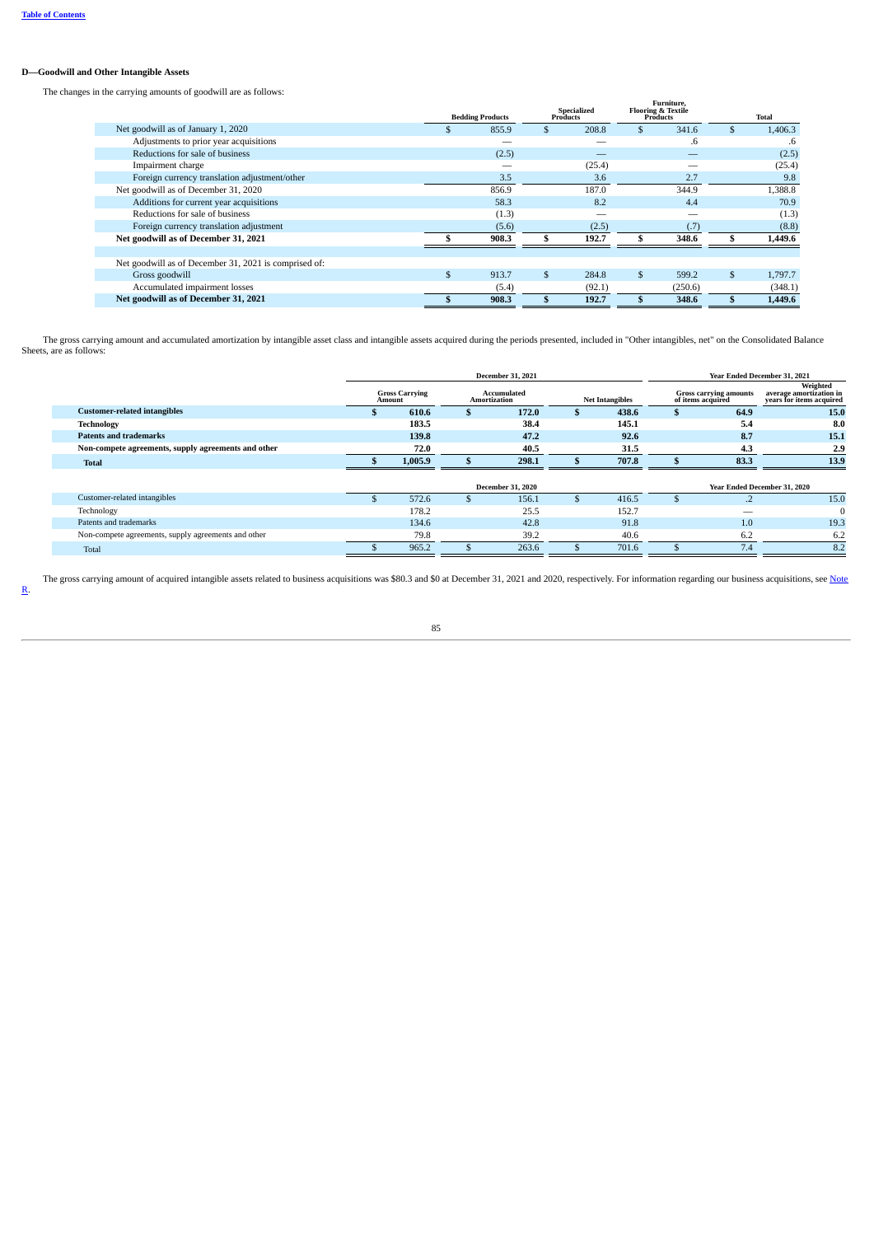# **D—Goodwill and Other Intangible Assets**

The changes in the carrying amounts of goodwill are as follows:

|                                                       | <b>Bedding Products</b> |              | Furniture.<br>Specialized<br><b>Flooring &amp; Textile</b><br>Products<br>Products |                | <b>Total</b> |              |         |
|-------------------------------------------------------|-------------------------|--------------|------------------------------------------------------------------------------------|----------------|--------------|--------------|---------|
| Net goodwill as of January 1, 2020                    | 855.9                   |              | 208.8                                                                              |                | 341.6        | \$           | 1,406.3 |
| Adjustments to prior year acquisitions                | _                       |              | _                                                                                  |                | .6           |              | .6      |
| Reductions for sale of business                       | (2.5)                   |              |                                                                                    |                |              |              | (2.5)   |
| Impairment charge                                     |                         |              | (25.4)                                                                             |                |              |              | (25.4)  |
| Foreign currency translation adjustment/other         | 3.5                     |              | 3.6                                                                                |                | 2.7          |              | 9.8     |
| Net goodwill as of December 31, 2020                  | 856.9                   |              | 187.0                                                                              |                | 344.9        |              | 1,388.8 |
| Additions for current year acquisitions               | 58.3                    |              | 8.2                                                                                |                | 4.4          |              | 70.9    |
| Reductions for sale of business                       | (1.3)                   |              | --                                                                                 |                |              |              | (1.3)   |
| Foreign currency translation adjustment               | (5.6)                   |              | (2.5)                                                                              |                | (.7)         |              | (8.8)   |
| Net goodwill as of December 31, 2021                  | 908.3                   |              | 192.7                                                                              |                | 348.6        |              | 1,449.6 |
|                                                       |                         |              |                                                                                    |                |              |              |         |
| Net goodwill as of December 31, 2021 is comprised of: |                         |              |                                                                                    |                |              |              |         |
| Gross goodwill                                        | \$<br>913.7             | $\mathbf{s}$ | 284.8                                                                              | $\mathfrak{L}$ | 599.2        | $\mathbf{s}$ | 1.797.7 |
| Accumulated impairment losses                         | (5.4)                   |              | (92.1)                                                                             |                | (250.6)      |              | (348.1) |
| Net goodwill as of December 31, 2021                  | 908.3                   |              | 192.7                                                                              |                | 348.6        |              | 1,449.6 |
|                                                       |                         |              |                                                                                    |                |              |              |         |

The gross carrying amount and accumulated amortization by intangible asset class and intangible assets acquired during the periods presented, included in "Other intangibles, net" on the Consolidated Balance<br>Sheets, are as

|                                                     | December 31, 2021 |                                 |                     | Year Ended December 31, 2021 |    |                        |                   |                               |                                                                 |
|-----------------------------------------------------|-------------------|---------------------------------|---------------------|------------------------------|----|------------------------|-------------------|-------------------------------|-----------------------------------------------------------------|
|                                                     |                   | <b>Gross Carrying</b><br>Amount | <b>Amortization</b> | Accumulated                  |    | <b>Net Intangibles</b> | of items acquired | <b>Gross carrying amounts</b> | Weighted<br>average amortization in<br>years for items acquired |
| <b>Customer-related intangibles</b>                 |                   | 610.6                           |                     | 172.0                        |    | 438.6                  |                   | 64.9                          | 15.0                                                            |
| <b>Technology</b>                                   |                   | 183.5                           |                     | 38.4                         |    | 145.1                  |                   | 5.4                           | 8.0                                                             |
| <b>Patents and trademarks</b>                       |                   | 139.8                           |                     | 47.2                         |    | 92.6                   |                   | 8.7                           | 15.1                                                            |
| Non-compete agreements, supply agreements and other |                   | 72.0                            |                     | 40.5                         |    | 31.5                   |                   | 4.3                           | 2.9                                                             |
| <b>Total</b>                                        |                   | 1,005.9                         |                     | 298.1                        |    | 707.8                  |                   | 83.3                          | 13.9                                                            |
|                                                     |                   |                                 |                     |                              |    |                        |                   |                               |                                                                 |
|                                                     |                   |                                 |                     | <b>December 31, 2020</b>     |    |                        |                   |                               | Year Ended December 31, 2020                                    |
| Customer-related intangibles                        | s                 | 572.6                           |                     | 156.1                        | S. | 416.5                  |                   | $\overline{2}$                | 15.0                                                            |
| Technology                                          |                   | 178.2                           |                     | 25.5                         |    | 152.7                  |                   |                               | $\Omega$                                                        |
| Patents and trademarks                              |                   | 134.6                           |                     | 42.8                         |    | 91.8                   |                   | 1.0                           | 19.3                                                            |
| Non-compete agreements, supply agreements and other |                   | 79.8                            |                     | 39.2                         |    | 40.6                   |                   | 6.2                           | 6.2                                                             |
| Total                                               |                   | 965.2                           |                     | 263.6                        |    | 701.6                  |                   | 7.4                           | 8.2                                                             |
|                                                     |                   |                                 |                     |                              |    |                        |                   |                               |                                                                 |

The gross carrying amount of acquired intangible assets related to business acquisitions was \$80.3 and \$0 at December 31, 2021 and 2020, respectively. For information regarding our business acquisitions, see Note

85

R.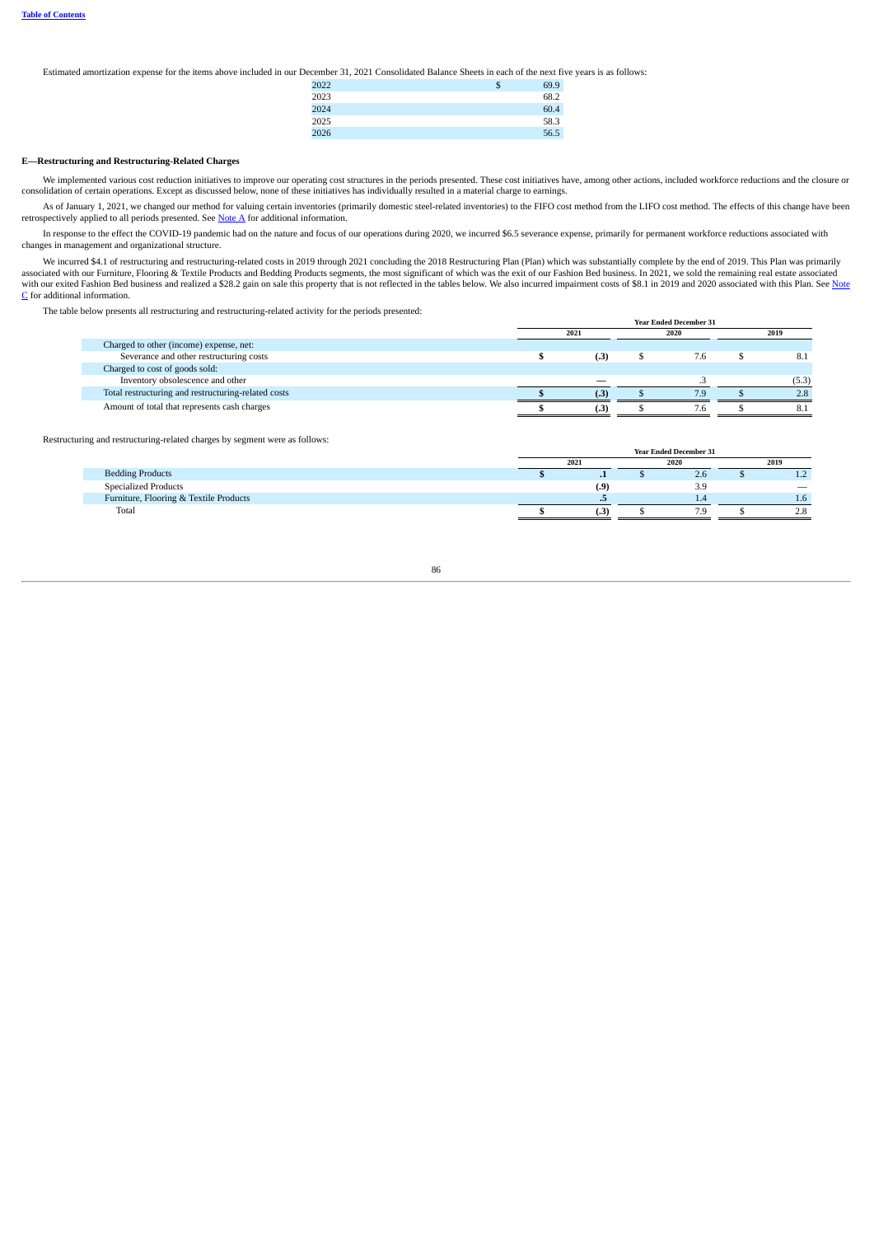Estimated amortization expense for the items above included in our December 31, 2021 Consolidated Balance Sheets in each of the next five years is as follows:

| 2022 | \$ | 69.9 |
|------|----|------|
| 2023 |    | 68.2 |
| 2024 |    | 60.4 |
| 2025 |    | 58.3 |
| 2026 |    | 56.5 |

### **E—Restructuring and Restructuring-Related Charges**

We implemented various cost reduction initiatives to improve our operating cost structures in the periods presented. These cost initiatives have, among other actions, included workforce reductions and the closure or consolidation of certain operations. Except as discussed below, none of these initiatives has individually resulted in a material charge to earnings.

As of January 1, 2021, we changed our method for valuing certain inventories (primarily domestic steel-related inventories) to the FIFO cost method from the LIFO cost method. The effects of this change have been retrospectively applied to all periods presented. See Note A for additional information.

In response to the effect the COVID-19 pandemic had on the nature and focus of our operations during 2020, we incurred \$6.5 severance expense, primarily for permanent workforce reductions associated with changes in management and organizational structure.

We incurred \$4.1 of restructuring and restructuring-related costs in 2019 through 2021 concluding the 2018 Restructuring Plan (Plan) which was substantially complete by the end of 2019. This Plan was primarily associated w C for additional information.

The table below presents all restructuring and restructuring-related activity for the periods presented:

|                                                     |              |  | <b>Year Ended December 31</b> |      |       |
|-----------------------------------------------------|--------------|--|-------------------------------|------|-------|
|                                                     | 2021<br>2020 |  |                               | 2019 |       |
| Charged to other (income) expense, net:             |              |  |                               |      |       |
| Severance and other restructuring costs             | (.3)         |  | 7.6                           |      | 8.1   |
| Charged to cost of goods sold:                      |              |  |                               |      |       |
| Inventory obsolescence and other                    |              |  |                               |      | (5.3) |
| Total restructuring and restructuring-related costs |              |  | 7.9                           |      | 2.8   |
| Amount of total that represents cash charges        |              |  |                               |      | 8.1   |
|                                                     |              |  |                               |      |       |

Restructuring and restructuring-related charges by segment were as follows:

| ring und restructuring retured enurges by segment were as ronows. |      |                               |                  |
|-------------------------------------------------------------------|------|-------------------------------|------------------|
|                                                                   |      | <b>Year Ended December 31</b> |                  |
|                                                                   | 2021 | 2020                          | 2019             |
| <b>Bedding Products</b>                                           |      | 2.6                           | $\overline{a}$   |
| Specialized Products                                              | (.9) | 3.9                           |                  |
| Furniture, Flooring & Textile Products                            |      |                               | 1.6 <sub>1</sub> |
| Total                                                             | . 3) |                               | 2.8              |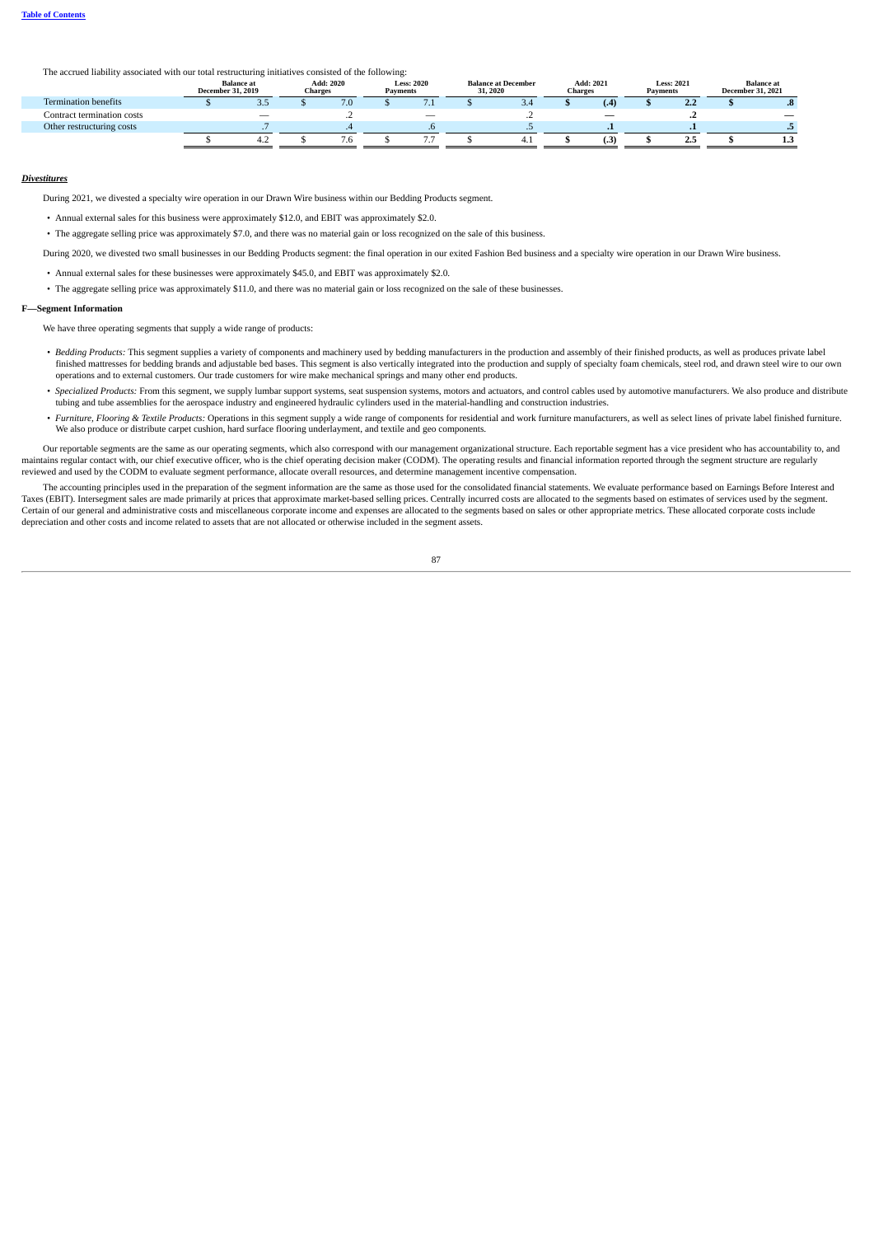The accrued liability associated with our total restructuring initiatives consisted of the following:

|                            | <b>December 31, 2019</b> | <b>Balance</b> at        | Charges | Add: 2020            | Payments | <b>Less: 2020</b>        | 31, 2020 | <b>Balance at December</b> | <b>Charges</b> | Add: 2021 | Payments | <b>Less: 2021</b> | <b>December 31, 2021</b> | <b>Balance</b> at |
|----------------------------|--------------------------|--------------------------|---------|----------------------|----------|--------------------------|----------|----------------------------|----------------|-----------|----------|-------------------|--------------------------|-------------------|
| Termination benefits       |                          | ں.ں                      |         | 7.0                  |          | $\overline{\phantom{a}}$ |          | -9.4                       |                | (.4)      |          | n n<br>$\sim$     |                          | ٠U                |
| Contract termination costs |                          | $\overline{\phantom{a}}$ |         |                      |          | $\overline{\phantom{a}}$ |          |                            |                |           |          |                   |                          | _                 |
| Other restructuring costs  |                          |                          |         |                      |          |                          |          |                            |                |           |          |                   |                          |                   |
|                            |                          | 4.4                      |         | $\sim$ $\sim$<br>'.b |          | $- -$                    |          | 4.1                        |                | (.3)      |          | من                |                          | درو               |

### *Divestitures*

During 2021, we divested a specialty wire operation in our Drawn Wire business within our Bedding Products segment.

- Annual external sales for this business were approximately \$12.0, and EBIT was approximately \$2.0.
- The aggregate selling price was approximately \$7.0, and there was no material gain or loss recognized on the sale of this business.
- During 2020, we divested two small businesses in our Bedding Products segment: the final operation in our exited Fashion Bed business and a specialty wire operation in our Drawn Wire business.
- Annual external sales for these businesses were approximately \$45.0, and EBIT was approximately \$2.0.
- The aggregate selling price was approximately \$11.0, and there was no material gain or loss recognized on the sale of these businesses.

### **F—Segment Information**

We have three operating segments that supply a wide range of products:

- *• Bedding Products:* This segment supplies a variety of components and machinery used by bedding manufacturers in the production and assembly of their finished products, as well as produces private label finished mattresses for bedding brands and adjustable bed bases. This segment is also vertically integrated into the production and supply of specialty foam chemicals, steel rod, and drawn steel wire to our own finished ma operations and to external customers. Our trade customers for wire make mechanical springs and many other end products.
- · Specialized Products: From this segment, we supply lumbar support systems, seat suspension systems, motors and actuators, and control cables used by automotive manufacturers. We also produce and distribute tubing and tube assemblies for the aerospace industry and engineered hydraulic cylinders used in the material-handling and construction industries.
- · Furniture, Flooring & Textile Products: Operations in this segment supply a wide range of components for residential and work furniture manufacturers, as well as select lines of private label finished furniture. We also produce or distribute carpet cushion, hard surface flooring underlayment, and textile and geo components.

Our reportable segments are the same as our operating segments, which also correspond with our management organizational structure. Each reportable segment has a vice president who has accountability to, and maintains regular contact with, our chief executive officer, who is the chief operating decision maker (CODM). The operating results and financial information reported through the segment structure are regularly reviewed and used by the CODM to evaluate segment performance, allocate overall resources, and determine management incentive compensation.

The accounting principles used in the preparation of the segment information are the same as those used for the consolidated financial statements. We evaluate performance based on Earnings Before Interest and<br>Taxes (EBIT). Certain of our general and administrative costs and miscellaneous corporate income and expenses are allocated to the segments based on sales or other appropriate metrics. These allocated corporate costs include depreciation and other costs and income related to assets that are not allocated or otherwise included in the segment assets.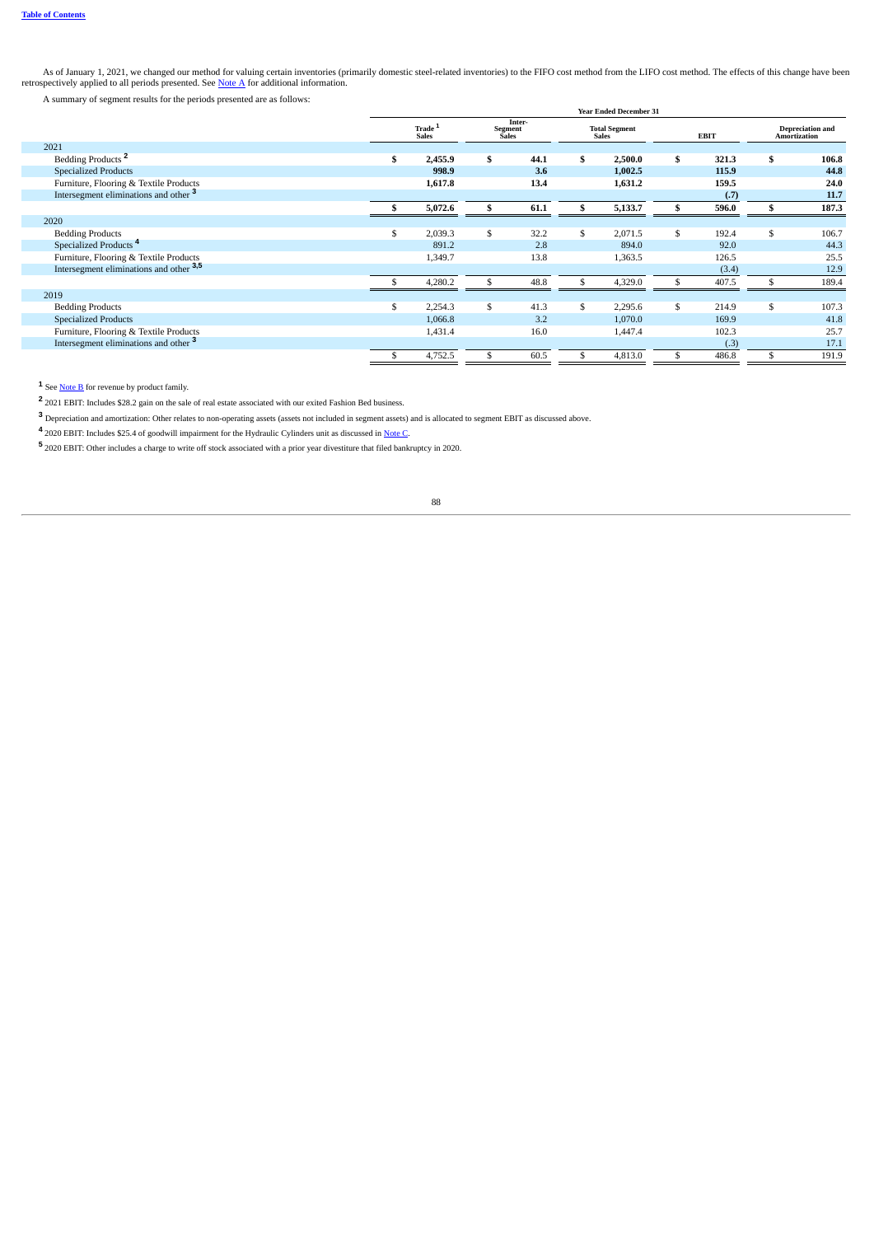As of January 1, 2021, we changed our method for valuing certain inventories (primarily domestic steel-related inventories) to the FIFO cost method from the LIFO cost method. The effects of this change have been retrospect

A summary of segment results for the periods presented are as follows:

|                                                  | <b>Year Ended December 31</b> |                                    |    |                                   |    |                                      |    |             |                                         |       |
|--------------------------------------------------|-------------------------------|------------------------------------|----|-----------------------------------|----|--------------------------------------|----|-------------|-----------------------------------------|-------|
|                                                  |                               | Trade <sup>1</sup><br><b>Sales</b> |    | Inter-<br>Segment<br><b>Sales</b> |    | <b>Total Segment</b><br><b>Sales</b> |    | <b>EBIT</b> | <b>Depreciation</b> and<br>Amortization |       |
| 2021                                             |                               |                                    |    |                                   |    |                                      |    |             |                                         |       |
| Bedding Products <sup>2</sup>                    | ÷\$                           | 2,455.9                            | \$ | 44.1                              | \$ | 2,500.0                              | \$ | 321.3       | \$                                      | 106.8 |
| <b>Specialized Products</b>                      |                               | 998.9                              |    | 3.6                               |    | 1,002.5                              |    | 115.9       |                                         | 44.8  |
| Furniture, Flooring & Textile Products           |                               | 1,617.8                            |    | 13.4                              |    | 1,631.2                              |    | 159.5       |                                         | 24.0  |
| Intersegment eliminations and other <sup>3</sup> |                               |                                    |    |                                   |    |                                      |    | (.7)        |                                         | 11.7  |
|                                                  |                               | 5,072.6                            | \$ | 61.1                              |    | 5,133.7                              |    | 596.0       |                                         | 187.3 |
| 2020                                             |                               |                                    |    |                                   |    |                                      |    |             |                                         |       |
| <b>Bedding Products</b>                          | $\mathfrak{F}$                | 2,039.3                            | \$ | 32.2                              | \$ | 2,071.5                              | \$ | 192.4       | S                                       | 106.7 |
| Specialized Products <sup>4</sup>                |                               | 891.2                              |    | 2.8                               |    | 894.0                                |    | 92.0        |                                         | 44.3  |
| Furniture, Flooring & Textile Products           |                               | 1,349.7                            |    | 13.8                              |    | 1,363.5                              |    | 126.5       |                                         | 25.5  |
| Intersegment eliminations and other 3,5          |                               |                                    |    |                                   |    |                                      |    | (3.4)       |                                         | 12.9  |
|                                                  |                               | 4,280.2                            |    | 48.8                              | \$ | 4,329.0                              |    | 407.5       |                                         | 189.4 |
| 2019                                             |                               |                                    |    |                                   |    |                                      |    |             |                                         |       |
| <b>Bedding Products</b>                          | <sup>\$</sup>                 | 2,254.3                            | \$ | 41.3                              | \$ | 2,295.6                              | \$ | 214.9       | \$                                      | 107.3 |
| <b>Specialized Products</b>                      |                               | 1,066.8                            |    | 3.2                               |    | 1,070.0                              |    | 169.9       |                                         | 41.8  |
| Furniture, Flooring & Textile Products           |                               | 1,431.4                            |    | 16.0                              |    | 1,447.4                              |    | 102.3       |                                         | 25.7  |
| Intersegment eliminations and other <sup>3</sup> |                               |                                    |    |                                   |    |                                      |    | (.3)        |                                         | 17.1  |
|                                                  |                               | 4,752.5                            | \$ | 60.5                              |    | 4,813.0                              |    | 486.8       |                                         | 191.9 |

<sup>1</sup> See <u>Note B</u> for revenue by product family.

2021 EBIT: Includes \$28.2 gain on the sale of real estate associated with our exited Fashion Bed business. **2**

 $^{\textbf{3}}$  Depreciation and amortization: Other relates to non-operating assets (assets not included in segment assets) and is allocated to segment EBIT as discussed above.

2020 EBIT: Includes \$25.4 of goodwill impairment for the Hydraulic Cylinders unit as discussed in Note C. **4**

2020 EBIT: Other includes a charge to write off stock associated with a prior year divestiture that filed bankruptcy in 2020. **5**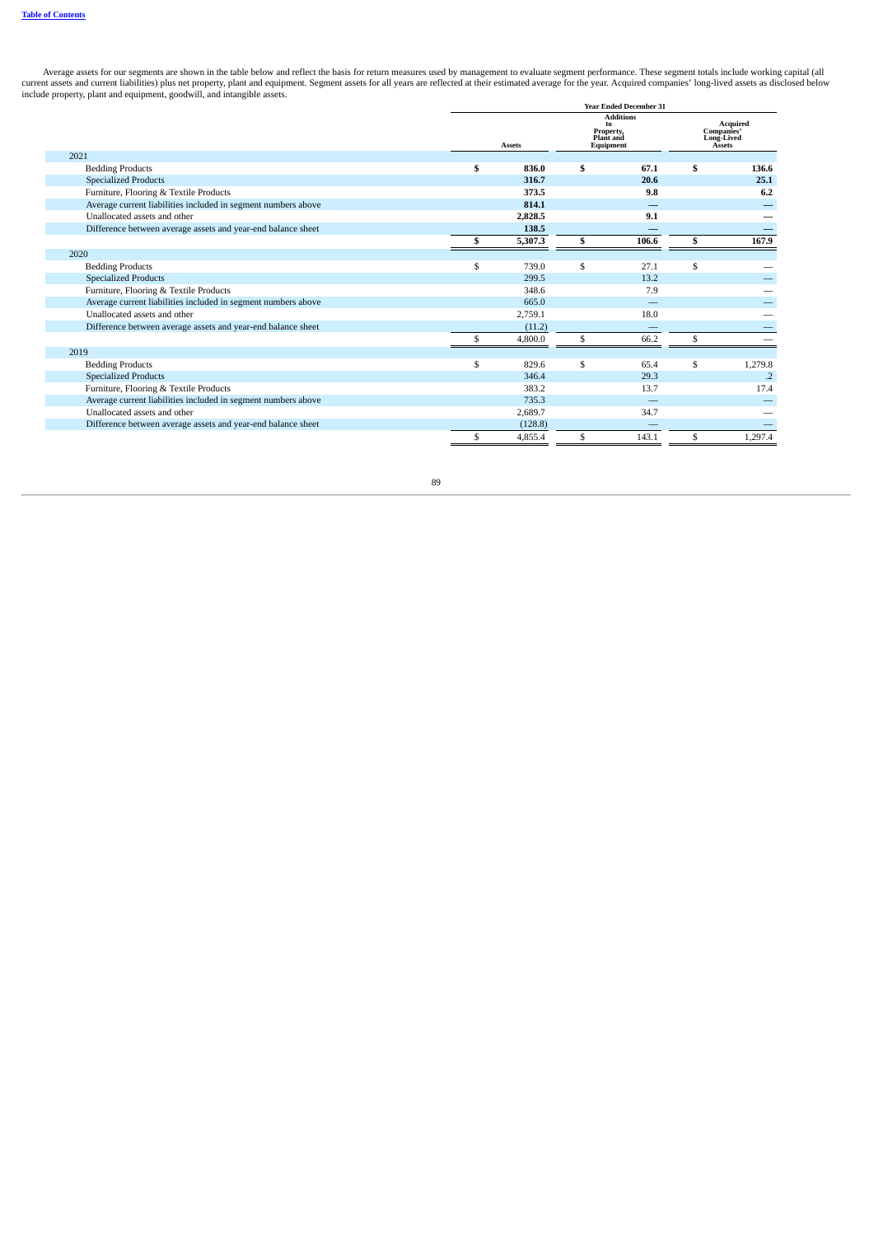Average assets for our segments are shown in the table below and reflect the basis for return measures used by management to evaluate segment performance. These segment totals include working capital (all current assets an

|                                                               | <b>Year Ended December 31</b> |                                           |                          |    |                                                |  |  |  |
|---------------------------------------------------------------|-------------------------------|-------------------------------------------|--------------------------|----|------------------------------------------------|--|--|--|
|                                                               | <b>Assets</b>                 | to<br>Property,<br>Plant and<br>Equipment | <b>Additions</b>         |    | Acquired<br>Companies'<br>Long-Lived<br>Assets |  |  |  |
| 2021                                                          |                               |                                           |                          |    |                                                |  |  |  |
| <b>Bedding Products</b>                                       | \$<br>836.0                   | \$                                        | 67.1                     | \$ | 136.6                                          |  |  |  |
| <b>Specialized Products</b>                                   | 316.7                         |                                           | 20.6                     |    | 25.1                                           |  |  |  |
| Furniture, Flooring & Textile Products                        | 373.5                         |                                           | 9.8                      |    | 6.2                                            |  |  |  |
| Average current liabilities included in segment numbers above | 814.1                         |                                           |                          |    |                                                |  |  |  |
| Unallocated assets and other                                  | 2,828.5                       |                                           | 9.1                      |    |                                                |  |  |  |
| Difference between average assets and year-end balance sheet  | 138.5                         |                                           |                          |    |                                                |  |  |  |
|                                                               | 5,307.3                       | S                                         | 106.6                    | \$ | 167.9                                          |  |  |  |
| 2020                                                          |                               |                                           |                          |    |                                                |  |  |  |
| <b>Bedding Products</b>                                       | \$<br>739.0                   | \$                                        | 27.1                     | \$ |                                                |  |  |  |
| <b>Specialized Products</b>                                   | 299.5                         |                                           | 13.2                     |    |                                                |  |  |  |
| Furniture, Flooring & Textile Products                        | 348.6                         |                                           | 7.9                      |    |                                                |  |  |  |
| Average current liabilities included in segment numbers above | 665.0                         |                                           |                          |    |                                                |  |  |  |
| Unallocated assets and other                                  | 2,759.1                       |                                           | 18.0                     |    |                                                |  |  |  |
| Difference between average assets and year-end balance sheet  | (11.2)                        |                                           |                          |    |                                                |  |  |  |
|                                                               | 4,800.0                       | \$                                        | 66.2                     | \$ |                                                |  |  |  |
| 2019                                                          |                               |                                           |                          |    |                                                |  |  |  |
| <b>Bedding Products</b>                                       | \$<br>829.6                   | \$                                        | 65.4                     | \$ | 1,279.8                                        |  |  |  |
| <b>Specialized Products</b>                                   | 346.4                         |                                           | 29.3                     |    | $\cdot$ .2                                     |  |  |  |
| Furniture, Flooring & Textile Products                        | 383.2                         |                                           | 13.7                     |    | 17.4                                           |  |  |  |
| Average current liabilities included in segment numbers above | 735.3                         |                                           | $\overline{\phantom{a}}$ |    |                                                |  |  |  |
| Unallocated assets and other                                  | 2,689.7                       |                                           | 34.7                     |    |                                                |  |  |  |
| Difference between average assets and year-end balance sheet  | (128.8)                       |                                           |                          |    |                                                |  |  |  |
|                                                               | \$<br>4,855.4                 | \$                                        | 143.1                    | \$ | 1,297.4                                        |  |  |  |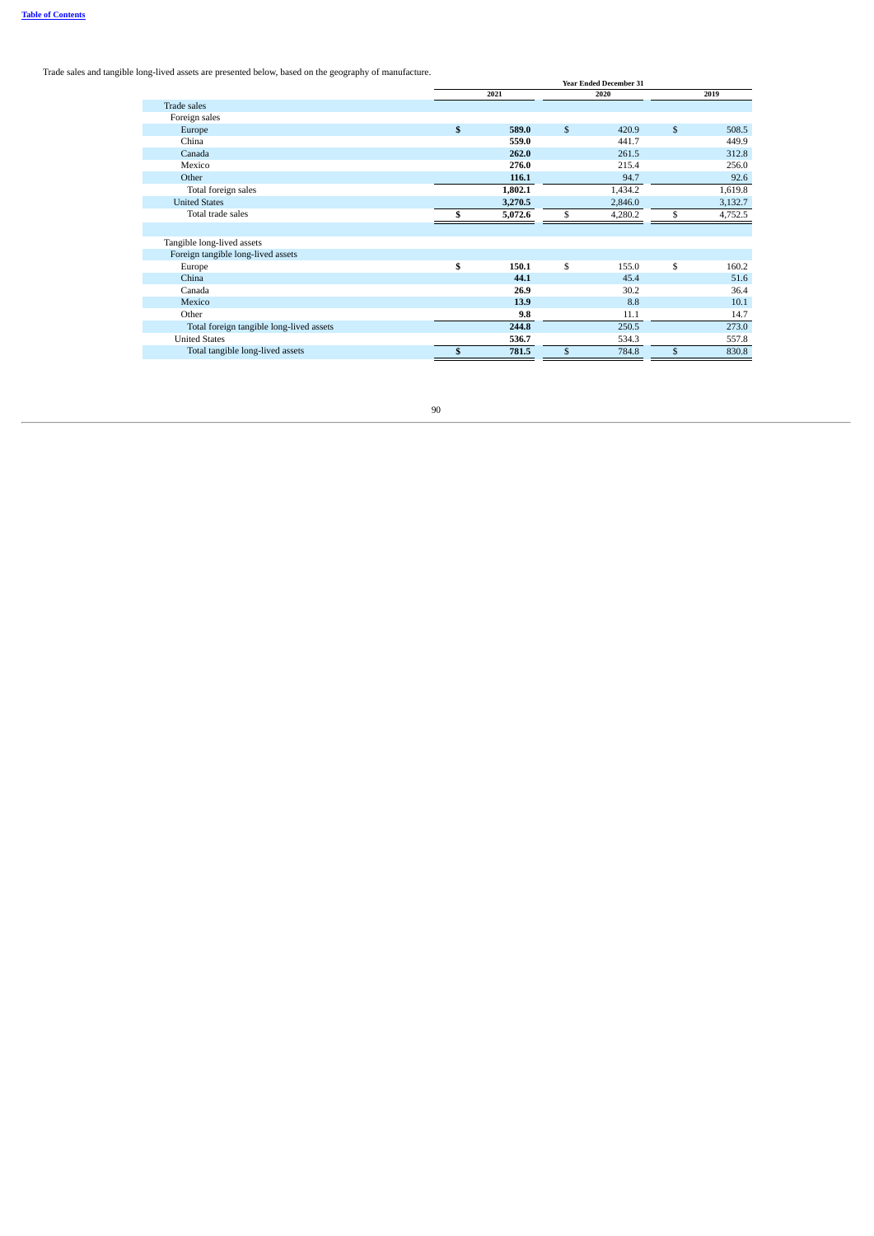Trade sales and tangible long-lived assets are presented below, based on the geography of manufacture.

|                                          | <b>Year Ended December 31</b> |         |    |         |              |         |  |  |
|------------------------------------------|-------------------------------|---------|----|---------|--------------|---------|--|--|
|                                          |                               | 2021    |    | 2020    |              | 2019    |  |  |
| <b>Trade sales</b>                       |                               |         |    |         |              |         |  |  |
| Foreign sales                            |                               |         |    |         |              |         |  |  |
| Europe                                   | $\mathbf{s}$                  | 589.0   | \$ | 420.9   | $\mathbb{S}$ | 508.5   |  |  |
| China                                    |                               | 559.0   |    | 441.7   |              | 449.9   |  |  |
| Canada                                   |                               | 262.0   |    | 261.5   |              | 312.8   |  |  |
| Mexico                                   |                               | 276.0   |    | 215.4   |              | 256.0   |  |  |
| Other                                    |                               | 116.1   |    | 94.7    |              | 92.6    |  |  |
| Total foreign sales                      |                               | 1,802.1 |    | 1,434.2 |              | 1,619.8 |  |  |
| <b>United States</b>                     |                               | 3,270.5 |    | 2,846.0 |              | 3,132.7 |  |  |
| Total trade sales                        |                               | 5,072.6 | \$ | 4,280.2 | \$           | 4,752.5 |  |  |
|                                          |                               |         |    |         |              |         |  |  |
| Tangible long-lived assets               |                               |         |    |         |              |         |  |  |
| Foreign tangible long-lived assets       |                               |         |    |         |              |         |  |  |
| Europe                                   | \$                            | 150.1   | \$ | 155.0   | \$           | 160.2   |  |  |
| China                                    |                               | 44.1    |    | 45.4    |              | 51.6    |  |  |
| Canada                                   |                               | 26.9    |    | 30.2    |              | 36.4    |  |  |
| Mexico                                   |                               | 13.9    |    | 8.8     |              | 10.1    |  |  |
| Other                                    |                               | 9.8     |    | 11.1    |              | 14.7    |  |  |
| Total foreign tangible long-lived assets |                               | 244.8   |    | 250.5   |              | 273.0   |  |  |
| <b>United States</b>                     |                               | 536.7   |    | 534.3   |              | 557.8   |  |  |
| Total tangible long-lived assets         | \$                            | 781.5   | \$ | 784.8   | \$           | 830.8   |  |  |
|                                          |                               |         |    |         |              |         |  |  |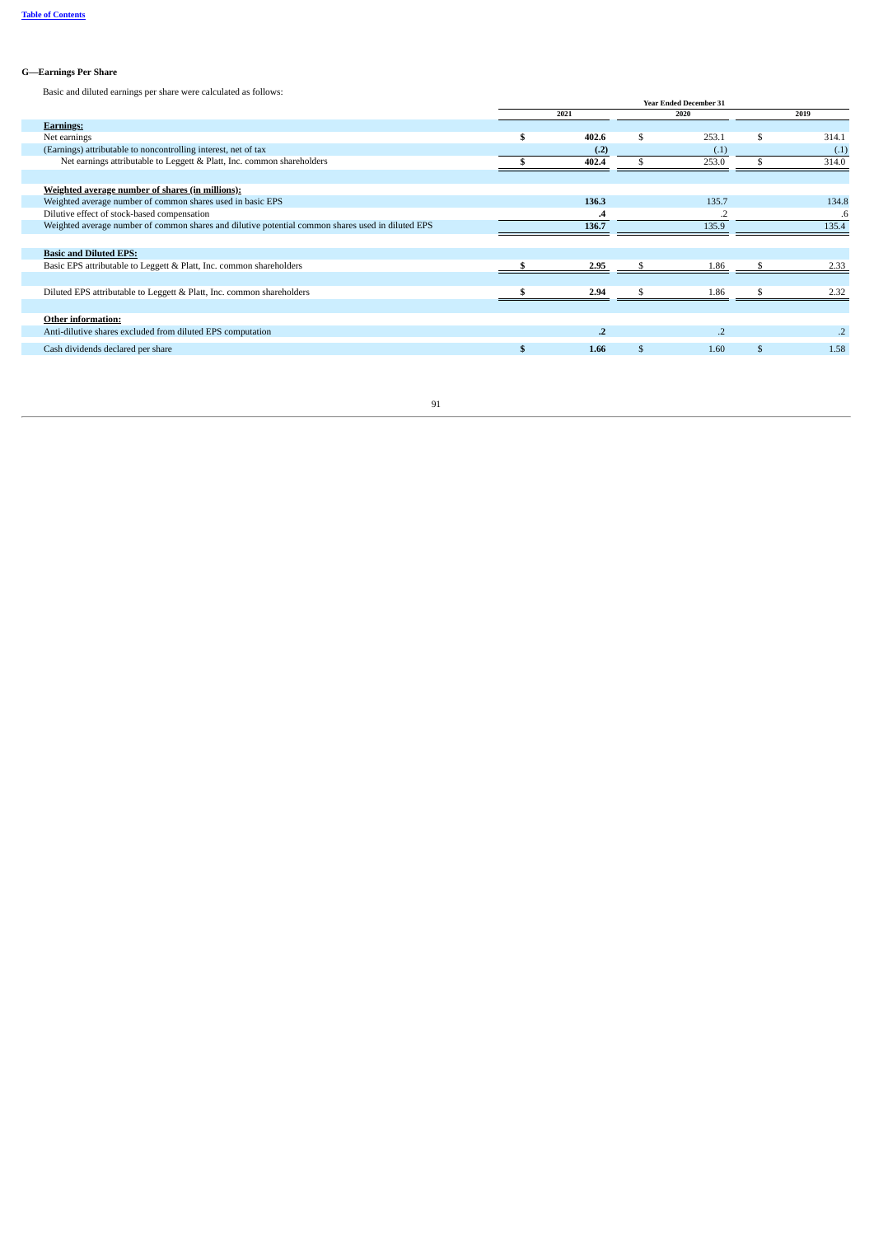# **G—Earnings Per Share**

Basic and diluted earnings per share were calculated as follows:

|                                                                                                   |            |              | <b>Year Ended December 31</b> |                |            |
|---------------------------------------------------------------------------------------------------|------------|--------------|-------------------------------|----------------|------------|
|                                                                                                   | 2021       |              | 2020                          |                | 2019       |
| <b>Earnings:</b>                                                                                  |            |              |                               |                |            |
| Net earnings                                                                                      | 402.6      | S            | 253.1                         | S.             | 314.1      |
| (Earnings) attributable to noncontrolling interest, net of tax                                    | (.2)       |              | (.1)                          |                | (.1)       |
| Net earnings attributable to Leggett & Platt, Inc. common shareholders                            | 402.4      |              | 253.0                         |                | 314.0      |
| Weighted average number of shares (in millions):                                                  |            |              |                               |                |            |
| Weighted average number of common shares used in basic EPS                                        | 136.3      |              | 135.7                         |                | 134.8      |
| Dilutive effect of stock-based compensation                                                       | .4         |              |                               |                | .6         |
| Weighted average number of common shares and dilutive potential common shares used in diluted EPS | 136.7      |              | 135.9                         |                | 135.4      |
| <b>Basic and Diluted EPS:</b>                                                                     |            |              |                               |                |            |
| Basic EPS attributable to Leggett & Platt, Inc. common shareholders                               | 2.95       |              | 1.86                          |                | 2.33       |
| Diluted EPS attributable to Leggett & Platt, Inc. common shareholders                             | 2.94       |              | 1.86                          |                | 2.32       |
| <b>Other information:</b>                                                                         |            |              |                               |                |            |
| Anti-dilutive shares excluded from diluted EPS computation                                        | $\cdot$    |              | $\overline{2}$                |                | $\cdot$ .2 |
| Cash dividends declared per share                                                                 | \$<br>1.66 | $\mathbf{S}$ | 1.60                          | $\mathfrak{L}$ | 1.58       |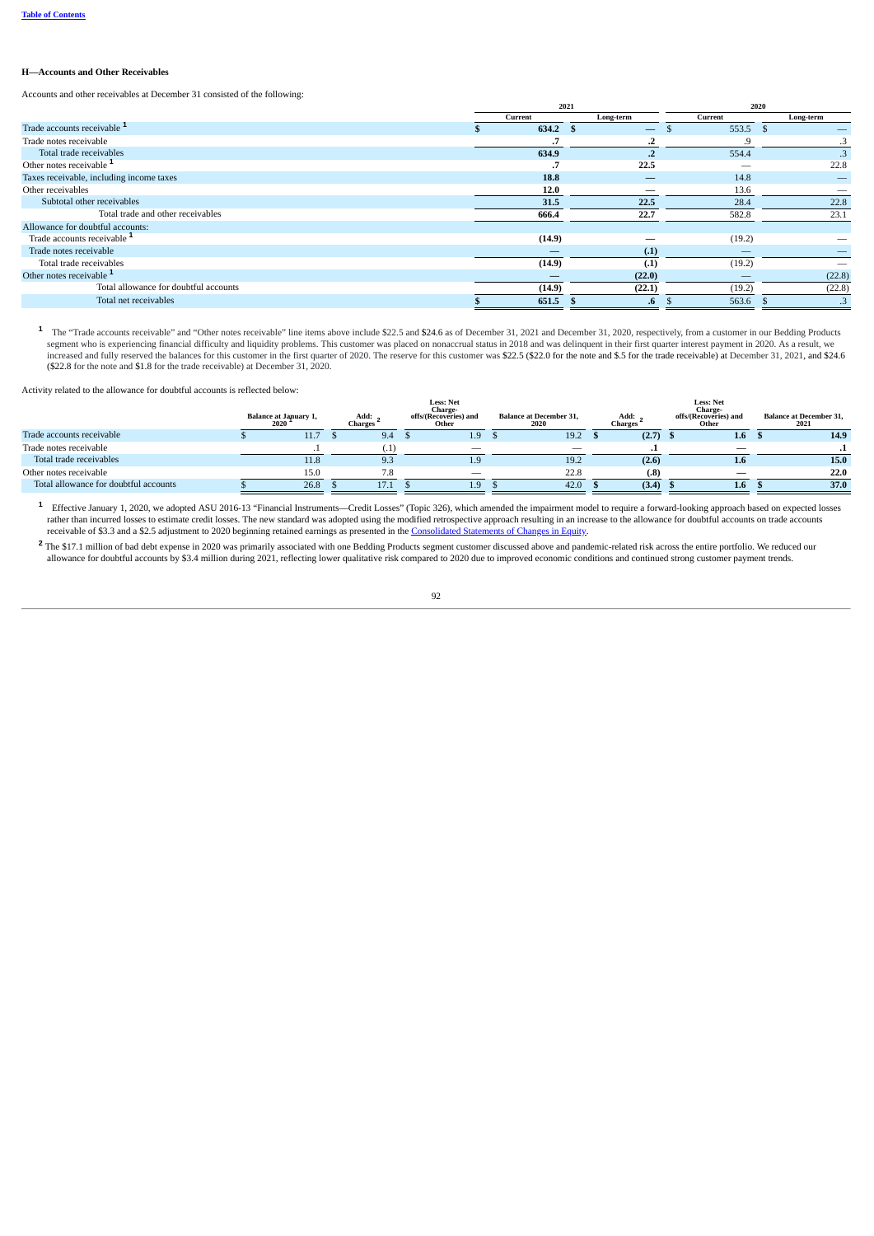### **H—Accounts and Other Receivables**

Accounts and other receivables at December 31 consisted of the following:

|                                          |         | 2021 |           |         | 2020           |                      |
|------------------------------------------|---------|------|-----------|---------|----------------|----------------------|
|                                          | Current |      | Long-term | Current |                | Long-term            |
| Trade accounts receivable <sup>1</sup>   | 634.2   |      | —         | 553.5   | $\mathfrak{L}$ |                      |
| Trade notes receivable                   |         |      |           | ں.      |                |                      |
| Total trade receivables                  | 634.9   |      | .2        | 554.4   |                | $\cdot$ <sub>3</sub> |
| Other notes receivable <sup>1</sup>      | $\cdot$ |      | 22.5      |         |                | 22.8                 |
| Taxes receivable, including income taxes | 18.8    |      |           | 14.8    |                |                      |
| Other receivables                        | 12.0    |      |           | 13.6    |                |                      |
| Subtotal other receivables               | 31.5    |      | 22.5      | 28.4    |                | 22.8                 |
| Total trade and other receivables        | 666.4   |      | 22.7      | 582.8   |                | 23.1                 |
| Allowance for doubtful accounts:         |         |      |           |         |                |                      |
| Trade accounts receivable <sup>1</sup>   | (14.9)  |      |           | (19.2)  |                |                      |
| Trade notes receivable                   |         |      | (.1)      |         |                |                      |
| Total trade receivables                  | (14.9)  |      | (.1)      | (19.2)  |                |                      |
| Other notes receivable <sup>1</sup>      |         |      | (22.0)    |         |                | (22.8)               |
| Total allowance for doubtful accounts    | (14.9)  |      | (22.1)    | (19.2)  |                | (22.8)               |
| Total net receivables                    | 651.5   |      | .6        | 563.6   |                |                      |
|                                          |         |      |           |         |                |                      |

The "Trade accounts receivable" and "Other notes receivable" line items above include \$22.5 and \$24.6 as of December 31, 2021 and December 31, 2020, respectively, from a customer in our Bedding Products segment who is expe (\$22.8 for the note and \$1.8 for the trade receivable) at December 31, 2020. **1**

Activity related to the allowance for doubtful accounts is reflected below:

|                                       |                               |                        | <b>Less: Net</b><br>Charge-    |                                        |                              | <b>Less: Net</b><br>Charge-    |                                        |
|---------------------------------------|-------------------------------|------------------------|--------------------------------|----------------------------------------|------------------------------|--------------------------------|----------------------------------------|
|                                       | Balance at January 1,<br>2020 | Add:<br><b>Charges</b> | offs/(Recoveries) and<br>Other | <b>Balance at December 31,</b><br>2020 | Add:<br>Charges <sup>®</sup> | offs/(Recoveries) and<br>Other | <b>Balance at December 31,</b><br>2021 |
| Trade accounts receivable             | 11.7                          | 9.4                    | 1.9                            | 19.2                                   | (2.7)                        | 1.6                            | 14.9                                   |
| Trade notes receivable                |                               |                        | $\overline{\phantom{a}}$       | $-$                                    |                              |                                |                                        |
| Total trade receivables               | 11.8                          | 9.3                    | 1.9                            | 19.2                                   | (2.6)                        | 1.6                            | 15.0                                   |
| Other notes receivable                | 15.0                          | 7.8                    |                                | 22.8                                   | (.8)                         |                                | 22.0                                   |
| Total allowance for doubtful accounts | 26.8                          | 17.1                   | 1.9                            | 42.0                                   | (3.4)                        | 1.6                            | 37.0                                   |

Effective January 1, 2020, we adopted ASU 2016-13 "Financial Instruments—Credit Losses" (Topic 326), which amended the impairment model to require a forward-looking approach based on expected losses<br>rather than incurred lo receivable of \$3.3 and a \$2.5 adjustment to 2020 beginning retained earnings as presented in the Consolidated Statements of Changes in Equity. **1**

The \$17.1 million of bad debt expense in 2020 was primarily associated with one Bedding Products segment customer discussed above and pandemic-related risk across the entire portfolio. We reduced our **2** allowance for doubtful accounts by \$3.4 million during 2021, reflecting lower qualitative risk compared to 2020 due to improved economic conditions and continued strong customer payment trends.

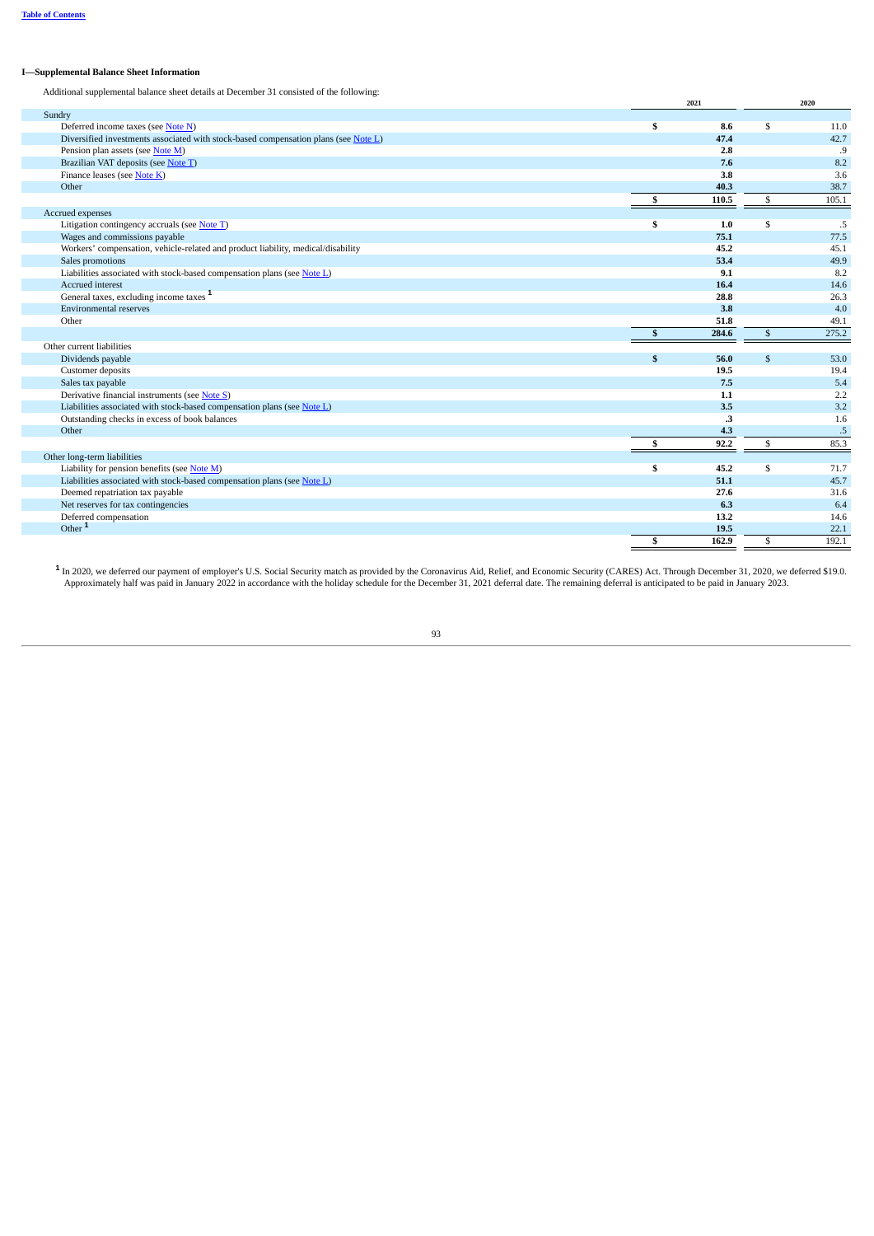# **I—Supplemental Balance Sheet Information**

Additional supplemental balance sheet details at December 31 consisted of the following:

|                                                                                     | 2021        |              | 2020  |
|-------------------------------------------------------------------------------------|-------------|--------------|-------|
| Sundry                                                                              |             |              |       |
| Deferred income taxes (see Note N)                                                  | \$<br>8.6   | \$           | 11.0  |
| Diversified investments associated with stock-based compensation plans (see Note L) | 47.4        |              | 42.7  |
| Pension plan assets (see Note M)                                                    | 2.8         |              | .9    |
| Brazilian VAT deposits (see Note T)                                                 | 7.6         |              | 8.2   |
| Finance leases (see Note K)                                                         | 3.8         |              | 3.6   |
| Other                                                                               | 40.3        |              | 38.7  |
|                                                                                     | \$<br>110.5 | \$           | 105.1 |
| Accrued expenses                                                                    |             |              |       |
| Litigation contingency accruals (see Note T)                                        | \$<br>1.0   | \$           | .5    |
| Wages and commissions payable                                                       | 75.1        |              | 77.5  |
| Workers' compensation, vehicle-related and product liability, medical/disability    | 45.2        |              | 45.1  |
| Sales promotions                                                                    | 53.4        |              | 49.9  |
| Liabilities associated with stock-based compensation plans (see Note L)             | 9.1         |              | 8.2   |
| Accrued interest                                                                    | 16.4        |              | 14.6  |
| General taxes, excluding income taxes <sup>1</sup>                                  | 28.8        |              | 26.3  |
| Environmental reserves                                                              | 3.8         |              | 4.0   |
| Other                                                                               | 51.8        |              | 49.1  |
|                                                                                     | \$<br>284.6 | $\mathbb{S}$ | 275.2 |
| Other current liabilities                                                           |             |              |       |
| Dividends payable                                                                   | \$<br>56.0  | \$           | 53.0  |
| Customer deposits                                                                   | 19.5        |              | 19.4  |
| Sales tax payable                                                                   | 7.5         |              | 5.4   |
| Derivative financial instruments (see Note S)                                       | 1.1         |              | 2.2   |
| Liabilities associated with stock-based compensation plans (see Note L)             | 3.5         |              | 3.2   |
| Outstanding checks in excess of book balances                                       | .3          |              | 1.6   |
| Other                                                                               | 4.3         |              | .5    |
|                                                                                     | \$<br>92.2  | \$           | 85.3  |
| Other long-term liabilities                                                         |             |              |       |
| Liability for pension benefits (see Note M)                                         | \$<br>45.2  | \$           | 71.7  |
| Liabilities associated with stock-based compensation plans (see Note L)             | 51.1        |              | 45.7  |
| Deemed repatriation tax payable                                                     | 27.6        |              | 31.6  |
| Net reserves for tax contingencies                                                  | 6.3         |              | 6.4   |
| Deferred compensation                                                               | 13.2        |              | 14.6  |
| Other <sup>1</sup>                                                                  | 19.5        |              | 22.1  |
|                                                                                     | \$<br>162.9 | \$           | 192.1 |

In 2020, we deferred our payment of employer's U.S. Social Security match as provided by the Coronavirus Aid, Relief, and Economic Security (CARES) Act. Through December 31, 2020, we deferred \$19.0.<br>Approximately half was **1**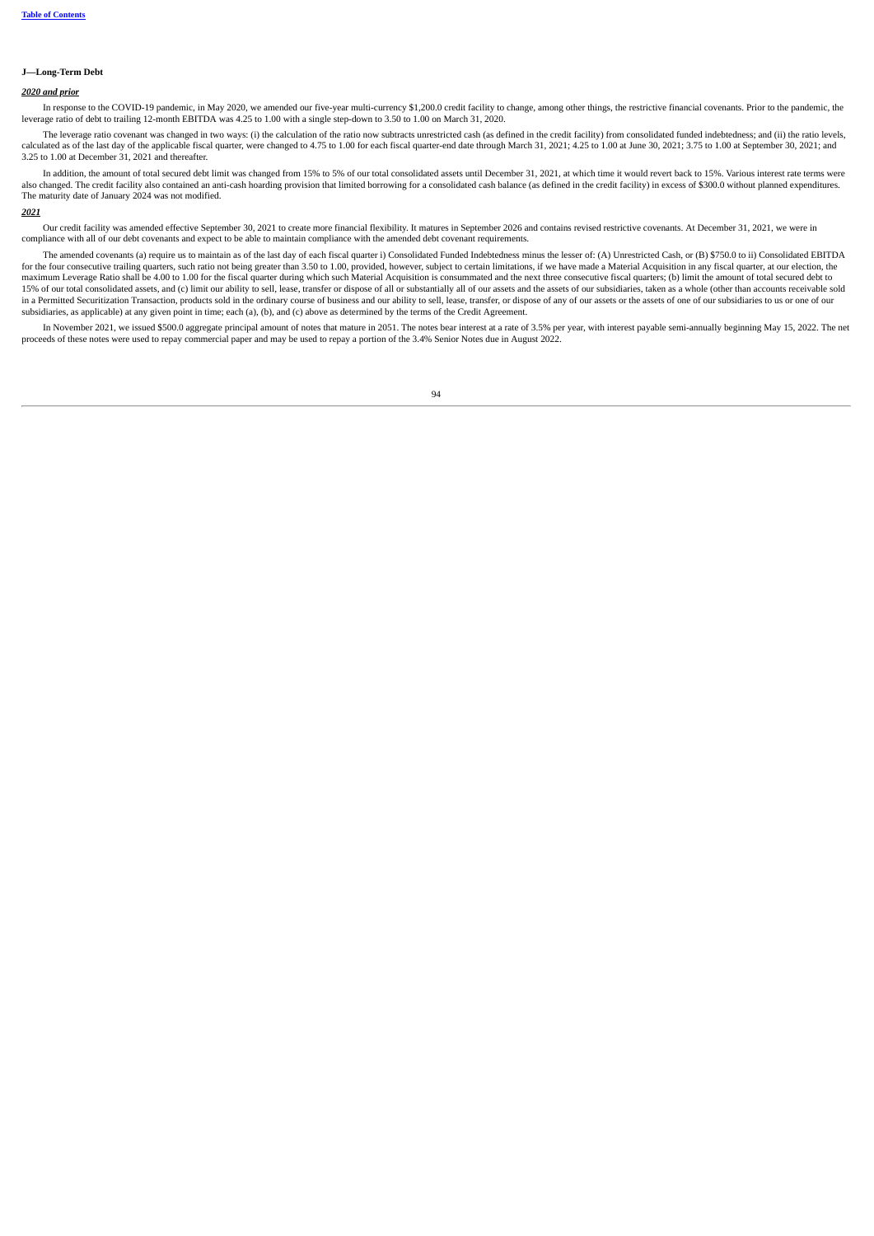#### **J—Long-Term Debt**

#### *2020 and prior*

In response to the COVID-19 pandemic, in May 2020, we amended our five-year multi-currency \$1,200.0 credit facility to change, among other things, the restrictive financial covenants. Prior to the pandemic, the leverage ratio of debt to trailing 12-month EBITDA was 4.25 to 1.00 with a single step-down to 3.50 to 1.00 on March 31, 2020.

The leverage ratio covenant was changed in two ways: (i) the calculation of the ratio now subtracts unrestricted cash (as defined in the credit facility) from consolidated funded indebtedness; and (ii) the ratio levels, calculated as of the last day of the applicable fiscal quarter, were changed to 4.75 to 1.00 for each fiscal quarter-end date through March 31, 2021; 4.25 to 1.00 at June 30, 2021; 3.75 to 1.00 at September 30, 2021; and 3.25 to 1.00 at December 31, 2021 and thereafter.

In addition, the amount of total secured debt limit was changed from 15% to 5% of our total consolidated assets until December 31, 2021, at which time it would revert back to 15%. Various interest rate terms were also changed. The credit facility also contained an anti-cash hoarding provision that limited borrowing for a consolidated cash balance (as defined in the credit facility) in excess of \$300.0 without planned expenditures. The maturity date of January 2024 was not modified.

#### *2021*

Our credit facility was amended effective September 30, 2021 to create more financial flexibility. It matures in September 2026 and contains revised restrictive covenants. At December 31, 2021, we were in compliance with all of our debt covenants and expect to be able to maintain compliance with the amended debt covenant requirements.

The amended covenants (a) require us to maintain as of the last day of each fiscal quarter i) Consolidated Funded Indebtedness minus the lesser of: (A) Unrestricted Cash, or (B) \$750.0 to ii) Consolidated EBITDA for the four consecutive trailing quarters, such ratio not being greater than 3.50 to 1.00, provided, however, subject to certain limitations, if we have made a Material Acquisition in any fiscal quarter, at our election, maximum Leverage Ratio shall be 4.00 to 1.00 for the fiscal quarter during which such Material Acquisition is consummated and the next three consecutive fiscal quarters; (b) limit the amount of total secured debt to 15% of our total consolidated assets, and (c) limit our ability to sell, lease, transfer or dispose of all or substantially all of our assets and the assets of our subsidiaries, taken as a whole (other than accounts receiv in a Permitted Securitization Transaction, products sold in the ordinary course of business and our ability to sell, lease, transfer, or dispose of any of our assets or the assets of one of our subsidiaries to us or one of subsidiaries, as applicable) at any given point in time; each (a), (b), and (c) above as determined by the terms of the Credit Agreement.

In November 2021, we issued \$500.0 aggregate principal amount of notes that mature in 2051. The notes bear interest at a rate of 3.5% per year, with interest payable semi-annually beginning May 15, 2022. The net proceeds of these notes were used to repay commercial paper and may be used to repay a portion of the 3.4% Senior Notes due in August 2022.

 $Q_{\Delta}$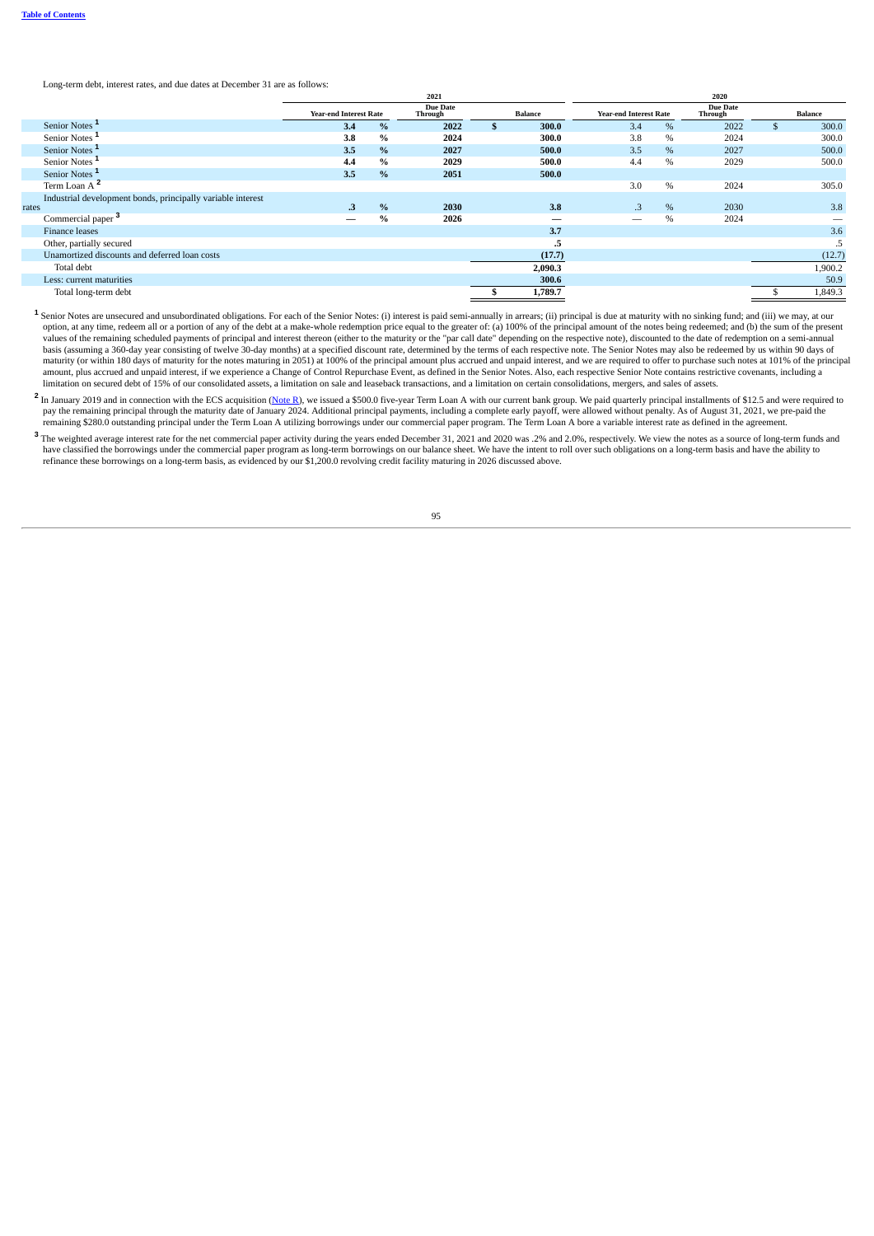Long-term debt, interest rates, and due dates at December 31 are as follows:

|                                                                      |                               |      | 2021                       |    |                |                               |               | 2020                       |    |                |
|----------------------------------------------------------------------|-------------------------------|------|----------------------------|----|----------------|-------------------------------|---------------|----------------------------|----|----------------|
|                                                                      | <b>Year-end Interest Rate</b> |      | <b>Due Date</b><br>Through |    | <b>Balance</b> | <b>Year-end Interest Rate</b> |               | <b>Due Date</b><br>Through |    | <b>Balance</b> |
| Senior Notes <sup>1</sup>                                            | 3.4                           | %    | 2022                       | £. | 300.0          | 3.4                           | %             | 2022                       | S. | 300.0          |
| Senior Notes <sup>1</sup>                                            | 3.8                           | $\%$ | 2024                       |    | 300.0          | 3.8                           | %             | 2024                       |    | 300.0          |
| Senior Notes <sup>1</sup>                                            | 3.5                           | $\%$ | 2027                       |    | 500.0          | 3.5                           | %             | 2027                       |    | 500.0          |
| Senior Notes <sup>1</sup>                                            | 4.4                           | %    | 2029                       |    | 500.0          | 4.4                           | %             | 2029                       |    | 500.0          |
| Senior Notes <sup>1</sup>                                            | 3.5                           | %    | 2051                       |    | 500.0          |                               |               |                            |    |                |
| Term Loan A <sup>2</sup>                                             |                               |      |                            |    |                | 3.0                           | %             | 2024                       |    | 305.0          |
| Industrial development bonds, principally variable interest<br>rates | $\cdot$ <sub>3</sub>          | $\%$ | 2030                       |    | 3.8            | $\cdot$ <sub>3</sub>          | $\%$          | 2030                       |    | 3.8            |
| Commercial paper <sup>3</sup>                                        | –                             | %    | 2026                       |    |                |                               | $\frac{0}{0}$ | 2024                       |    | _              |
| <b>Finance leases</b>                                                |                               |      |                            |    | 3.7            |                               |               |                            |    | 3.6            |
| Other, partially secured                                             |                               |      |                            |    | .5             |                               |               |                            |    | .5             |
| Unamortized discounts and deferred loan costs                        |                               |      |                            |    | (17.7)         |                               |               |                            |    | (12.7)         |
| Total debt                                                           |                               |      |                            |    | 2,090.3        |                               |               |                            |    | 1,900.2        |
| Less: current maturities                                             |                               |      |                            |    | 300.6          |                               |               |                            |    | 50.9           |
| Total long-term debt                                                 |                               |      |                            |    | 1,789.7        |                               |               |                            |    | 1,849.3        |

Senior Notes are unsecured and unsubordinated obligations. For each of the Senior Notes: (i) interest is paid semi-annually in arrears; (ii) principal is due at maturity with no sinking fund; and (iii) we may, at our optio basis (assuming a 360-day year consisting of twelve 30-day months) at a specified discount rate, determined by the terms of each respective note. The Senior Notes may also be redeemed by us within 90 days of maturity (or within 180 days of maturity for the notes maturing in 2051) at 100% of the principal amount plus accrued and unpaid interest, and we are required to offer to purchase such notes at 101% of the principal<br>amount limitation on secured debt of 15% of our consolidated assets, a limitation on sale and leaseback transactions, and a limitation on certain consolidations, mergers, and sales of assets. **1**

In January 2019 and in connection with the ECS acquisition (Note R), we issued a \$500.0 five-year Term Loan A with our current bank group. We paid quarterly principal installments of \$12.5 and were required to **2** pay the remaining principal through the maturity date of January 2024. Additional principal payments, including a complete early payoff, were allowed without penalty. As of August 31, 2021, we pre-paid the remaining \$280.0 outstanding principal under the Term Loan A utilizing borrowings under our commercial paper program. The Term Loan A bore a variable interest rate as defined in the agreement.

The weighted average interest rate for the net commercial paper activity during the years ended December 31, 2021 and 2020 was .2% and 2.0%, respectively. We view the notes as a source of long-term funds and **3** have classified the borrowings under the commercial paper program as long-term borrowings on our balance sheet. We have the intent to roll over such obligations on a long-term basis and have the ability to refinance these borrowings on a long-term basis, as evidenced by our \$1,200.0 revolving credit facility maturing in 2026 discussed above.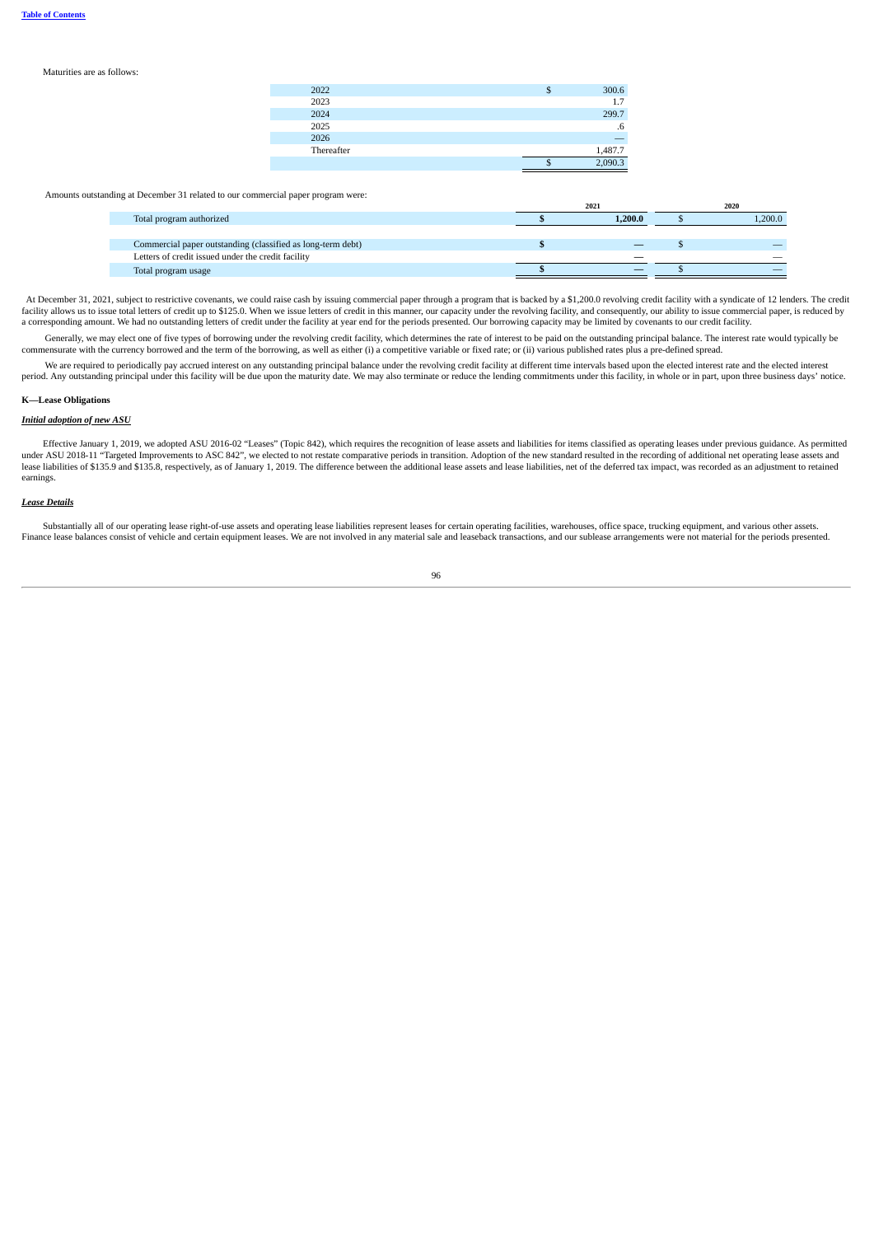#### Maturities are as follows:

| 2022       | a | 300.6   |
|------------|---|---------|
| 2023       |   | 1.7     |
| 2024       |   | 299.7   |
| 2025       |   | .6      |
| 2026       |   |         |
| Thereafter |   | 1,487.7 |
|            |   | 2,090.3 |

Amounts outstanding at December 31 related to our commercial paper program were:

|                                                             | 2021    | 2020    |
|-------------------------------------------------------------|---------|---------|
| Total program authorized                                    | 1.200.0 | 1.200.0 |
|                                                             |         |         |
| Commercial paper outstanding (classified as long-term debt) |         |         |
| Letters of credit issued under the credit facility          |         |         |
| Total program usage                                         |         |         |

At December 31, 2021, subject to restrictive covenants, we could raise cash by issuing commercial paper through a program that is backed by a \$1,200.0 revolving credit facility with a syndicate of 12 lenders. The credit The December 31, 2021, Story-C. to resultate covenants, we could have cash by issuing commercial paper involge a program nate to delive by a specific server crossing counter the world of the set of the second consequently, a corresponding amount. We had no outstanding letters of credit under the facility at year end for the periods presented. Our borrowing capacity may be limited by covenants to our credit facility.

Generally, we may elect one of five types of borrowing under the revolving credit facility, which determines the rate of interest to be paid on the outstanding principal balance. The interest rate would typically be commensurate with the currency borrowed and the term of the borrowing, as well as either (i) a competitive variable or fixed rate; or (ii) various published rates plus a pre-defined spread.

We are required to periodically pay accrued interest on any outstanding principal balance under the revolving credit facility at different time intervals based upon the elected interest rate and the elected interest period. Any outstanding principal under this facility will be due upon the maturity date. We may also terminate or reduce the lending commitments under this facility, in whole or in part, upon three business days' notice.

### **K—Lease Obligations**

### *Initial adoption of new ASU*

Effective January 1, 2019, we adopted ASU 2016-02 "Leases" (Topic 842), which requires the recognition of lease assets and liabilities for items classified as operating leases under previous guidance. As permitted under ASU 2018-11 "Targeted Improvements to ASC 842", we elected to not restate comparative periods in transition. Adoption of the new standard resulted in the recording of additional net operating lease assets and<br>lease l earnings.

### *Lease Details*

Substantially all of our operating lease right-of-use assets and operating lease liabilities represent leases for certain operating facilities, warehouses, office space, trucking equipment, and various other assets. Finance lease balances consist of vehicle and certain equipment leases. We are not involved in any material sale and leaseback transactions, and our sublease arrangements were not material for the periods presented.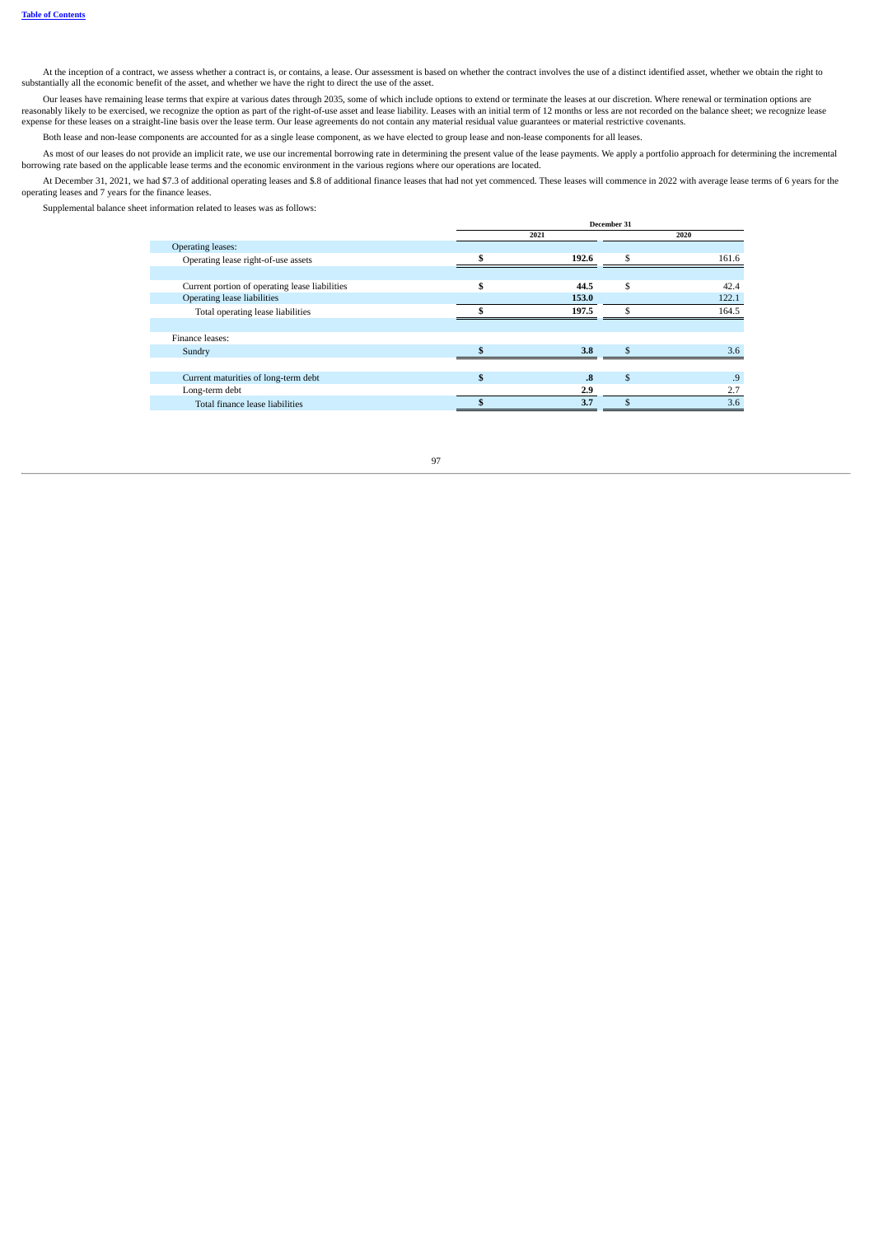At the inception of a contract, we assess whether a contract is, or contains, a lease. Our assessment is based on whether the contract involves the use of a distinct identified asset, whether we obtain the right to substantially all the economic benefit of the asset, and whether we have the right to direct the use of the asset.

Our leases have remaining lease terms that expire at various dates through 2035, some of which include options to extend or terminate the leases at our discretion. Where renewal or termination options are reasonably likely to be exercised, we recognize the option as part of the right-of-use asset and lease liability. Leases with an initial term of 12 months or less are not recorded on the balance sheet; we recognize lease expense for these leases on a straight-line basis over the lease term. Our lease agreements do not contain any material residual value guarantees or material restrictive covenants.

Both lease and non-lease components are accounted for as a single lease component, as we have elected to group lease and non-lease components for all leases.

As most of our leases do not provide an implicit rate, we use our incremental borrowing rate in determining the present value of the lease payments. We apply a portfolio approach for determining the incremental borrowing rate based on the applicable lease terms and the economic environment in the various regions where our operations are located.

At December 31, 2021, we had \$7.3 of additional operating leases and \$.8 of additional finance leases that had not yet commenced. These leases will commence in 2022 with average lease terms of 6 years for the operating leases and 7 years for the finance leases.

Supplemental balance sheet information related to leases was as follows:

|                                                | December 31 |               |      |       |  |  |  |  |
|------------------------------------------------|-------------|---------------|------|-------|--|--|--|--|
|                                                |             | 2021          | 2020 |       |  |  |  |  |
| Operating leases:                              |             |               |      |       |  |  |  |  |
| Operating lease right-of-use assets            |             | 192.6         | đ    | 161.6 |  |  |  |  |
|                                                |             |               |      |       |  |  |  |  |
| Current portion of operating lease liabilities | \$          | 44.5          | \$   | 42.4  |  |  |  |  |
| <b>Operating lease liabilities</b>             |             | 153.0         |      | 122.1 |  |  |  |  |
| Total operating lease liabilities              |             | 197.5         |      | 164.5 |  |  |  |  |
|                                                |             |               |      |       |  |  |  |  |
| Finance leases:                                |             |               |      |       |  |  |  |  |
| Sundry                                         |             | 3.8           |      | 3.6   |  |  |  |  |
|                                                |             |               |      |       |  |  |  |  |
| Current maturities of long-term debt           | \$          | $\mathbf{.8}$ | \$   | .9    |  |  |  |  |
| Long-term debt                                 |             | 2.9           |      | 2.7   |  |  |  |  |
| Total finance lease liabilities                |             | 3.7           |      | 3.6   |  |  |  |  |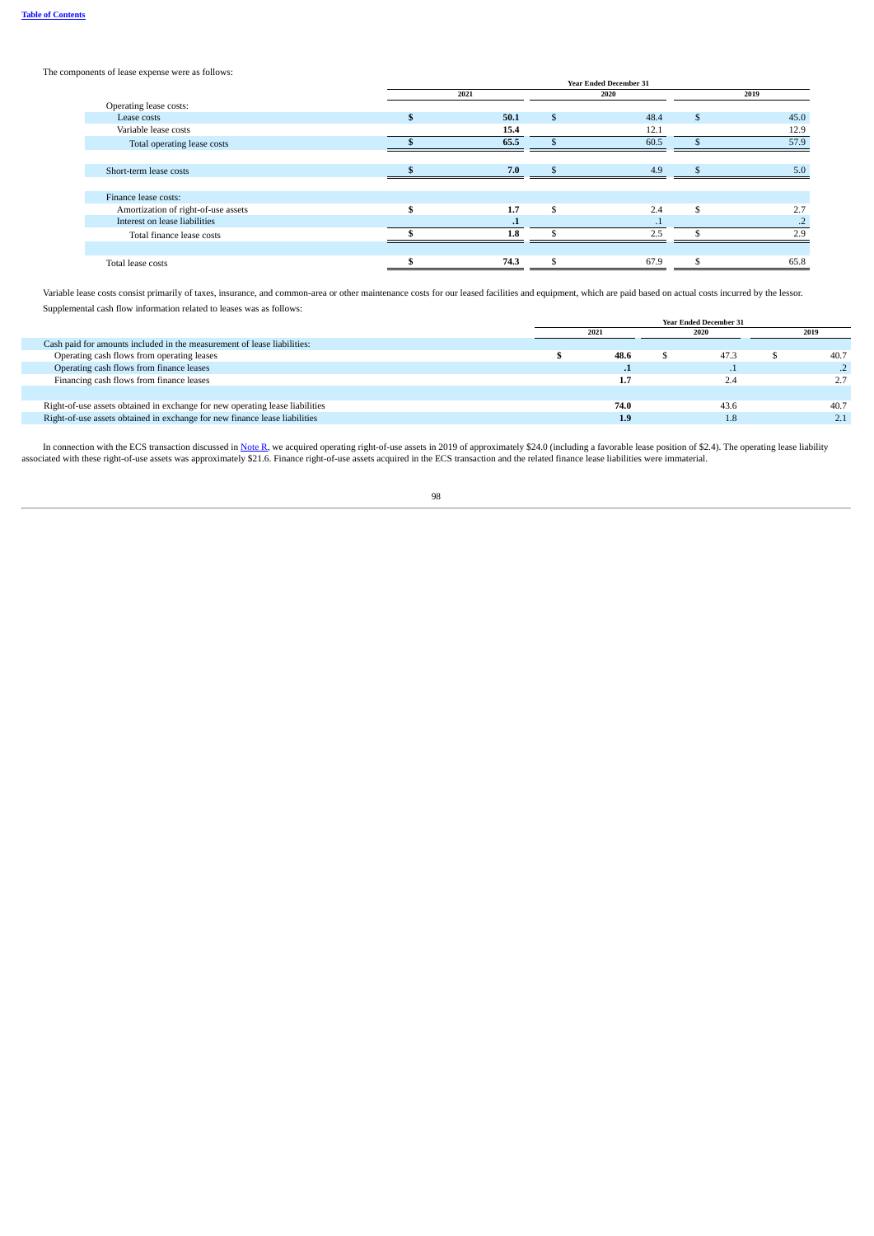The components of lease expense were as follows:

|                                     | <b>Year Ended December 31</b> |              |      |      |      |  |  |  |
|-------------------------------------|-------------------------------|--------------|------|------|------|--|--|--|
|                                     | 2021                          |              | 2020 | 2019 |      |  |  |  |
| Operating lease costs:              |                               |              |      |      |      |  |  |  |
| Lease costs                         | 50.1                          | $\mathbf{s}$ | 48.4 | \$   | 45.0 |  |  |  |
| Variable lease costs                | 15.4                          |              | 12.1 |      | 12.9 |  |  |  |
| Total operating lease costs         | 65.5                          |              | 60.5 |      | 57.9 |  |  |  |
|                                     |                               |              |      |      |      |  |  |  |
| Short-term lease costs              | 7.0                           |              | 4.9  |      | 5.0  |  |  |  |
|                                     |                               |              |      |      |      |  |  |  |
| Finance lease costs:                |                               |              |      |      |      |  |  |  |
| Amortization of right-of-use assets | 1.7                           | \$.          | 2.4  | \$   | 2.7  |  |  |  |
| Interest on lease liabilities       | л.                            |              |      |      |      |  |  |  |
| Total finance lease costs           | 1.8                           |              | 2.5  |      | 2.9  |  |  |  |
|                                     |                               |              |      |      |      |  |  |  |
| Total lease costs                   | 74.3                          |              | 67.9 |      | 65.8 |  |  |  |
|                                     |                               |              |      |      |      |  |  |  |

Variable lease costs consist primarily of taxes, insurance, and common-area or other maintenance costs for our leased facilities and equipment, which are paid based on actual costs incurred by the lessor. Supplemental cash flow information related to leases was as follows:

|                                                                              | <b>Year Ended December 31</b> |         |      |         |  |      |
|------------------------------------------------------------------------------|-------------------------------|---------|------|---------|--|------|
|                                                                              | 2021                          |         | 2020 |         |  | 2019 |
| Cash paid for amounts included in the measurement of lease liabilities:      |                               |         |      |         |  |      |
| Operating cash flows from operating leases                                   |                               | 48.6    |      | 47.3    |  | 40.7 |
| Operating cash flows from finance leases                                     |                               | $\cdot$ |      | $\cdot$ |  |      |
| Financing cash flows from finance leases                                     |                               | 1.7     |      | 2.4     |  |      |
|                                                                              |                               |         |      |         |  |      |
| Right-of-use assets obtained in exchange for new operating lease liabilities |                               | 74.0    |      | 43.6    |  | 40.7 |
| Right-of-use assets obtained in exchange for new finance lease liabilities   |                               | 1.9     |      | 1.8     |  | 2.1  |

In connection with the ECS transaction discussed in <u>Note R</u>, we acquired operating right-of-use assets in 2019 of approximately \$24.0 (including a favorable lease position of \$2.4). The operating lease liability associate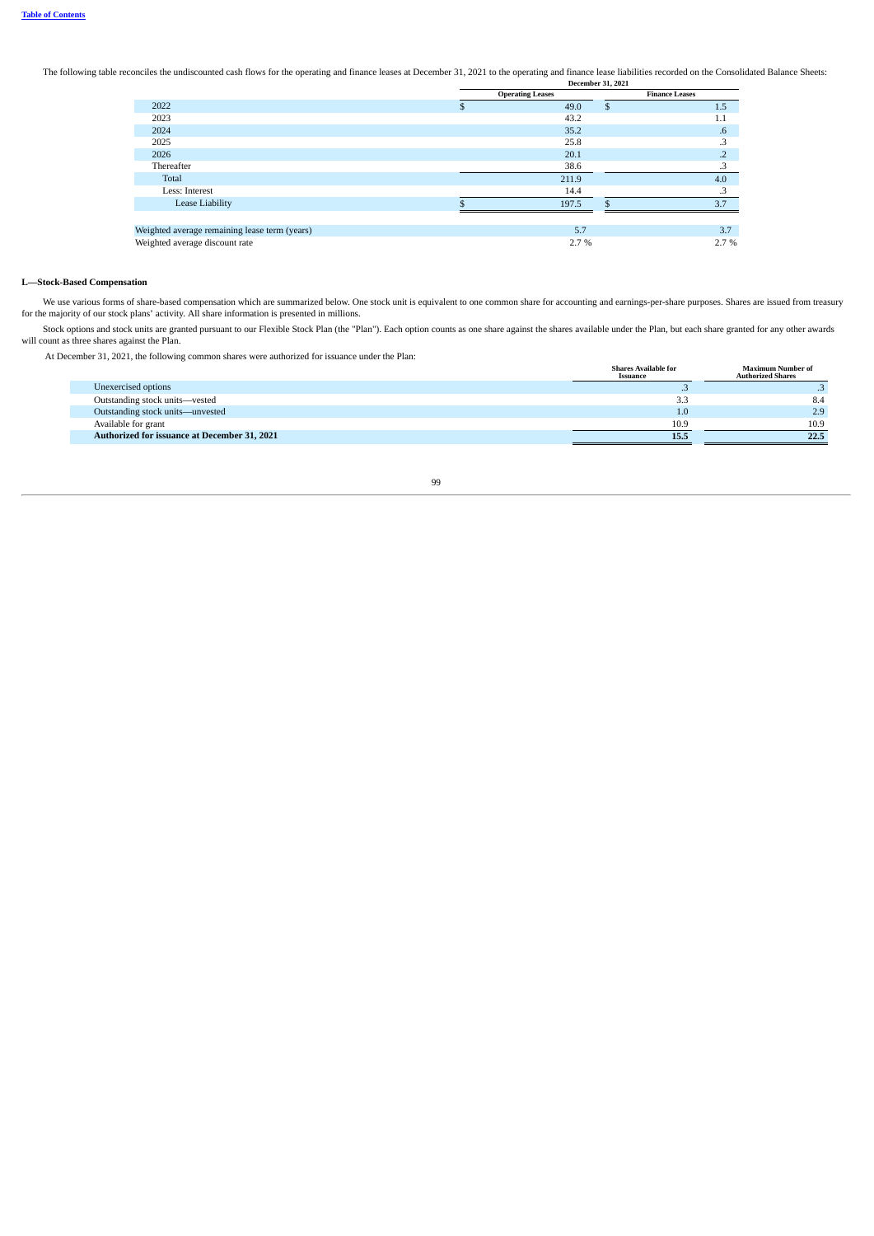The following table reconciles the undiscounted cash flows for the operating and finance leases at December 31, 2021 to the operating and finance lease liabilities recorded on the Consolidated Balance Sheets:

|                                               |   | <b>December 31, 2021</b> |                       |                 |  |  |  |  |  |
|-----------------------------------------------|---|--------------------------|-----------------------|-----------------|--|--|--|--|--|
|                                               |   | <b>Operating Leases</b>  | <b>Finance Leases</b> |                 |  |  |  |  |  |
| 2022                                          | D | 49.0                     | \$                    | 1.5             |  |  |  |  |  |
| 2023                                          |   | 43.2                     |                       | 1.1             |  |  |  |  |  |
| 2024                                          |   | 35.2                     |                       | .6 <sub>5</sub> |  |  |  |  |  |
| 2025                                          |   | 25.8                     |                       | .3              |  |  |  |  |  |
| 2026                                          |   | 20.1                     |                       | $\overline{.2}$ |  |  |  |  |  |
| Thereafter                                    |   | 38.6                     |                       | .З              |  |  |  |  |  |
| Total                                         |   | 211.9                    |                       | 4.0             |  |  |  |  |  |
| Less: Interest                                |   | 14.4                     |                       | .3              |  |  |  |  |  |
| Lease Liability                               |   | 197.5                    |                       | 3.7             |  |  |  |  |  |
|                                               |   |                          |                       |                 |  |  |  |  |  |
| Weighted average remaining lease term (years) |   | 5.7                      |                       | 3.7             |  |  |  |  |  |
| Weighted average discount rate                |   | 2.7 %                    |                       | 2.7%            |  |  |  |  |  |

### **L—Stock-Based Compensation**

We use various forms of share-based compensation which are summarized below. One stock unit is equivalent to one common share for accounting and earnings-per-share purposes. Shares are issued from treasury for the majority

Stock options and stock units are granted pursuant to our Flexible Stock Plan (the "Plan"). Each option counts as one share against the shares available under the Plan, but each share granted for any other awards will count as three shares against the Plan.

At December 31, 2021, the following common shares were authorized for issuance under the Plan:

|                                              | <b>Shares Available for</b><br>Issuance | <b>Maximum Number of</b><br><b>Authorized Shares</b> |
|----------------------------------------------|-----------------------------------------|------------------------------------------------------|
| Unexercised options                          | ن.                                      |                                                      |
| Outstanding stock units-vested               | 3.3                                     | 8.4                                                  |
| Outstanding stock units-unvested             | 1.0                                     | 2.9                                                  |
| Available for grant                          | 10.9                                    | 10.9                                                 |
| Authorized for issuance at December 31, 2021 | 15.5                                    | 22.5                                                 |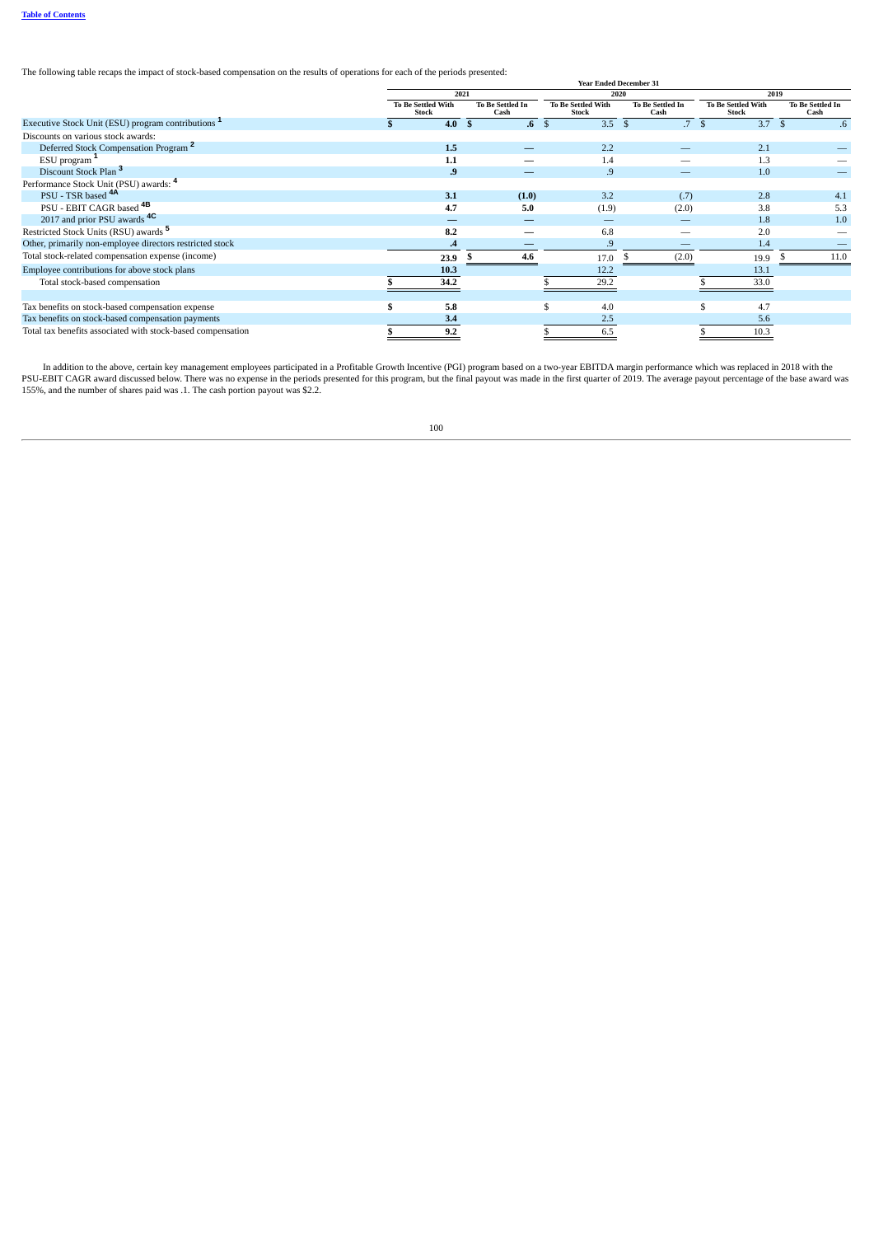The following table recaps the impact of stock-based compensation on the results of operations for each of the periods presented:

|                                                               |                                    |                          |                   |               | <b>Year Ended December 31</b>      |                          |                 |                                    |                          |  |
|---------------------------------------------------------------|------------------------------------|--------------------------|-------------------|---------------|------------------------------------|--------------------------|-----------------|------------------------------------|--------------------------|--|
|                                                               | 2021                               |                          |                   | 2020          |                                    |                          |                 | 2019                               |                          |  |
|                                                               | To Be Settled With<br><b>Stock</b> | To Be Settled In<br>Cash |                   |               | To Be Settled With<br><b>Stock</b> | To Be Settled In<br>Cash |                 | To Be Settled With<br><b>Stock</b> | To Be Settled In<br>Cash |  |
| Executive Stock Unit (ESU) program contributions <sup>1</sup> | 4.0                                | - \$                     | $\boldsymbol{.6}$ | $\mathcal{S}$ | 3.5                                | $\mathcal{S}$            | .7 <sup>5</sup> | 3.7                                | $\mathfrak{S}$<br>.6     |  |
| Discounts on various stock awards:                            |                                    |                          |                   |               |                                    |                          |                 |                                    |                          |  |
| Deferred Stock Compensation Program <sup>2</sup>              | 1.5                                |                          |                   |               | 2.2                                |                          |                 | 2.1                                |                          |  |
| ESU program $1$                                               | 1.1                                |                          |                   |               | 1.4                                |                          |                 | 1.3                                |                          |  |
| Discount Stock Plan <sup>3</sup>                              | .9                                 |                          |                   |               | .9                                 |                          |                 | 1.0                                |                          |  |
| Performance Stock Unit (PSU) awards: 4                        |                                    |                          |                   |               |                                    |                          |                 |                                    |                          |  |
| PSU - TSR based <sup>4A</sup>                                 | 3.1                                |                          | (1.0)             |               | 3.2                                |                          | (.7)            | 2.8                                | 4.1                      |  |
| PSU - EBIT CAGR based <sup>4B</sup>                           | 4.7                                |                          | 5.0               |               | (1.9)                              |                          | (2.0)           | 3.8                                | 5.3                      |  |
| 2017 and prior PSU awards <sup>4C</sup>                       |                                    |                          |                   |               |                                    |                          |                 | 1.8                                | 1.0                      |  |
| Restricted Stock Units (RSU) awards <sup>5</sup>              | 8.2                                |                          |                   |               | 6.8                                |                          |                 | 2.0                                |                          |  |
| Other, primarily non-employee directors restricted stock      | .4                                 |                          |                   |               | .9                                 |                          |                 | 1.4                                |                          |  |
| Total stock-related compensation expense (income)             | 23.9                               |                          | 4.6               |               | 17.0                               |                          | (2.0)           | 19.9                               | 11.0                     |  |
| Employee contributions for above stock plans                  | 10.3                               |                          |                   |               | 12.2                               |                          |                 | 13.1                               |                          |  |
| Total stock-based compensation                                | 34.2                               |                          |                   |               | 29.2                               |                          |                 | 33.0                               |                          |  |
|                                                               |                                    |                          |                   |               |                                    |                          |                 |                                    |                          |  |
| Tax benefits on stock-based compensation expense              | 5.8                                |                          |                   |               | 4.0                                |                          |                 | 4.7                                |                          |  |
| Tax benefits on stock-based compensation payments             | 3.4                                |                          |                   |               | 2.5                                |                          |                 | 5.6                                |                          |  |
| Total tax benefits associated with stock-based compensation   | 9.2                                |                          |                   |               | 6.5                                |                          |                 | 10.3                               |                          |  |

In addition to the above, certain key management employees participated in a Profitable Growth Incentive (PGI) program based on a two-year EBITDA margin performance which was replaced in 2018 with the SNJ-EBIT CAGR award d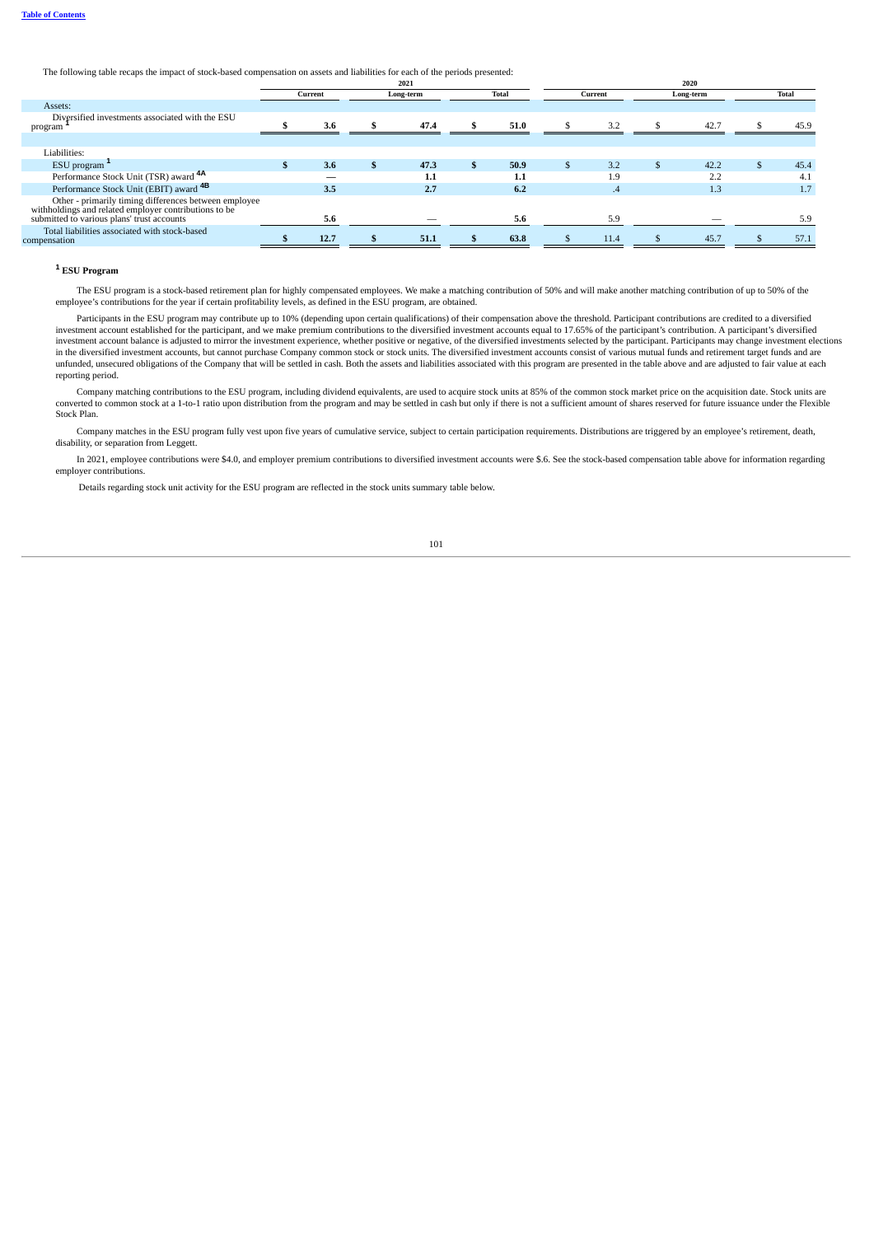The following table recaps the impact of stock-based compensation on assets and liabilities for each of the periods presented:

|                                                                                                                                                              | 2021 |         |           |      |  | 2020  |         |      |           |      |              |      |
|--------------------------------------------------------------------------------------------------------------------------------------------------------------|------|---------|-----------|------|--|-------|---------|------|-----------|------|--------------|------|
|                                                                                                                                                              |      | Current | Long-term |      |  | Total | Current |      | Long-term |      | <b>Total</b> |      |
| Assets:                                                                                                                                                      |      |         |           |      |  |       |         |      |           |      |              |      |
| Diversified investments associated with the ESU<br>program                                                                                                   |      | 3.6     |           | 47.4 |  | 51.0  |         | 3.2  |           | 42.7 |              | 45.9 |
|                                                                                                                                                              |      |         |           |      |  |       |         |      |           |      |              |      |
| Liabilities:                                                                                                                                                 |      |         |           |      |  |       |         |      |           |      |              |      |
| ESU program -                                                                                                                                                |      | 3.6     |           | 47.3 |  | 50.9  |         | 3.2  |           | 42.2 |              | 45.4 |
| Performance Stock Unit (TSR) award <sup>4A</sup>                                                                                                             |      |         |           | 1.1  |  | 1.1   |         | 1.9  |           | 2.2  |              | 4.1  |
| Performance Stock Unit (EBIT) award <sup>4B</sup>                                                                                                            |      | 3.5     |           | 2.7  |  | 6.2   |         | .4   |           | 1.3  |              | 1.7  |
| Other - primarily timing differences between employee<br>withholdings and related employer contributions to be<br>submitted to various plans' trust accounts |      | 5.6     |           |      |  | 5.6   |         | 5.9  |           |      |              | 5.9  |
| Total liabilities associated with stock-based<br>compensation                                                                                                |      | 12.7    |           | 51.1 |  | 63.8  |         | 11.4 |           | 45.7 |              | 57.1 |

### **ESU Program 1**

The ESU program is a stock-based retirement plan for highly compensated employees. We make a matching contribution of 50% and will make another matching contribution of up to 50% of the<br>employee's contributions for the yea

Participants in the ESU program may contribute up to 10% (depending upon certain qualifications) of their compensation above the threshold. Participant contributions are credited to a diversified investment account established for the participant, and we make premium contributions to the diversified investment accounts equal to 17.65% of the participant's contribution. A participant's diversified investment account balance is adjusted to mirror the investment experience, whether positive or negative, of the diversified investments selected by the participant. Participants may change investment elections in the diversified investment accounts, but cannot purchase Company common stock or stock units. The diversified investment accounts consist of various mutual funds and retirement target funds and are<br>unfunded, unsecured o reporting period.

Company matching contributions to the ESU program, including dividend equivalents, are used to acquire stock units at 85% of the common stock market price on the acquisition date. Stock units are converted to common stock at a 1-to-1 ratio upon distribution from the program and may be settled in cash but only if there is not a sufficient amount of shares reserved for future issuance under the Flexible Stock Plan.

Company matches in the ESU program fully vest upon five years of cumulative service, subject to certain participation requirements. Distributions are triggered by an employee's retirement, death, disability, or separation from Leggett.

In 2021, employee contributions were \$4.0, and employer premium contributions to diversified investment accounts were \$.6. See the stock-based compensation table above for information regarding employer contributions.

Details regarding stock unit activity for the ESU program are reflected in the stock units summary table below.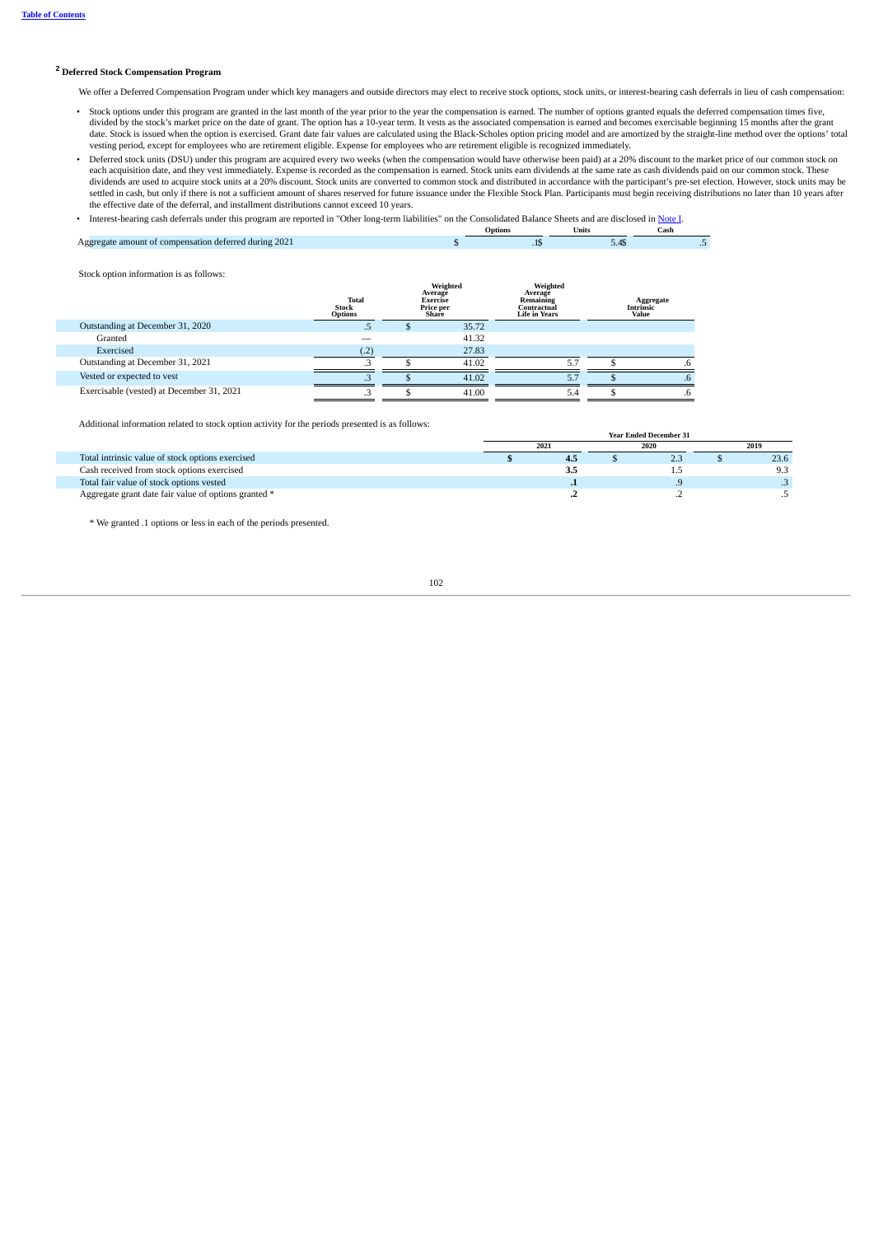### **Deferred Stock Compensation Program 2**

We offer a Deferred Compensation Program under which key managers and outside directors may elect to receive stock options, stock units, or interest-bearing cash deferrals in lieu of cash compensation:

- Stock options under this program are granted in the last month of the year prior to the year the compensation is earned. The number of options granted equals the deferred compensation times five, divided by the stock's market price on the date of grant. The option has a 10-year term. It vests as the associated compensation is earned and becomes exercisable beginning 15 months after the grant date. Stock is issued when the option is exercised. Grant date fair values are calculated using the Black-Scholes option pricing model and are amortized by the straight-line method over the options' total vesting period, except for employees who are retirement eligible. Expense for employees who are retirement eligible is recognized immediately.
- Deferred stock units (DSU) under this program are acquired every two weeks (when the compensation would have otherwise been paid) at a 20% discount to the market price of our common stock on each acquisition date, and they vest immediately. Expense is recorded as the compensation is earned. Stock units earn dividends at the same rate as cash dividends paid on our common stock. These<br>dividends are used to acqui settled in cash, but only if there is not a sufficient amount of shares reserved for future issuance under the Flexible Stock Plan. Participants must begin receiving distributions no later than 10 years after the effective date of the deferral, and installment distributions cannot exceed 10 years.
- Interest-bearing cash deferrals under this program are reported in "Other long-term liabilities" on the Consolidated Balance Sheets and are disclosed in Note I.

# **Options Units Cash** Aggregate amount of compensation deferred during 2021 \$ .1\$ 5.4\$ .5

Stock option information is as follows:

|                                           | <b>Total</b><br><b>Stock</b><br><b>Options</b> | Weighted<br>Average<br><b>Exercise</b><br>Price per<br>Share | Weighted<br>Average<br>Remaining<br>Contractual<br><b>Life in Years</b> | Aggregate<br><b>Intrinsic</b><br>Value |
|-------------------------------------------|------------------------------------------------|--------------------------------------------------------------|-------------------------------------------------------------------------|----------------------------------------|
| Outstanding at December 31, 2020          | - 14                                           | 35.72                                                        |                                                                         |                                        |
| Granted                                   |                                                | 41.32                                                        |                                                                         |                                        |
| Exercised                                 | (2)                                            | 27.83                                                        |                                                                         |                                        |
| Outstanding at December 31, 2021          |                                                | 41.02                                                        | 5.7                                                                     | .h                                     |
| Vested or expected to vest                |                                                | 41.02                                                        | 5.7                                                                     | .ხ.                                    |
| Exercisable (vested) at December 31, 2021 |                                                | 41.00                                                        | 5.4                                                                     | .b                                     |

Additional information related to stock option activity for the periods presented is as follows:

| Traditional information related to stock option activity for the periods presented is as follows. |                               |     |  |      |  |      |  |
|---------------------------------------------------------------------------------------------------|-------------------------------|-----|--|------|--|------|--|
|                                                                                                   | <b>Year Ended December 31</b> |     |  |      |  |      |  |
|                                                                                                   | 2021<br>2020                  |     |  | 2019 |  |      |  |
| Total intrinsic value of stock options exercised                                                  |                               | 4.5 |  | 2.3  |  | 23.6 |  |
| Cash received from stock options exercised                                                        |                               | 3.5 |  |      |  |      |  |
| Total fair value of stock options vested                                                          |                               |     |  |      |  |      |  |
| Aggregate grant date fair value of options granted *                                              |                               |     |  |      |  |      |  |

\* We granted .1 options or less in each of the periods presented.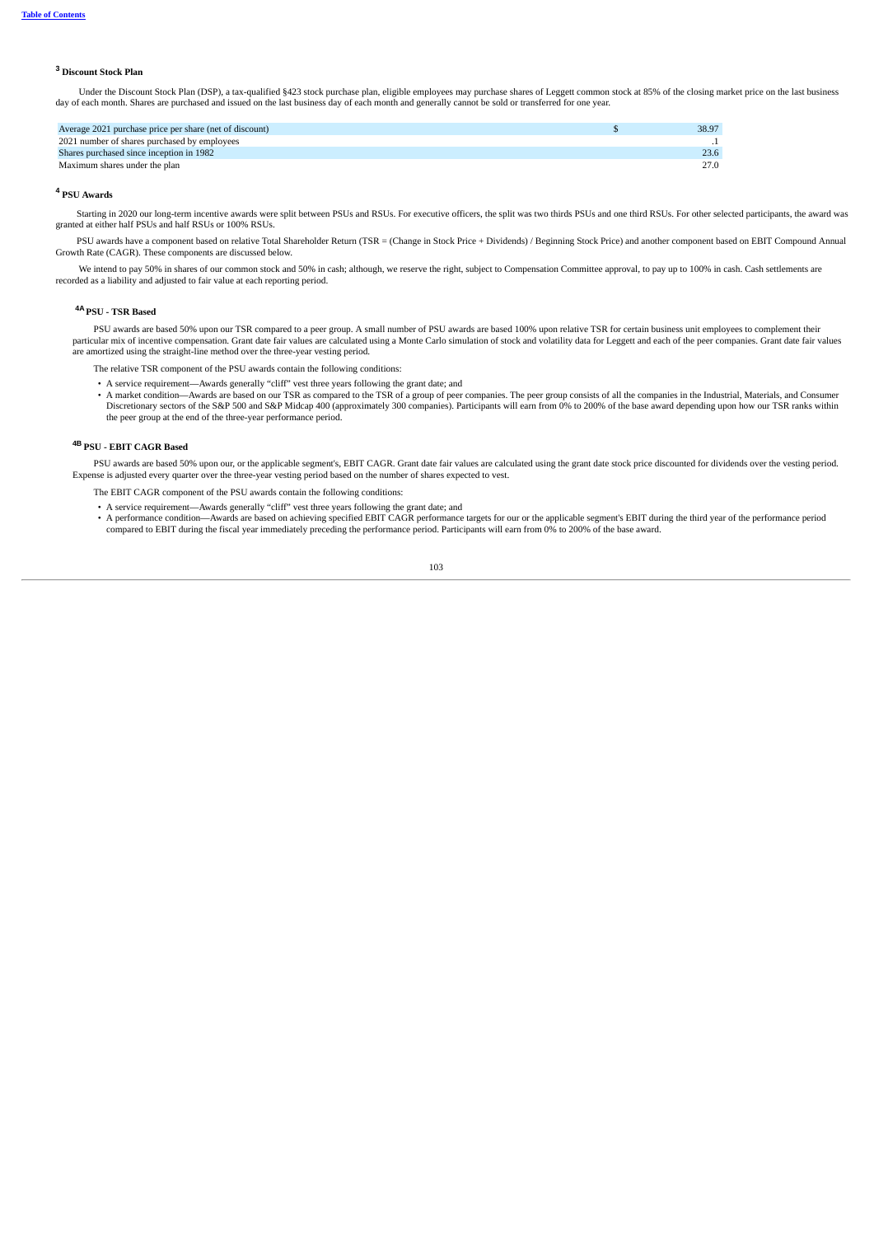### **Discount Stock Plan 3**

Under the Discount Stock Plan (DSP), a tax-qualified §423 stock purchase plan, eligible employees may purchase shares of Leggett common stock at 85% of the closing market price on the last business day of each month. Shares are purchased and issued on the last business day of each month and generally cannot be sold or transferred for one year.

| 38.97 |
|-------|
|       |
| 23.6  |
| 27.0  |
|       |

#### **PSU Awards 4**

Starting in 2020 our long-term incentive awards were split between PSUs and RSUs. For executive officers, the split was two thirds PSUs and one third RSUs. For other selected participants, the award was granted at either half PSUs and half RSUs or 100% RSUs.

PSU awards have a component based on relative Total Shareholder Return (TSR = (Change in Stock Price + Dividends) / Beginning Stock Price) and another component based on EBIT Compound Annual Growth Rate (CAGR). These components are discussed below.

We intend to pay 50% in shares of our common stock and 50% in cash; although, we reserve the right, subject to Compensation Committee approval, to pay up to 100% in cash. Cash settlements are recorded as a liability and adjusted to fair value at each reporting period.

### **PSU - TSR Based 4A**

PSU awards are based 50% upon our TSR compared to a peer group. A small number of PSU awards are based 100% upon relative TSR for certain business unit employees to complement their particular mix of incentive compensation. Grant date fair values are calculated using a Monte Carlo simulation of stock and volatility data for Leggett and each of the peer companies. Grant date fair values are amortized using the straight-line method over the three-year vesting period.

The relative TSR component of the PSU awards contain the following conditions:

- A service requirement—Awards generally "cliff" vest three years following the grant date; and
- A market condition—Awards are based on our TSR as compared to the TSR of a group of peer companies. The peer group consists of all the companies in the Industrial, Materials, and Consumer Discretionary sectors of the S&P 500 and S&P Midcap 400 (approximately 300 companies). Participants will earn from 0% to 200% of the base award depending upon how our TSR ranks within the peer group at the end of the three-year performance period.

#### **PSU - EBIT CAGR Based 4B**

PSU awards are based 50% upon our, or the applicable segment's, EBIT CAGR. Grant date fair values are calculated using the grant date stock price discounted for dividends over the vesting period. Expense is adjusted every quarter over the three-year vesting period based on the number of shares expected to vest.

The EBIT CAGR component of the PSU awards contain the following conditions:

- A service requirement—Awards generally "cliff" vest three years following the grant date; and
- A performance condition—Awards are based on achieving specified EBIT CAGR performance targets for our or the applicable segment's EBIT during the third year of the performance period compared to EBIT during the fiscal year immediately preceding the performance period. Participants will earn from 0% to 200% of the base award.

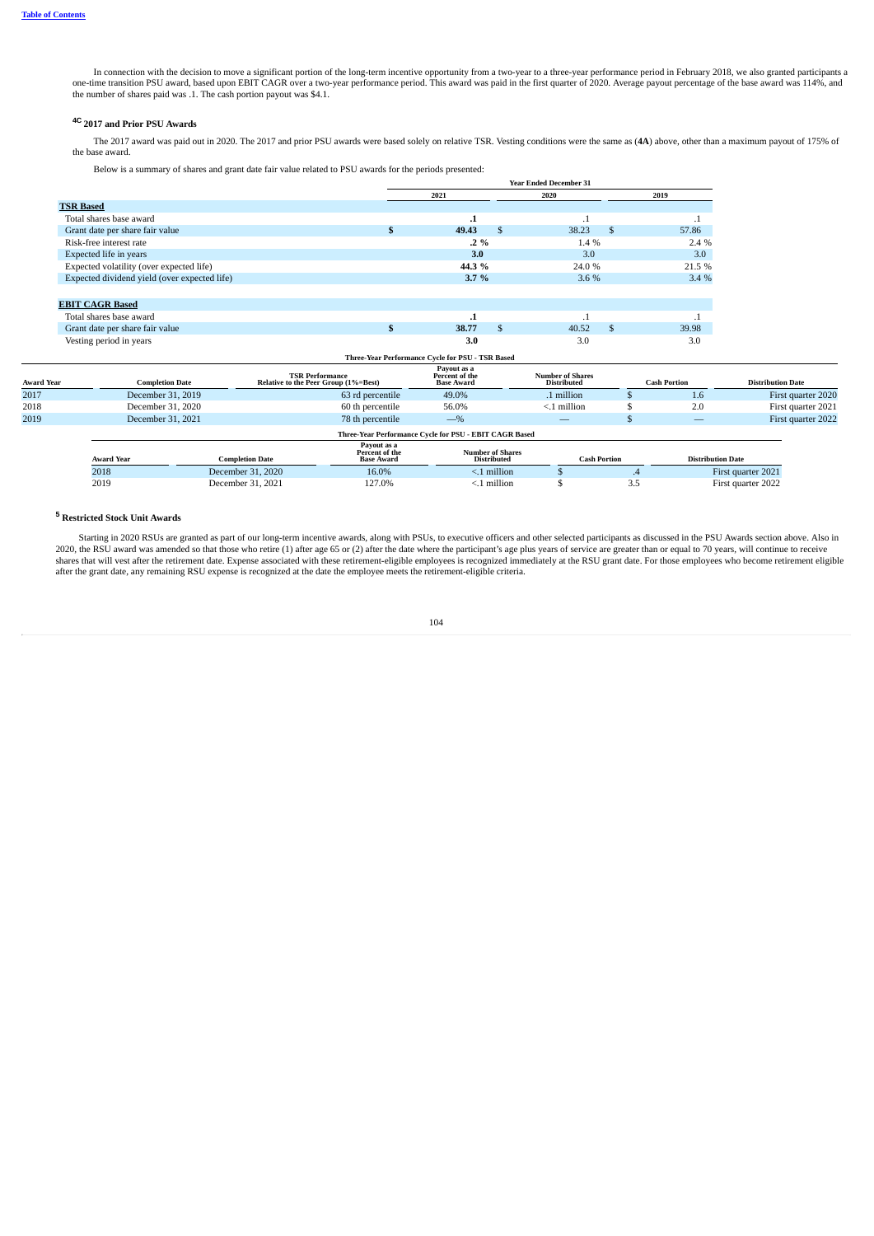In connection with the decision to move a significant portion of the long-term incentive opportunity from a two-year to a three-year performance period in February 2018, we also granted participants a<br>One-time transition P the number of shares paid was .1. The cash portion payout was \$4.1.

### **2017 and Prior PSU Awards 4C**

The 2017 award was paid out in 2020. The 2017 and prior PSU awards were based solely on relative TSR. Vesting conditions were the same as (**4A**) above, other than a maximum payout of 175% of the base award.

Below is a summary of shares and grant date fair value related to PSU awards for the periods presented:

|                                              | <b>Year Ended December 31</b> |                |        |              |        |  |  |  |  |  |
|----------------------------------------------|-------------------------------|----------------|--------|--------------|--------|--|--|--|--|--|
|                                              | 2021<br>2020                  |                |        |              | 2019   |  |  |  |  |  |
| <b>TSR Based</b>                             |                               |                |        |              |        |  |  |  |  |  |
| Total shares base award                      | .1                            |                | . .    |              |        |  |  |  |  |  |
| Grant date per share fair value              | 49.43                         | S.             | 38.23  | -S           | 57.86  |  |  |  |  |  |
| Risk-free interest rate                      | $.2\%$                        |                | 1.4 %  |              |        |  |  |  |  |  |
| Expected life in years                       | 3.0                           |                | 3.0    |              | 3.0    |  |  |  |  |  |
| Expected volatility (over expected life)     | 44.3 %                        |                | 24.0 % |              | 21.5 % |  |  |  |  |  |
| Expected dividend yield (over expected life) | 3.7%                          |                |        | 3.6%         |        |  |  |  |  |  |
| <b>EBIT CAGR Based</b>                       |                               |                |        |              |        |  |  |  |  |  |
| Total shares base award                      | $\cdot$                       |                |        |              |        |  |  |  |  |  |
| Grant date per share fair value              | 38.77                         | $\mathfrak{L}$ | 40.52  | $\mathbf{s}$ | 39.98  |  |  |  |  |  |
| Vesting period in years                      | 3.0                           |                | 3.0    |              | 3.0    |  |  |  |  |  |

| Award Year | <b>Completion Date</b> |                        | <b>TSR Performance</b><br>Relative to the Peer Group (1%=Best) | Payout as a<br>Percent of the<br><b>Base Award</b>     | <b>Number of Shares</b><br><b>Distributed</b> |                     | <b>Cash Portion</b> | <b>Distribution Date</b> |                    |
|------------|------------------------|------------------------|----------------------------------------------------------------|--------------------------------------------------------|-----------------------------------------------|---------------------|---------------------|--------------------------|--------------------|
| 2017       | December 31, 2019      |                        | 63 rd percentile                                               | 49.0%                                                  | .1 million                                    |                     | 1.6                 |                          | First quarter 2020 |
| 2018       | December 31, 2020      |                        | 60 th percentile                                               | 56.0%                                                  | $<$ .1 million                                |                     | 2.0                 |                          | First quarter 2021 |
| 2019       | December 31, 2021      |                        | 78 th percentile                                               | $-$ %                                                  |                                               |                     |                     |                          | First quarter 2022 |
|            |                        |                        |                                                                | Three-Year Performance Cycle for PSU - EBIT CAGR Based |                                               |                     |                     |                          |                    |
|            | <b>Award Year</b>      | <b>Completion Date</b> | Payout as a<br>Percent of the<br><b>Base Award</b>             | <b>Number of Shares</b><br><b>Distributed</b>          |                                               | <b>Cash Portion</b> |                     | <b>Distribution Date</b> |                    |
|            | 2018                   | December 31, 2020      | 16.0%                                                          | $<$ .1 million                                         |                                               |                     | .4                  | First quarter 2021       |                    |
|            | 2019                   | December 31, 2021      | 127.0%                                                         | $< 1$ million                                          |                                               |                     | 3.5                 | First quarter 2022       |                    |
|            |                        |                        |                                                                |                                                        |                                               |                     |                     |                          |                    |

**Three-Year Performance Cycle for PSU - TSR Based**

#### **Restricted Stock Unit Awards 5**

Starting in 2020 RSUs are granted as part of our long-term incentive awards, along with PSUs, to executive officers and other selected participants as discussed in the PSU Awards section above. Also in S2020, the RSU award after the grant date, any remaining RSU expense is recognized at the date the employee meets the retirement-eligible criteria.

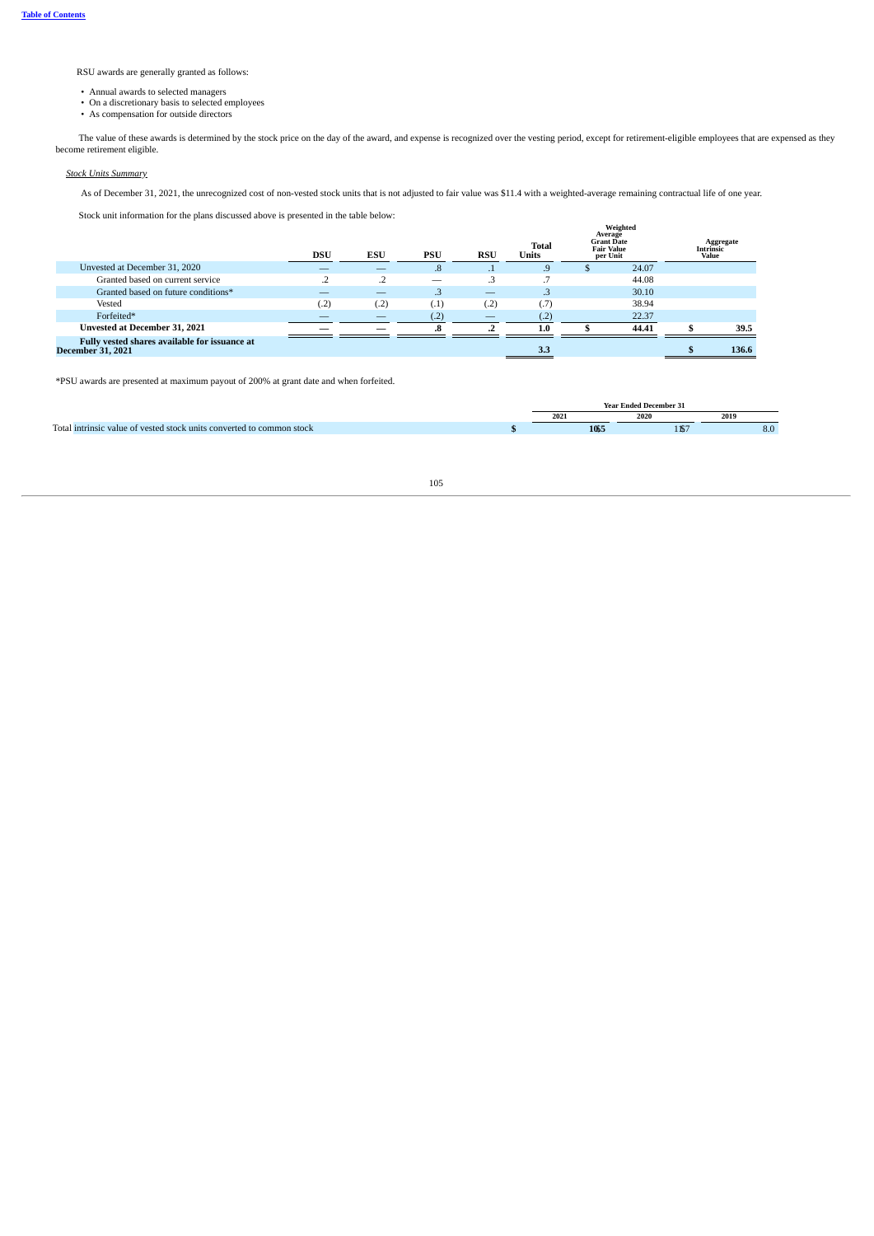RSU awards are generally granted as follows:

- Annual awards to selected managers
- On a discretionary basis to selected employees
- As compensation for outside directors

The value of these awards is determined by the stock price on the day of the award, and expense is recognized over the vesting period, except for retirement-eligible employees that are expensed as they become retirement eligible.

### *Stock Units Summary*

As of December 31, 2021, the unrecognized cost of non-vested stock units that is not adjusted to fair value was \$11.4 with a weighted-average remaining contractual life of one year.

Stock unit information for the plans discussed above is presented in the table below:

|                                                                           | DSU  | <b>ESU</b> | <b>PSU</b> | <b>RSU</b> | <b>Total</b><br><b>Units</b> | Weighted<br>Average<br><b>Grant Date</b><br><b>Fair Value</b><br>per Unit | <b>Intrinsic</b> | Aggregate<br>Value |
|---------------------------------------------------------------------------|------|------------|------------|------------|------------------------------|---------------------------------------------------------------------------|------------------|--------------------|
| Unvested at December 31, 2020                                             | _    | _          | .8         | . 1        | .9                           | 24.07                                                                     |                  |                    |
| Granted based on current service                                          | . 4  |            |            | .3         | π                            | 44.08                                                                     |                  |                    |
| Granted based on future conditions*                                       |      | _          |            |            | .3                           | 30.10                                                                     |                  |                    |
| Vested                                                                    | (.2) | (.2)       | (.1)       | (.2)       | (.7)                         | 38.94                                                                     |                  |                    |
| Forfeited*                                                                |      | __         | (.2)       | __         | (.2)                         | 22.37                                                                     |                  |                    |
| <b>Unvested at December 31, 2021</b>                                      |      |            |            |            | 1.0                          | 44.41                                                                     |                  | 39.5               |
| Fully vested shares available for issuance at<br><b>December 31, 2021</b> |      |            |            |            | 3.3                          |                                                                           |                  | 136.6              |

\*PSU awards are presented at maximum payout of 200% at grant date and when forfeited.

|                                                                                    |      | l Decembe |     |
|------------------------------------------------------------------------------------|------|-----------|-----|
|                                                                                    | 2021 | 2019      |     |
| $\sim$<br>value of vested stock units converted to common stock<br>Total intrinsic | 1065 | ТP<br>$-$ | o.v |

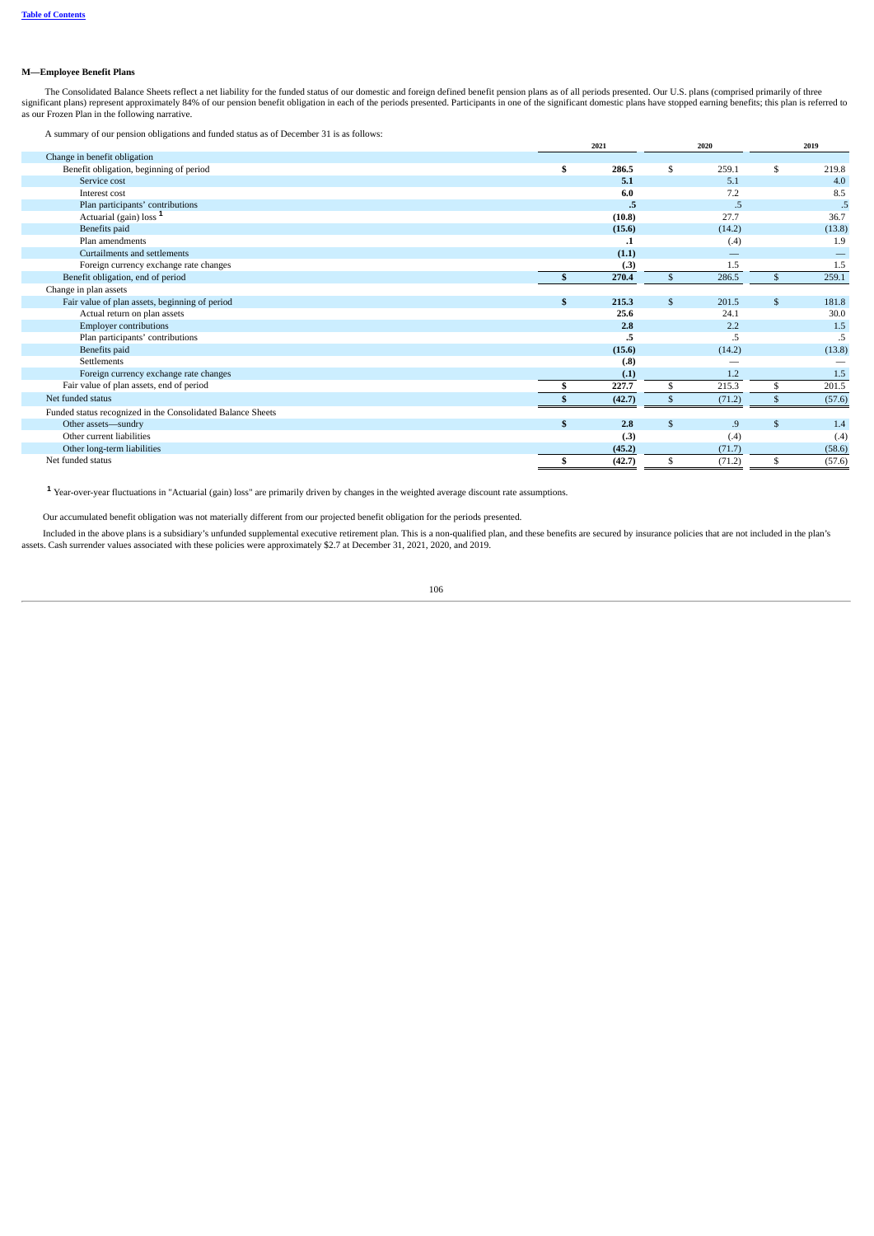# **M—Employee Benefit Plans**

The Consolidated Balance Sheets reflect a net liability for the funded status of our domestic and foreign defined benefit pension plans as of all periods presented. Our U.S. plans (comprised primarily of three<br>significant as our Frozen Plan in the following narrative.

A summary of our pension obligations and funded status as of December 31 is as follows:

|                                                             |              | 2020<br>2021 |                | 2019                     |              |        |
|-------------------------------------------------------------|--------------|--------------|----------------|--------------------------|--------------|--------|
| Change in benefit obligation                                |              |              |                |                          |              |        |
| Benefit obligation, beginning of period                     | £,           | 286.5        | \$             | 259.1                    | S            | 219.8  |
| Service cost                                                |              | 5.1          |                | 5.1                      |              | 4.0    |
| Interest cost                                               |              | 6.0          |                | 7.2                      |              | 8.5    |
| Plan participants' contributions                            |              | .5           |                | .5                       |              | .5     |
| Actuarial (gain) loss <sup>1</sup>                          |              | (10.8)       |                | 27.7                     |              | 36.7   |
| Benefits paid                                               |              | (15.6)       |                | (14.2)                   |              | (13.8) |
| Plan amendments                                             |              | $\cdot$ 1    |                | (.4)                     |              | 1.9    |
| Curtailments and settlements                                |              | (1.1)        |                | $\overline{\phantom{a}}$ |              |        |
| Foreign currency exchange rate changes                      |              | (.3)         |                | 1.5                      |              | 1.5    |
| Benefit obligation, end of period                           |              | 270.4        | $\mathfrak{s}$ | 286.5                    | \$           | 259.1  |
| Change in plan assets                                       |              |              |                |                          |              |        |
| Fair value of plan assets, beginning of period              | ÷.           | 215.3        | $\mathbf{s}$   | 201.5                    | \$           | 181.8  |
| Actual return on plan assets                                |              | 25.6         |                | 24.1                     |              | 30.0   |
| <b>Employer contributions</b>                               |              | 2.8          |                | 2.2                      |              | 1.5    |
| Plan participants' contributions                            |              | .5           |                | .5                       |              | .5     |
| Benefits paid                                               |              | (15.6)       |                | (14.2)                   |              | (13.8) |
| Settlements                                                 |              | (.8)         |                |                          |              |        |
| Foreign currency exchange rate changes                      |              | (.1)         |                | 1.2                      |              | 1.5    |
| Fair value of plan assets, end of period                    |              | 227.7        | \$             | 215.3                    | S            | 201.5  |
| Net funded status                                           |              | (42.7)       | \$             | (71.2)                   | S            | (57.6) |
| Funded status recognized in the Consolidated Balance Sheets |              |              |                |                          |              |        |
| Other assets-sundry                                         | $\mathbf{S}$ | 2.8          | $\mathbf{s}$   | .9                       | $\mathbf{s}$ | 1.4    |
| Other current liabilities                                   |              | (.3)         |                | (.4)                     |              | (.4)   |
| Other long-term liabilities                                 |              | (45.2)       |                | (71.7)                   |              | (58.6) |
| Net funded status                                           |              | (42.7)       | \$             | (71.2)                   | \$           | (57.6) |

<sup>1</sup> Year-over-year fluctuations in "Actuarial (gain) loss" are primarily driven by changes in the weighted average discount rate assumptions.

Our accumulated benefit obligation was not materially different from our projected benefit obligation for the periods presented.

Included in the above plans is a subsidiary's unfunded supplemental executive retirement plan. This is a non-qualified plan, and these benefits are secured by insurance policies that are not included in the plan's assets.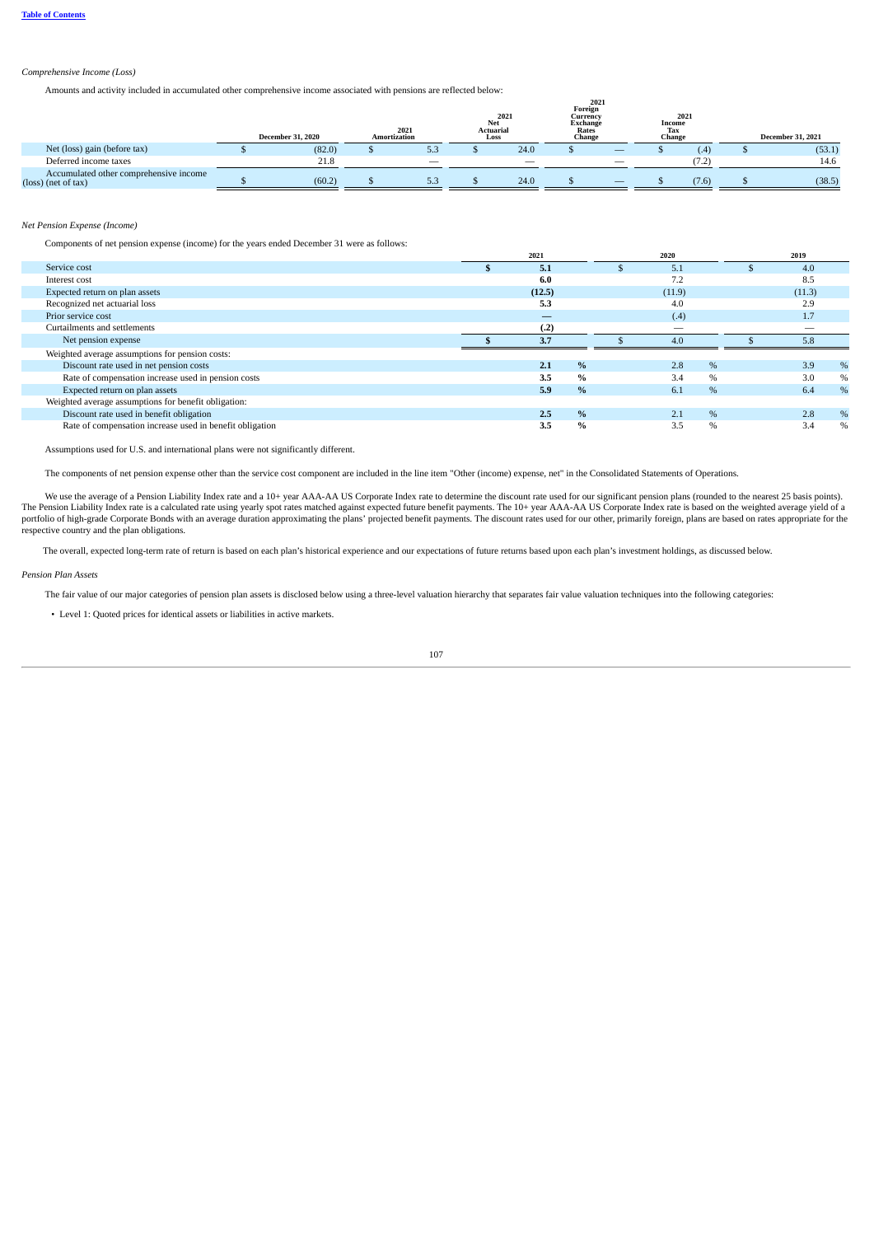### *Comprehensive Income (Loss)*

Amounts and activity included in accumulated other comprehensive income associated with pensions are reflected below:

|                                                               | <b>December 31, 2020</b> | <b>Amortization</b> | 2021 | Net<br><b>Actuarial</b><br>Loss | 2021 | Foreign<br>Currency<br><b>Exchange</b><br>Rates<br>Change | 2021 | Income<br>Tax<br>Change | 2021  | <b>December 31, 2021</b> |
|---------------------------------------------------------------|--------------------------|---------------------|------|---------------------------------|------|-----------------------------------------------------------|------|-------------------------|-------|--------------------------|
| Net (loss) gain (before tax)                                  | (82.0)                   |                     | 5.3  |                                 | 24.0 |                                                           |      |                         | (.4)  | (53.1)                   |
| Deferred income taxes                                         | 21.8                     |                     | –    |                                 | _    |                                                           |      |                         | (7.2) | 14.6                     |
| Accumulated other comprehensive income<br>(loss) (net of tax) | (60.2)                   |                     | 5.3  |                                 | 24.0 |                                                           |      |                         | (7.6) | (38.5)                   |

### *Net Pension Expense (Income)*

Components of net pension expense (income) for the years ended December 31 were as follows:

|                                                          | 2021   |               | 2020   |      | 2019   |               |
|----------------------------------------------------------|--------|---------------|--------|------|--------|---------------|
| Service cost                                             | 5.1    |               | 5.1    |      | 4.0    |               |
| Interest cost                                            | 6.0    |               | 7.2    |      | 8.5    |               |
| Expected return on plan assets                           | (12.5) |               | (11.9) |      | (11.3) |               |
| Recognized net actuarial loss                            | 5.3    |               | 4.0    |      | 2.9    |               |
| Prior service cost                                       |        |               | (.4)   |      | 1.7    |               |
| Curtailments and settlements                             | (.2)   |               | –      |      |        |               |
| Net pension expense                                      | 3.7    |               | 4.0    |      | 5.8    |               |
| Weighted average assumptions for pension costs:          |        |               |        |      |        |               |
| Discount rate used in net pension costs                  | 2.1    | $\%$          | 2.8    | %    | 3.9    | $\%$          |
| Rate of compensation increase used in pension costs      | 3.5    | $\%$          | 3.4    | $\%$ | 3.0    | %             |
| Expected return on plan assets                           | 5.9    | $\frac{0}{6}$ | 6.1    | $\%$ | 6.4    | %             |
| Weighted average assumptions for benefit obligation:     |        |               |        |      |        |               |
| Discount rate used in benefit obligation                 | 2.5    | $\frac{0}{2}$ | 2.1    | $\%$ | 2.8    | %             |
| Rate of compensation increase used in benefit obligation | 3.5    | $\%$          | 3.5    | $\%$ | 3.4    | $\frac{0}{6}$ |
|                                                          |        |               |        |      |        |               |

Assumptions used for U.S. and international plans were not significantly different.

The components of net pension expense other than the service cost component are included in the line item "Other (income) expense, net" in the Consolidated Statements of Operations.

We use the average of a Pension Liability Index rate and a 10+ year AAA-AA US Corporate Index rate to determine the discount rate used for our significant pension plans (rounded to the nearest 25 basis points).<br>The Pension portfolio of high-grade Corporate Bonds with an average duration approximating the plans' projected benefit payments. The discount rates used for our other, primarily foreign, plans are based on rates appropriate for the respective country and the plan obligations.

The overall, expected long-term rate of return is based on each plan's historical experience and our expectations of future returns based upon each plan's investment holdings, as discussed below.

### *Pension Plan Assets*

The fair value of our major categories of pension plan assets is disclosed below using a three-level valuation hierarchy that separates fair value valuation techniques into the following categories:

• Level 1: Quoted prices for identical assets or liabilities in active markets.

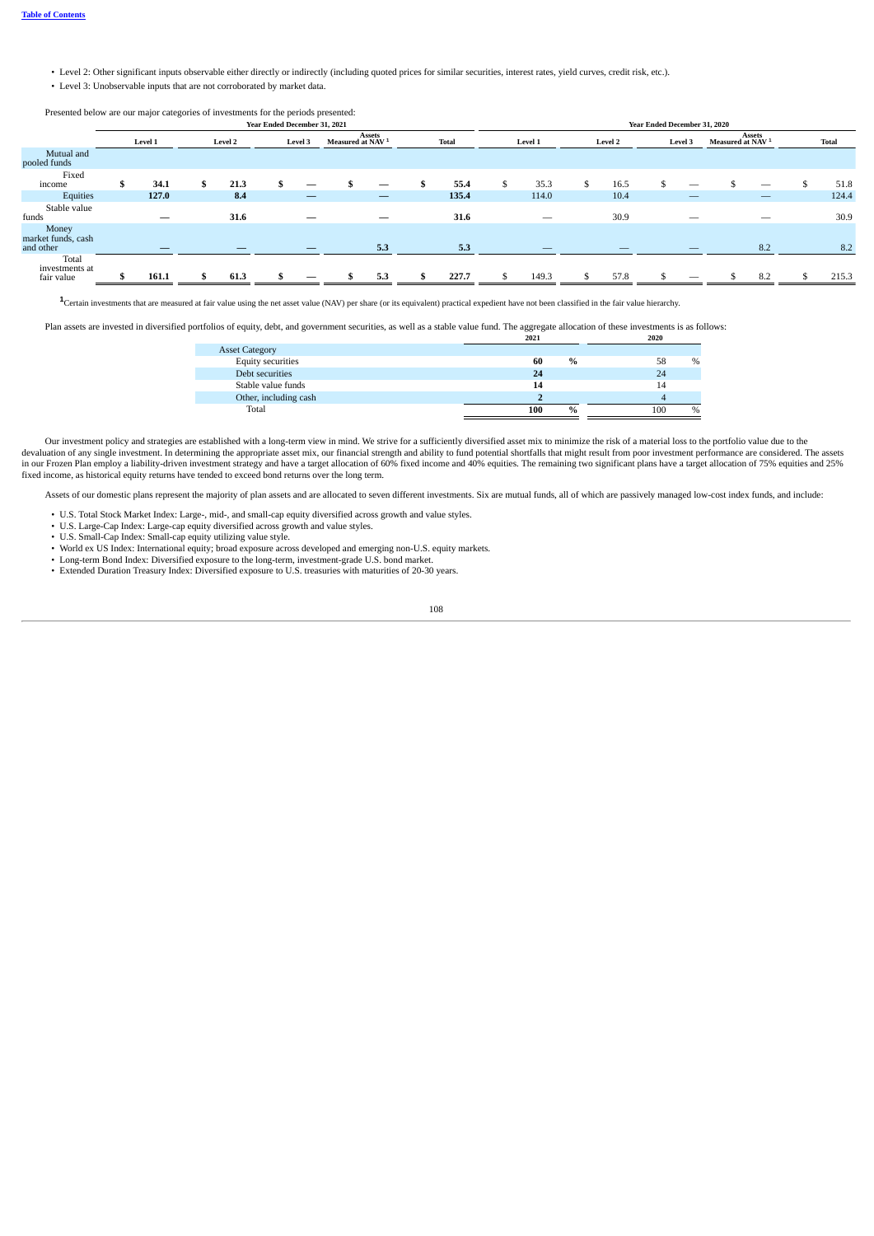- Level 2: Other significant inputs observable either directly or indirectly (including quoted prices for similar securities, interest rates, yield curves, credit risk, etc.).
- Level 3: Unobservable inputs that are not corroborated by market data.

Presented below are our major categories of investments for the periods presented:

|                                          |         |         | Year Ended December 31, 2021 |                          |                                             |     |              |         |    |         | Year Ended December 31, 2020 |         |                                   |     |              |
|------------------------------------------|---------|---------|------------------------------|--------------------------|---------------------------------------------|-----|--------------|---------|----|---------|------------------------------|---------|-----------------------------------|-----|--------------|
|                                          | Level 1 | Level 2 |                              | Level 3                  | Assets $$\sf{Assets}$$ Measured at NAV $^1$ |     | <b>Total</b> | Level 1 |    | Level 2 |                              | Level 3 | Assets Measured at NAV $^{\rm 1}$ |     | <b>Total</b> |
| Mutual and<br>pooled funds               |         |         |                              |                          |                                             |     |              |         |    |         |                              |         |                                   |     |              |
| Fixed<br>income                          | 34.1    | 21.3    |                              |                          |                                             |     | 55.4         | 35.3    | -S | 16.5    |                              |         |                                   |     | 51.8         |
| Equities                                 | 127.0   | 8.4     |                              | $\overline{\phantom{0}}$ |                                             |     | 135.4        | 114.0   |    | 10.4    |                              |         |                                   |     | 124.4        |
| Stable value<br>funds                    |         | 31.6    |                              |                          |                                             | –   | 31.6         |         |    | 30.9    |                              |         |                                   |     | 30.9         |
| Money<br>market funds, cash<br>and other |         |         |                              |                          |                                             | 5.3 | 5.3          |         |    |         |                              |         |                                   | 8.2 | 8.2          |
| Total<br>investments at<br>fair value    | 161.1   | 61.3    |                              |                          |                                             | 5.3 | 227.7        | 149.3   |    | 57.8    |                              |         |                                   | 8.2 | 215.3        |

Certain investments that are measured at fair value using the net asset value (NAV) per share (or its equivalent) practical expedient have not been classified in the fair value hierarchy. **1**

Plan assets are invested in diversified portfolios of equity, debt, and government securities, as well as a stable value fund. The aggregate allocation of these investments is as follows:

|                       | 2021 |      | 2020 |               |
|-----------------------|------|------|------|---------------|
| <b>Asset Category</b> |      |      |      |               |
| Equity securities     | 60   | $\%$ | 58   | $\%$          |
| Debt securities       | 24   |      | 24   |               |
| Stable value funds    | 14   |      | 14   |               |
| Other, including cash |      |      |      |               |
| Total                 | 100  | $\%$ | 100  | $\frac{0}{0}$ |

Our investment policy and strategies are established with a long-term view in mind. We strive for a sufficiently diversified asset mix to minimize the risk of a material loss to the portfolio value due to the devaluation of any single investment. In determining the appropriate asset mix, our financial strength and ability to fund potential shortfalls that might result from poor investment performance are considered. The assets in our Frozen Plan employ a liability-driven investment strategy and have a target allocation of 60% fixed income and 40% equities. The remaining two significant plans have a target allocation of 75% equities and 25% fixed income, as historical equity returns have tended to exceed bond returns over the long term.

Assets of our domestic plans represent the majority of plan assets and are allocated to seven different investments. Six are mutual funds, all of which are passively managed low-cost index funds, and include:

- U.S. Total Stock Market Index: Large-, mid-, and small-cap equity diversified across growth and value styles.
- 
- 
- U.S. Large-Cap Index: Large-cap equity diversified across growth and value styles.<br>• U.S. Small-Cap Index: Small-cap equity utilizing value style.<br>• World ex US Index: International equity; broad exposure across develope
- Long-term Bond Index: Diversified exposure to the long-term, investment-grade U.S. bond market.
- Extended Duration Treasury Index: Diversified exposure to U.S. treasuries with maturities of 20-30 years.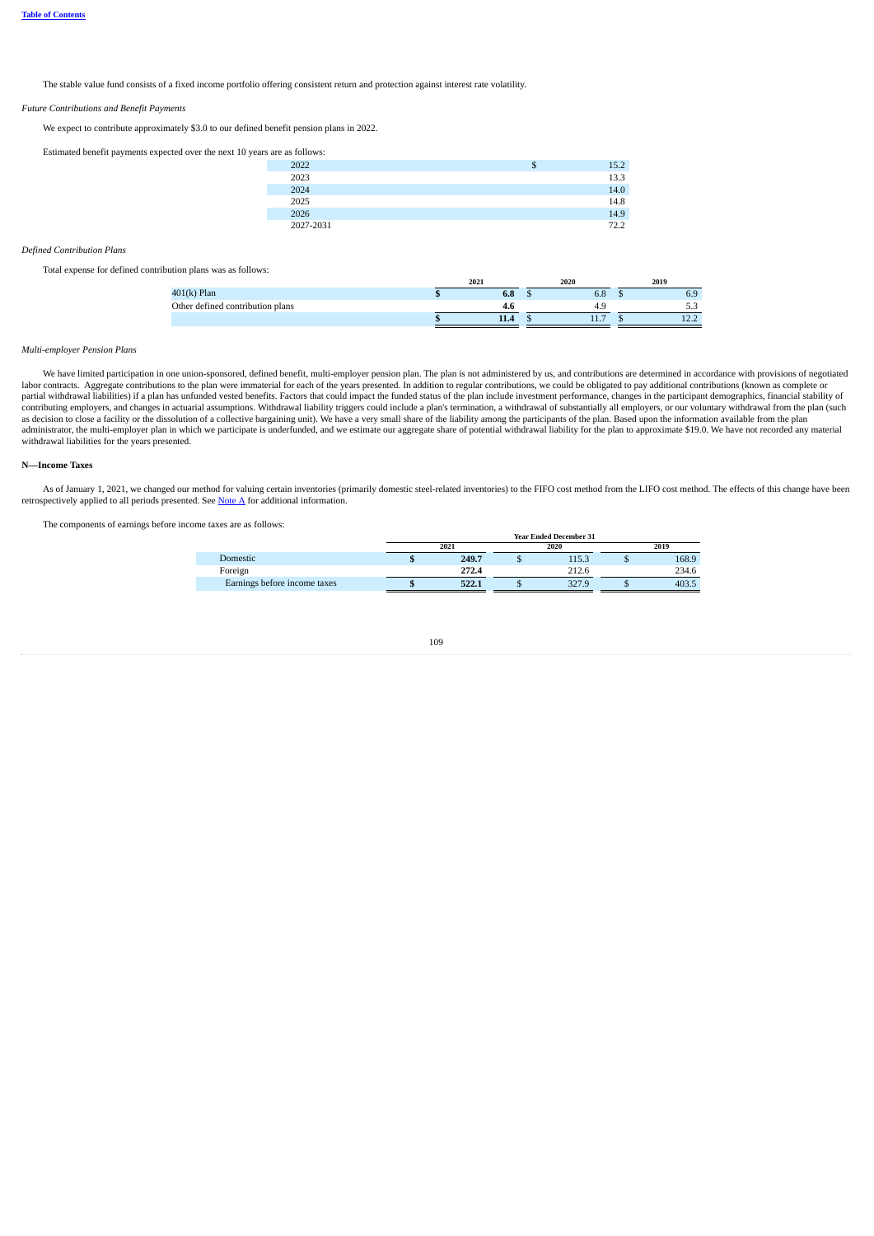The stable value fund consists of a fixed income portfolio offering consistent return and protection against interest rate volatility.

#### *Future Contributions and Benefit Payments*

We expect to contribute approximately \$3.0 to our defined benefit pension plans in 2022.

Estimated benefit payments expected over the next 10 years are as follows:

| 2022      | S | 15.2 |
|-----------|---|------|
| 2023      |   | 13.3 |
| 2024      |   | 14.0 |
| 2025      |   | 14.8 |
| 2026      |   | 14.9 |
| 2027-2031 |   | 72.2 |

#### *Defined Contribution Plans*

Total expense for defined contribution plans was as follows:

|                                  | 2021 | 2020       | 2019 |
|----------------------------------|------|------------|------|
| $401(k)$ Plan                    | 0.O  | r n<br>o.o | 6.9  |
| Other defined contribution plans |      | 4.9        | ື    |
|                                  | 11.4 | 11.7       | 16.6 |

### *Multi-employer Pension Plans*

We have limited participation in one union-sponsored, defined benefit, multi-employer pension plan. The plan is not administered by us, and contributions are determined in accordance with provisions of negotiated labor contracts. Aggregate contributions to the plan were immaterial for each of the years presented. In addition to regular contributions, we could be obligated to pay additional contributions (known as complete or<br>partia contributing employers, and changes in actuarial assumptions. Withdrawal liability triggers could include a plan's termination, a withdrawal of substantially all employers, or our voluntary withdrawal from the plan (such as decision to close a facility or the dissolution of a collective bargaining unit). We have a very small share of the liability among the participants of the plan. Based upon the information available from the plan<br>admini withdrawal liabilities for the years presented.

### **N—Income Taxes**

As of January 1, 2021, we changed our method for valuing certain inventories (primarily domestic steel-related inventories) to the FIFO cost method from the LIFO cost method. The effects of this change have been retrospectively applied to all periods presented. See  $\operatorname{\bf NoteA}$  for additional information.

The components of earnings before income taxes are as follows:

| не шлез ше из топо мэ.       |                               |  |       |  |       |  |  |  |  |  |  |
|------------------------------|-------------------------------|--|-------|--|-------|--|--|--|--|--|--|
|                              | <b>Year Ended December 31</b> |  |       |  |       |  |  |  |  |  |  |
|                              | 2021                          |  | 2020  |  | 2019  |  |  |  |  |  |  |
| Domestic                     | 249.7                         |  | 115.3 |  | 168.9 |  |  |  |  |  |  |
| Foreign                      | 272.4                         |  | 212.6 |  | 234.6 |  |  |  |  |  |  |
| Earnings before income taxes | 522.1                         |  | 327.9 |  | 403.5 |  |  |  |  |  |  |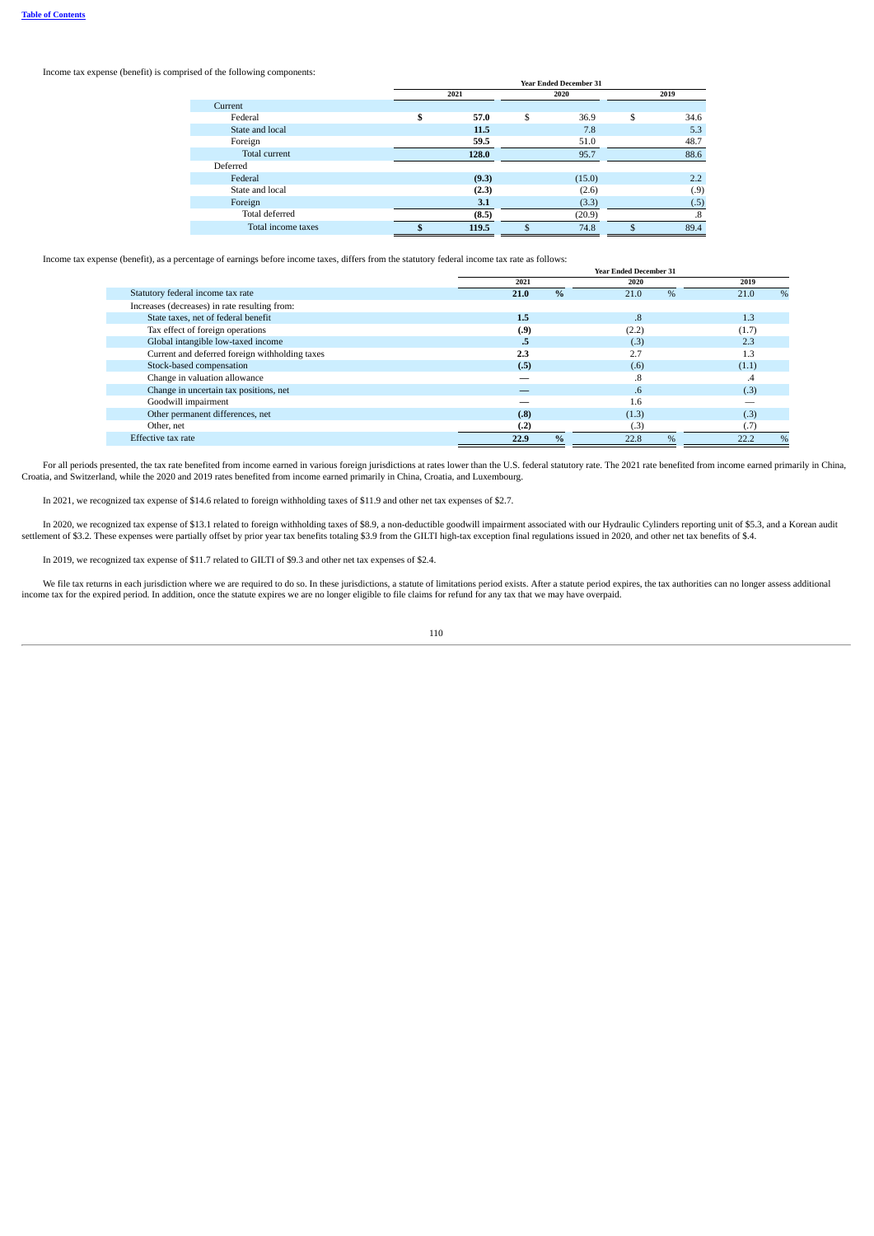Income tax expense (benefit) is comprised of the following components:

|                      |    |       |    | <b>Year Ended December 31</b> |            |
|----------------------|----|-------|----|-------------------------------|------------|
|                      |    | 2021  |    | 2020                          | 2019       |
| Current              |    |       |    |                               |            |
| Federal              | \$ | 57.0  | \$ | 36.9                          | \$<br>34.6 |
| State and local      |    | 11.5  |    | 7.8                           | 5.3        |
| Foreign              |    | 59.5  |    | 51.0                          | 48.7       |
| <b>Total current</b> |    | 128.0 |    | 95.7                          | 88.6       |
| Deferred             |    |       |    |                               |            |
| Federal              |    | (9.3) |    | (15.0)                        | 2.2        |
| State and local      |    | (2.3) |    | (2.6)                         | (.9)       |
| Foreign              |    | 3.1   |    | (3.3)                         | (.5)       |
| Total deferred       |    | (8.5) |    | (20.9)                        | .8         |
| Total income taxes   | æ  | 119.5 | S  | 74.8                          | 89.4       |

Income tax expense (benefit), as a percentage of earnings before income taxes, differs from the statutory federal income tax rate as follows:

|                                                | 2021                  | 2020         | 2019         |
|------------------------------------------------|-----------------------|--------------|--------------|
| Statutory federal income tax rate              | 21.0<br>$\frac{9}{6}$ | $\%$<br>21.0 | $\%$<br>21.0 |
| Increases (decreases) in rate resulting from:  |                       |              |              |
| State taxes, net of federal benefit            | 1.5                   | 8.           | 1.3          |
| Tax effect of foreign operations               | (.9)                  | (2.2)        | (1.7)        |
| Global intangible low-taxed income             | .5                    | (.3)         | 2.3          |
| Current and deferred foreign withholding taxes | 2.3                   | 2.7          | 1.3          |
| Stock-based compensation                       | (.5)                  | (.6)         | (1.1)        |
| Change in valuation allowance                  |                       | 8.           | .4           |
| Change in uncertain tax positions, net         |                       | .6           | (.3)         |
| Goodwill impairment                            |                       | 1.6          |              |
| Other permanent differences, net               | (.8)                  | (1.3)        | (.3)         |
| Other, net                                     | (.2)                  | (.3)         | . 7          |
| Effective tax rate                             | 22.9<br>$\frac{0}{0}$ | $\%$<br>22.8 | 22.2<br>$\%$ |

For all periods presented, the tax rate benefited from income earned in various foreign jurisdictions at rates lower than the U.S. federal statutory rate. The 2021 rate benefited from income earned primarily in China, Croatia, and Switzerland, while the 2020 and 2019 rates benefited from income earned primarily in China, Croatia, and Luxembourg.

In 2021, we recognized tax expense of \$14.6 related to foreign withholding taxes of \$11.9 and other net tax expenses of \$2.7.

In 2020, we recognized tax expense of \$13.1 related to foreign withholding taxes of \$8.9, a non-deductible goodwill impairment associated with our Hydraulic Cylinders reporting unit of \$5.3, and a Korean audit settlement of \$3.2. These expenses were partially offset by prior year tax benefits totaling \$3.9 from the GILTI high-tax exception final regulations issued in 2020, and other net tax benefits of \$.4.

In 2019, we recognized tax expense of \$11.7 related to GILTI of \$9.3 and other net tax expenses of \$2.4.

We file tax returns in each jurisdiction where we are required to do so. In these jurisdictions, a statute of limitations period exists. After a statute period expires, the tax authorities can no longer assess additional income tax for the expired period. In addition, once the statute expires we are no longer eligible to file claims for refund for any tax that we may have overpaid.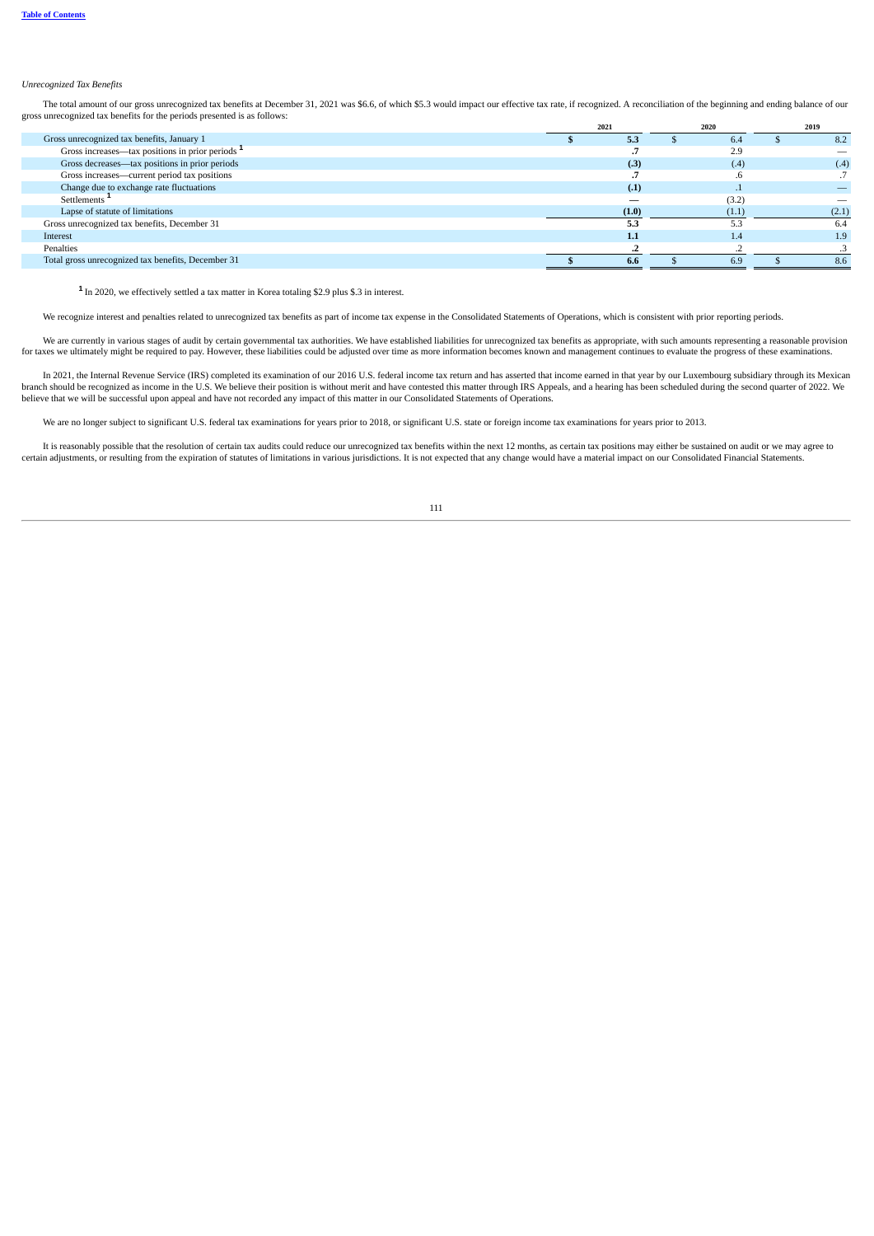### *Unrecognized Tax Benefits*

The total amount of our gross unrecognized tax benefits at December 31, 2021 was \$6.6, of which \$5.3 would impact our effective tax rate, if recognized. A reconciliation of the beginning and ending balance of our gross unrecognized tax benefits for the periods presented is as follows:

|                                                    | 2021  | 2020  | 2019  |
|----------------------------------------------------|-------|-------|-------|
| Gross unrecognized tax benefits, January 1         | 5.3   | 6.4   | 8.2   |
| Gross increases—tax positions in prior periods $1$ |       | 2.9   |       |
| Gross decreases—tax positions in prior periods     | (.3)  | (.4)  | (.4)  |
| Gross increases—current period tax positions       |       |       |       |
| Change due to exchange rate fluctuations           | (.1)  |       |       |
| Settlements <sup>1</sup>                           |       | (3.2) |       |
| Lapse of statute of limitations                    | (1.0) | (1.1) | (2.1) |
| Gross unrecognized tax benefits, December 31       | 5.3   | 5.3   | 6.4   |
| Interest                                           | 1.1   | 1.4   | 1.9   |
| Penalties                                          |       |       |       |
| Total gross unrecognized tax benefits, December 31 | 6.6   | 6.9   | 8.6   |
|                                                    |       |       |       |

<sup>1</sup> In 2020, we effectively settled a tax matter in Korea totaling \$2.9 plus \$.3 in interest.

We recognize interest and penalties related to unrecognized tax benefits as part of income tax expense in the Consolidated Statements of Operations, which is consistent with prior reporting periods.

We are currently in various stages of audit by certain governmental tax authorities. We have established liabilities for unrecognized tax benefits as appropriate, with such amounts representing a reasonable provision for taxes we ultimately might be required to pay. However, these liabilities could be adjusted over time as more information becomes known and management continues to evaluate the progress of these examinations.

In 2021, the Internal Revenue Service (IRS) completed its examination of our 2016 U.S. federal income tax return and has asserted that income earned in that year by our Luxembourg subsidiary through its Mexican branch should be recognized as income in the U.S. We believe their position is without merit and have contested this matter through IRS Appeals, and a hearing has been scheduled during the second quarter of 2022. We believe that we will be successful upon appeal and have not recorded any impact of this matter in our Consolidated Statements of Operations.

We are no longer subject to significant U.S. federal tax examinations for years prior to 2018, or significant U.S. state or foreign income tax examinations for years prior to 2013.

It is reasonably possible that the resolution of certain tax audits could reduce our unrecognized tax benefits within the next 12 months, as certain tax positions may either be sustained on audit or we may agree to certain adjustments, or resulting from the expiration of statutes of limitations in various jurisdictions. It is not expected that any change would have a material impact on our Consolidated Financial Statements.

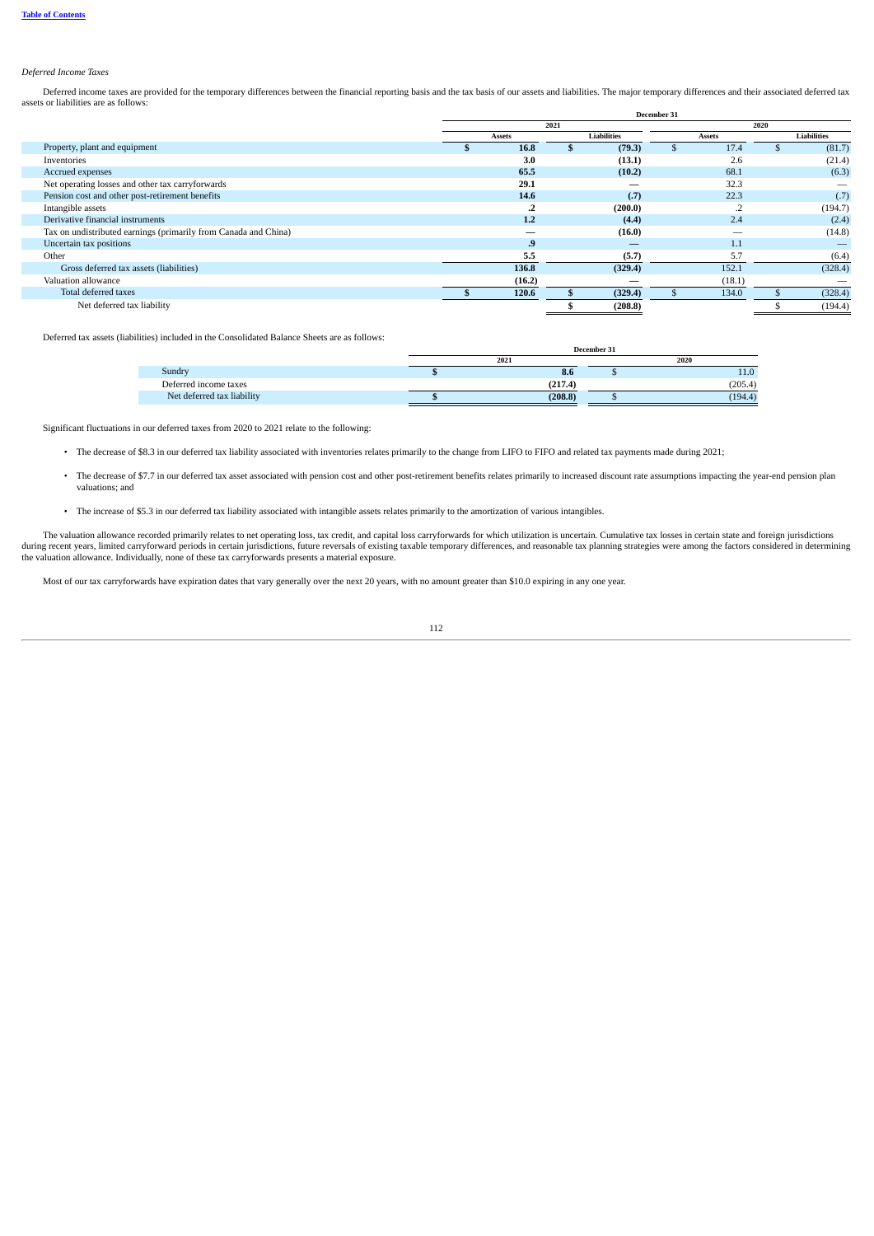### *Deferred Income Taxes*

Deferred income taxes are provided for the temporary differences between the financial reporting basis and the tax basis of our assets and liabilities. The major temporary differences and their associated deferred tax assets or liabilities are as follows: **December 31**

|                                                                 | ----------- |               |      |                    |        |        |  |                    |  |
|-----------------------------------------------------------------|-------------|---------------|------|--------------------|--------|--------|--|--------------------|--|
|                                                                 |             |               | 2021 |                    | 2020   |        |  |                    |  |
|                                                                 |             | <b>Assets</b> |      | <b>Liabilities</b> | Assets |        |  | <b>Liabilities</b> |  |
| Property, plant and equipment                                   |             | 16.8          |      | (79.3)             |        | 17.4   |  | (81.7)             |  |
| Inventories                                                     |             | 3.0           |      | (13.1)             |        | 2.6    |  | (21.4)             |  |
| Accrued expenses                                                |             | 65.5          |      | (10.2)             |        | 68.1   |  | (6.3)              |  |
| Net operating losses and other tax carryforwards                |             | 29.1          |      |                    |        | 32.3   |  |                    |  |
| Pension cost and other post-retirement benefits                 |             | 14.6          |      | (.7)               |        | 22.3   |  | (.7)               |  |
| Intangible assets                                               |             |               |      | (200.0)            |        | ے.     |  | (194.7)            |  |
| Derivative financial instruments                                |             | 1.2           |      | (4.4)              |        | 2.4    |  | (2.4)              |  |
| Tax on undistributed earnings (primarily from Canada and China) |             |               |      | (16.0)             |        | –      |  | (14.8)             |  |
| Uncertain tax positions                                         |             | .9            |      |                    |        | 1.1    |  |                    |  |
| Other                                                           |             | 5.5           |      | (5.7)              |        | 5.7    |  | (6.4)              |  |
| Gross deferred tax assets (liabilities)                         |             | 136.8         |      | (329.4)            |        | 152.1  |  | (328.4)            |  |
| Valuation allowance                                             |             | (16.2)        |      |                    |        | (18.1) |  |                    |  |
| Total deferred taxes                                            |             | 120.6         |      | (329.4)            |        | 134.0  |  | (328.4)            |  |
| Net deferred tax liability                                      |             |               |      | (208.8)            |        |        |  | (194.4)            |  |
|                                                                 |             |               |      |                    |        |        |  |                    |  |

Deferred tax assets (liabilities) included in the Consolidated Balance Sheets are as follows:

|                            | December 31 |  |         |  |  |  |  |  |
|----------------------------|-------------|--|---------|--|--|--|--|--|
|                            | 2021        |  | 2020    |  |  |  |  |  |
| Sundry                     | 8.6         |  | 11.0    |  |  |  |  |  |
| Deferred income taxes      | (217.4)     |  | (205.4) |  |  |  |  |  |
| Net deferred tax liability | (208.8)     |  | (194.4) |  |  |  |  |  |

Significant fluctuations in our deferred taxes from 2020 to 2021 relate to the following:

• The decrease of \$8.3 in our deferred tax liability associated with inventories relates primarily to the change from LIFO to FIFO and related tax payments made during 2021;

- The decrease of \$7.7 in our deferred tax asset associated with pension cost and other post-retirement benefits relates primarily to increased discount rate assumptions impacting the year-end pension plan valuations; and
- The increase of \$5.3 in our deferred tax liability associated with intangible assets relates primarily to the amortization of various intangibles.

The valuation allowance recorded primarily relates to net operating loss, tax credit, and capital loss carryforwards for which utilization is uncertain. Cumulative tax losses in certain state and foreign jurisdictions during recent years, limited carryforward periods in certain jurisdictions, future reversals of existing taxable temporary differences, and reasonable tax planning strategies were among the factors considered in determining the valuation allowance. Individually, none of these tax carryforwards presents a material exposure.

Most of our tax carryforwards have expiration dates that vary generally over the next 20 years, with no amount greater than \$10.0 expiring in any one year.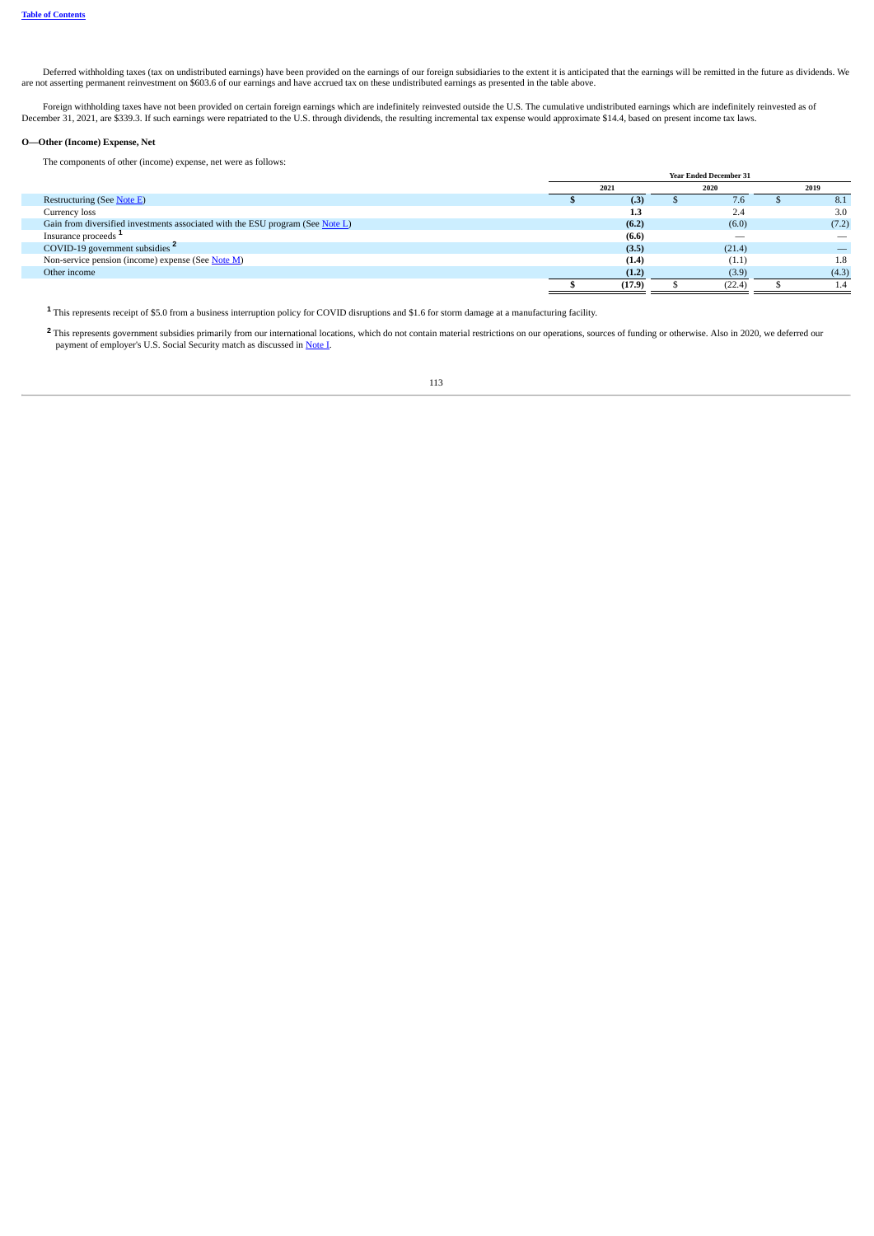Deferred withholding taxes (tax on undistributed earnings) have been provided on the earnings of our foreign subsidiaries to the extent it is anticipated that the earnings will be remitted in the future as dividends. We ar

Foreign withholding taxes have not been provided on certain foreign earnings which are indefinitely reinvested outside the U.S. The cumulative undistributed earnings which are indefinitely reinvested as of December 31, 2021, are \$339.3. If such earnings were repatriated to the U.S. through dividends, the resulting incremental tax expense would approximate \$14.4, based on present income tax laws.

# **O—Other (Income) Expense, Net**

The components of other (income) expense, net were as follows:

|                                                                                | <b>Year Ended December 31</b> |        |  |        |  |       |  |
|--------------------------------------------------------------------------------|-------------------------------|--------|--|--------|--|-------|--|
|                                                                                |                               | 2021   |  | 2020   |  | 2019  |  |
| Restructuring (See Note E)                                                     |                               | (.3)   |  | 7.6    |  | 8.1   |  |
| Currency loss                                                                  |                               | 1.3    |  | 2.4    |  | 3.0   |  |
| Gain from diversified investments associated with the ESU program (See Note L) |                               | (6.2)  |  | (6.0)  |  | (7.2) |  |
| Insurance proceeds <sup>1</sup>                                                |                               | (6.6)  |  |        |  |       |  |
| COVID-19 government subsidies <sup>2</sup>                                     |                               | (3.5)  |  | (21.4) |  |       |  |
| Non-service pension (income) expense (See Note M)                              |                               | (1.4)  |  | (1.1)  |  | 1.8   |  |
| Other income                                                                   |                               | (1.2)  |  | (3.9)  |  | (4.3) |  |
|                                                                                |                               | (17.9) |  | (22.4) |  | 1.4   |  |

This represents receipt of \$5.0 from a business interruption policy for COVID disruptions and \$1.6 for storm damage at a manufacturing facility. **1**

This represents government subsidies primarily from our international locations, which do not contain material restrictions on our operations, sources of funding or otherwise. Also in 2020, we deferred our **2** payment of employer's U.S. Social Security match as discussed in Note I.

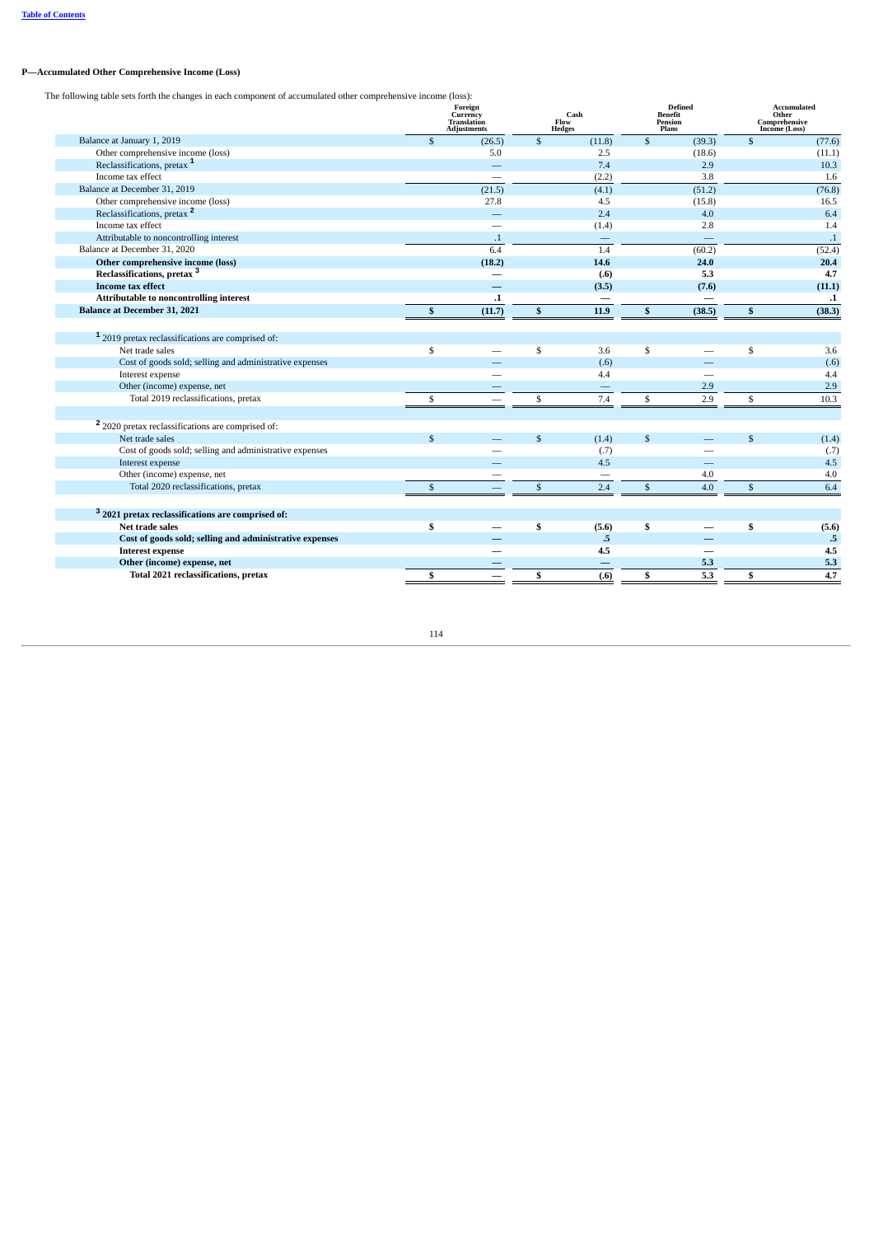# **P—Accumulated Other Comprehensive Income (Loss)**

The following table sets forth the changes in each component of accumulated other comprehensive income (loss):

|                                                                                                                                                                                                                                                                                                                                                                                                                                                                                |                                                | Foreign<br>Currency<br>Translation<br><b>Adjustments</b> | Flow<br><b>Hedges</b>                            | Cash                                                               | <b>Benefit</b><br>Pension<br>Plans           | <b>Defined</b>           | Income (Loss)                            | <b>Accumulated</b><br>Other<br>Comprehensive                            |
|--------------------------------------------------------------------------------------------------------------------------------------------------------------------------------------------------------------------------------------------------------------------------------------------------------------------------------------------------------------------------------------------------------------------------------------------------------------------------------|------------------------------------------------|----------------------------------------------------------|--------------------------------------------------|--------------------------------------------------------------------|----------------------------------------------|--------------------------|------------------------------------------|-------------------------------------------------------------------------|
| Balance at January 1, 2019                                                                                                                                                                                                                                                                                                                                                                                                                                                     | $\mathbb{S}$                                   | (26.5)                                                   | $\mathfrak{s}$                                   | (11.8)                                                             | \$                                           | (39.3)                   | $\mathbf{s}$                             | (77.6)                                                                  |
| Other comprehensive income (loss)                                                                                                                                                                                                                                                                                                                                                                                                                                              |                                                | 5.0                                                      |                                                  | 2.5                                                                |                                              | (18.6)                   |                                          | (11.1)                                                                  |
| Reclassifications, pretax <sup>1</sup>                                                                                                                                                                                                                                                                                                                                                                                                                                         |                                                |                                                          |                                                  | 7.4                                                                |                                              | 2.9                      |                                          | 10.3                                                                    |
| Income tax effect                                                                                                                                                                                                                                                                                                                                                                                                                                                              |                                                |                                                          |                                                  | (2.2)                                                              |                                              | 3.8                      |                                          | 1.6                                                                     |
| Balance at December 31, 2019                                                                                                                                                                                                                                                                                                                                                                                                                                                   |                                                | (21.5)                                                   |                                                  | (4.1)                                                              |                                              | (51.2)                   |                                          | (76.8)                                                                  |
| Other comprehensive income (loss)                                                                                                                                                                                                                                                                                                                                                                                                                                              |                                                | 27.8                                                     |                                                  | 4.5                                                                |                                              | (15.8)                   |                                          | 16.5                                                                    |
| Reclassifications, pretax <sup>2</sup>                                                                                                                                                                                                                                                                                                                                                                                                                                         |                                                |                                                          |                                                  | 2.4                                                                |                                              | 4.0                      |                                          | 6.4                                                                     |
| Income tax effect                                                                                                                                                                                                                                                                                                                                                                                                                                                              |                                                | -                                                        |                                                  | (1.4)                                                              |                                              | 2.8                      |                                          | 1.4                                                                     |
| Attributable to noncontrolling interest                                                                                                                                                                                                                                                                                                                                                                                                                                        |                                                | $\cdot$ 1                                                |                                                  | $\qquad \qquad -$                                                  |                                              | -                        |                                          | $\cdot$ 1                                                               |
| Balance at December 31, 2020                                                                                                                                                                                                                                                                                                                                                                                                                                                   |                                                | 6.4                                                      |                                                  | 1.4                                                                |                                              | (60.2)                   |                                          | (52.4)                                                                  |
| Other comprehensive income (loss)                                                                                                                                                                                                                                                                                                                                                                                                                                              |                                                | (18.2)                                                   |                                                  | 14.6                                                               |                                              | 24.0                     |                                          | 20.4                                                                    |
| Reclassifications, pretax <sup>3</sup>                                                                                                                                                                                                                                                                                                                                                                                                                                         |                                                | _                                                        |                                                  | (.6)                                                               |                                              | 5.3                      |                                          | 4.7                                                                     |
| <b>Income tax effect</b>                                                                                                                                                                                                                                                                                                                                                                                                                                                       |                                                |                                                          |                                                  | (3.5)                                                              |                                              | (7.6)                    |                                          | (11.1)                                                                  |
| Attributable to noncontrolling interest                                                                                                                                                                                                                                                                                                                                                                                                                                        |                                                | $\cdot$ 1                                                |                                                  |                                                                    |                                              | -                        |                                          | $\cdot$ 1                                                               |
| <b>Balance at December 31, 2021</b>                                                                                                                                                                                                                                                                                                                                                                                                                                            | \$                                             | (11.7)                                                   | $\mathbf{s}$                                     | 11.9                                                               | $\mathbf{s}$                                 | (38.5)                   | $\mathbf{s}$                             | (38.3)                                                                  |
| <sup>1</sup> 2019 pretax reclassifications are comprised of:<br>Net trade sales<br>Cost of goods sold; selling and administrative expenses<br>Interest expense<br>Other (income) expense, net<br>Total 2019 reclassifications, pretax<br><sup>2</sup> 2020 pretax reclassifications are comprised of:<br>Net trade sales<br>Cost of goods sold; selling and administrative expenses<br>Interest expense<br>Other (income) expense, net<br>Total 2020 reclassifications, pretax | \$<br>\$<br>$\mathbf{s}$<br>$\mathbf{\hat{s}}$ |                                                          | \$<br>\$<br>$\mathfrak{s}$<br>$\mathbf{\hat{S}}$ | 3.6<br>(.6)<br>4.4<br>-<br>7.4<br>(1.4)<br>(.7)<br>4.5<br>-<br>2.4 | \$<br>\$<br>$\mathfrak{S}$<br>$\mathfrak{S}$ | 2.9<br>2.9<br>4.0<br>4.0 | \$<br>\$<br>$\mathbf{s}$<br>$\mathbf{s}$ | 3.6<br>(.6)<br>4.4<br>2.9<br>10.3<br>(1.4)<br>(.7)<br>4.5<br>4.0<br>6.4 |
|                                                                                                                                                                                                                                                                                                                                                                                                                                                                                |                                                |                                                          |                                                  |                                                                    |                                              |                          |                                          |                                                                         |
| <sup>3</sup> 2021 pretax reclassifications are comprised of:                                                                                                                                                                                                                                                                                                                                                                                                                   |                                                |                                                          |                                                  |                                                                    |                                              |                          |                                          |                                                                         |
| Net trade sales                                                                                                                                                                                                                                                                                                                                                                                                                                                                | \$                                             |                                                          | \$                                               | (5.6)                                                              | \$                                           | -                        | \$                                       | (5.6)                                                                   |
| Cost of goods sold; selling and administrative expenses                                                                                                                                                                                                                                                                                                                                                                                                                        |                                                |                                                          |                                                  | .5                                                                 |                                              |                          |                                          | .5                                                                      |
| <b>Interest expense</b>                                                                                                                                                                                                                                                                                                                                                                                                                                                        |                                                |                                                          |                                                  | 4.5                                                                |                                              |                          |                                          | 4.5                                                                     |
| Other (income) expense, net                                                                                                                                                                                                                                                                                                                                                                                                                                                    |                                                |                                                          |                                                  | -                                                                  |                                              | 5.3                      |                                          | 5.3                                                                     |
| Total 2021 reclassifications, pretax                                                                                                                                                                                                                                                                                                                                                                                                                                           | \$                                             | $\overline{\phantom{0}}$                                 | \$                                               | (.6)                                                               | \$                                           | 5.3                      | \$                                       | 4.7                                                                     |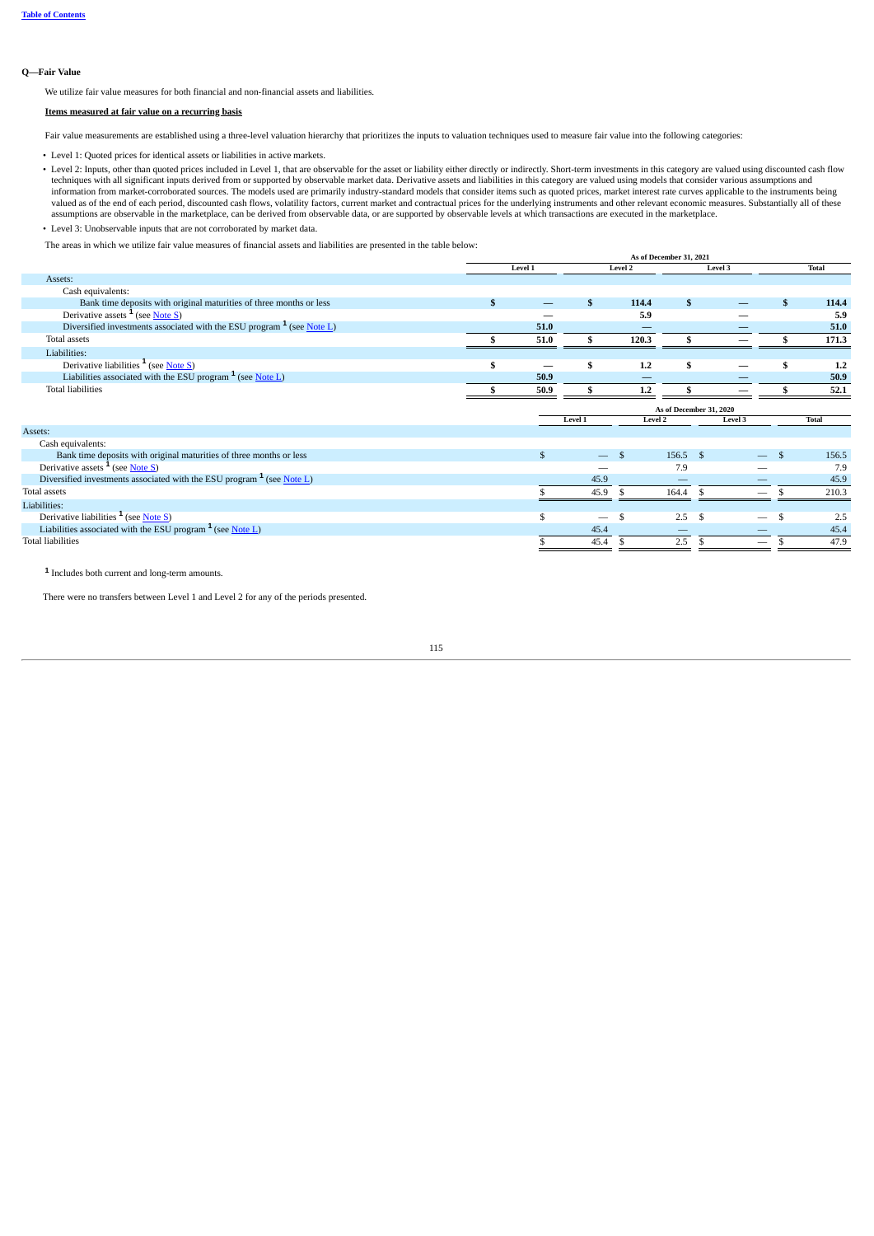# **Q—Fair Value**

We utilize fair value measures for both financial and non-financial assets and liabilities.

# **Items measured at fair value on a recurring basis**

Fair value measurements are established using a three-level valuation hierarchy that prioritizes the inputs to valuation techniques used to measure fair value into the following categories:

• Level 1: Quoted prices for identical assets or liabilities in active markets.

• Level 2: Inputs, other than quoted prices included in Level 1, that are observable for the asset or liability either directly or indirectly. Short-term investments in this category are valued using discounted cash flow techniques with all significant inputs derived from or supported by observable market data. Derivative assets and liabilities in this category are valued using models that consider various assumptions and information from market-corroborated sources. The models used are primarily industry-standard models that consider items such as quoted prices, market interest rate curves applicable to the instruments being<br>valued as of t assumptions are observable in the marketplace, can be derived from observable data, or are supported by observable levels at which transactions are executed in the marketplace.

• Level 3: Unobservable inputs that are not corroborated by market data.

The areas in which we utilize fair value measures of financial assets and liabilities are presented in the table below:

|                                                                                  | As of December 31, 2021 |              |                          |         |       |                         |   |          |              |
|----------------------------------------------------------------------------------|-------------------------|--------------|--------------------------|---------|-------|-------------------------|---|----------|--------------|
|                                                                                  |                         | Level 1      |                          | Level 2 |       | Level 3                 |   |          | <b>Total</b> |
| Assets:                                                                          |                         |              |                          |         |       |                         |   |          |              |
| Cash equivalents:                                                                |                         |              |                          |         |       |                         |   |          |              |
| Bank time deposits with original maturities of three months or less              | $\mathbf{s}$            |              | S.                       | 114.4   | \$    |                         |   |          | 114.4        |
| Derivative assets $1$ (see <u>Note S</u> )                                       |                         |              |                          | 5.9     |       |                         |   |          | 5.9          |
| Diversified investments associated with the ESU program $1$ (see <u>Note L</u> ) |                         | 51.0         |                          |         |       |                         |   |          | 51.0         |
| Total assets                                                                     |                         | 51.0         |                          | 120.3   |       |                         |   |          | 171.3        |
| Liabilities:                                                                     |                         |              |                          |         |       |                         |   |          |              |
| Derivative liabilities <sup>1</sup> (see Note S)                                 | \$                      |              | £.                       | 1.2     | \$    |                         |   |          | 1.2          |
| Liabilities associated with the ESU program $1$ (see <u>Note L</u> )             |                         | 50.9         |                          |         |       |                         |   |          | 50.9         |
| <b>Total liabilities</b>                                                         |                         | 50.9         |                          | 1.2     | э     |                         |   |          | 52.1         |
|                                                                                  |                         |              |                          |         |       | As of December 31, 2020 |   |          |              |
|                                                                                  |                         |              | Level 1                  | Level 2 |       | Level 3                 |   |          | <b>Total</b> |
| Assets:                                                                          |                         |              |                          |         |       |                         |   |          |              |
| Cash equivalents:                                                                |                         |              |                          |         |       |                         |   |          |              |
| Bank time deposits with original maturities of three months or less              |                         | $\mathbf{s}$ | $\qquad \qquad -$        | £.      | 156.5 | - \$                    |   | <b>S</b> | 156.5        |
| Derivative assets $\frac{1}{1}$ (see Note S)                                     |                         |              |                          |         | 7.9   |                         |   |          | 7.9          |
| Diversified investments associated with the ESU program $1$ (see <u>Note L</u> ) |                         |              | 45.9                     |         |       |                         |   |          | 45.9         |
| Total assets                                                                     |                         |              | 45.9                     |         | 164.4 | -3                      |   |          | 210.3        |
| Liabilities:                                                                     |                         |              |                          |         |       |                         |   |          |              |
| Derivative liabilities $\frac{1}{1}$ (see Note S)                                |                         | \$           | $\overline{\phantom{m}}$ | \$      | 2.5   | Ŝ.                      | - | S        | 2.5          |
| Liabilities associated with the ESU program $1$ (see <u>Note L</u> )             |                         |              | 45.4                     |         |       |                         |   |          | 45.4         |
|                                                                                  |                         |              |                          |         |       |                         |   |          |              |
| <b>Total liabilities</b>                                                         |                         |              | 45.4                     |         | 2.5   |                         | - |          | 47.9         |

Includes both current and long-term amounts. **1**

There were no transfers between Level 1 and Level 2 for any of the periods presented.

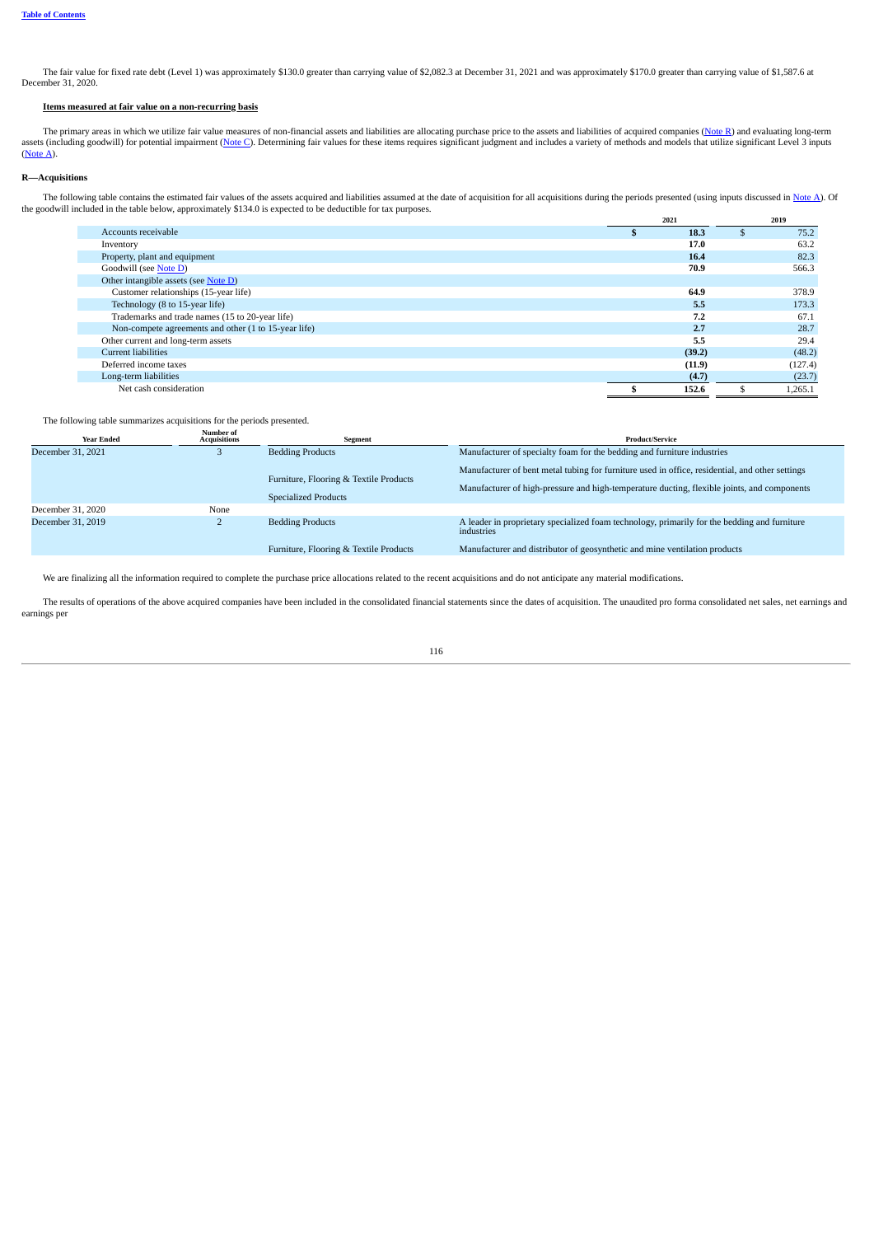The fair value for fixed rate debt (Level 1) was approximately \$130.0 greater than carrying value of \$2,082.3 at December 31, 2021 and was approximately \$170.0 greater than carrying value of \$1,587.6 at December 31, 2020.

# **Items measured at fair value on a non-recurring basis**

The primary areas in which we utilize fair value measures of non-financial assets and liabilities are allocating purchase price to the assets and liabilities of acquired companies (Note R) and evaluating long-term assets (including goodwill) for potential impairment (Note C). Determining fair values for these items requires significant judgment and includes a variety of methods and models that utilize significant Level 3 inputs (Note A).

### **R—Acquisitions**

The following table contains the estimated fair values of the assets acquired and liabilities assumed at the date of acquisition for all acquisitions during the periods presented (using inputs discussed in Note A). Of the goodwill included in the table below, approximately \$134.0 is expected to be deductible for tax purposes.

|                                                      | 2021   | 2019    |
|------------------------------------------------------|--------|---------|
| Accounts receivable                                  | 18.3   | 75.2    |
| Inventory                                            | 17.0   | 63.2    |
| Property, plant and equipment                        | 16.4   | 82.3    |
| Goodwill (see Note D)                                | 70.9   | 566.3   |
| Other intangible assets (see $Note D)$               |        |         |
| Customer relationships (15-year life)                | 64.9   | 378.9   |
| Technology (8 to 15-year life)                       | 5.5    | 173.3   |
| Trademarks and trade names (15 to 20-year life)      | 7.2    | 67.1    |
| Non-compete agreements and other (1 to 15-year life) | 2.7    | 28.7    |
| Other current and long-term assets                   | 5.5    | 29.4    |
| <b>Current liabilities</b>                           | (39.2) | (48.2)  |
| Deferred income taxes                                | (11.9) | (127.4) |
| Long-term liabilities                                | (4.7)  | (23.7)  |
| Net cash consideration                               | 152.6  | 1,265.1 |

# The following table summarizes acquisitions for the periods presented.

| <b>Year Ended</b> | Number of<br><b>Acquisitions</b> | Segment                                | <b>Product/Service</b>                                                                                     |  |  |  |  |  |  |  |
|-------------------|----------------------------------|----------------------------------------|------------------------------------------------------------------------------------------------------------|--|--|--|--|--|--|--|
| December 31, 2021 | <b>Bedding Products</b>          |                                        | Manufacturer of specialty foam for the bedding and furniture industries                                    |  |  |  |  |  |  |  |
|                   |                                  | Furniture, Flooring & Textile Products | Manufacturer of bent metal tubing for furniture used in office, residential, and other settings            |  |  |  |  |  |  |  |
|                   |                                  | <b>Specialized Products</b>            | Manufacturer of high-pressure and high-temperature ducting, flexible joints, and components                |  |  |  |  |  |  |  |
| December 31, 2020 | None                             |                                        |                                                                                                            |  |  |  |  |  |  |  |
| December 31, 2019 |                                  | <b>Bedding Products</b>                | A leader in proprietary specialized foam technology, primarily for the bedding and furniture<br>industries |  |  |  |  |  |  |  |
|                   |                                  | Furniture, Flooring & Textile Products | Manufacturer and distributor of geosynthetic and mine ventilation products                                 |  |  |  |  |  |  |  |

We are finalizing all the information required to complete the purchase price allocations related to the recent acquisitions and do not anticipate any material modifications.

The results of operations of the above acquired companies have been included in the consolidated financial statements since the dates of acquisition. The unaudited pro forma consolidated net sales, net earnings and earnings per

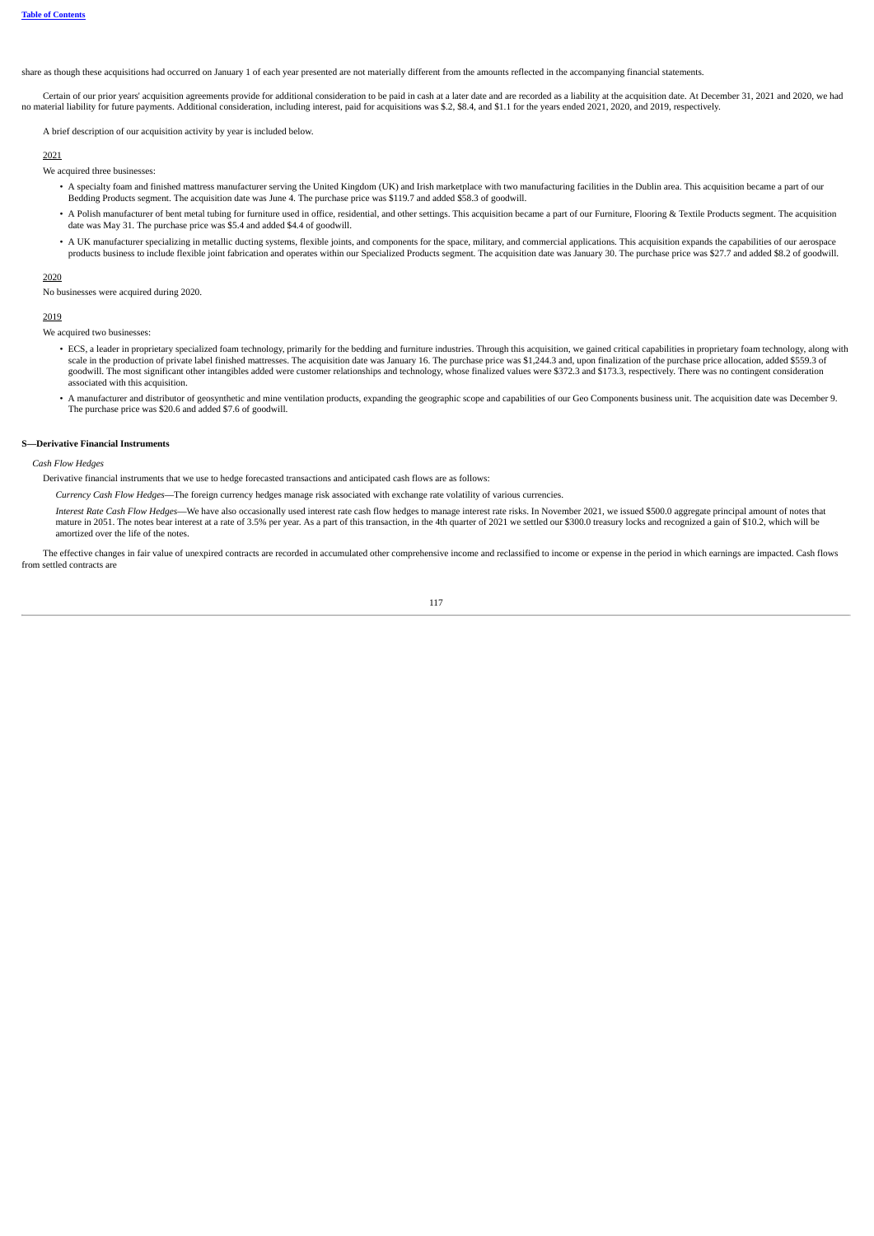share as though these acquisitions had occurred on January 1 of each year presented are not materially different from the amounts reflected in the accompanying financial statements.

Certain of our prior years' acquisition agreements provide for additional consideration to be paid in cash at a later date and are recorded as a liability at the acquisition date. At December 31, 2021 and 2020, we had no material liability for future payments. Additional consideration, including interest, paid for acquisitions was \$.2, \$8.4, and \$1.1 for the years ended 2021, 2020, and 2019, respectively.

A brief description of our acquisition activity by year is included below.

#### 2021

We acquired three businesses:

- A specialty foam and finished mattress manufacturer serving the United Kingdom (UK) and Irish marketplace with two manufacturing facilities in the Dublin area. This acquisition became a part of our Bedding Products segment. The acquisition date was June 4. The purchase price was \$119.7 and added \$58.3 of goodwill.
- A Polish manufacturer of bent metal tubing for furniture used in office, residential, and other settings. This acquisition became a part of our Furniture, Flooring & Textile Products segment. The acquisition date was May 31. The purchase price was \$5.4 and added \$4.4 of goodwill.
- A UK manufacturer specializing in metallic ducting systems, flexible joints, and components for the space, military, and commercial applications. This acquisition expands the capabilities of our aerospace products business to include flexible joint fabrication and operates within our Specialized Products segment. The acquisition date was January 30. The purchase price was \$27.7 and added \$8.2 of goodwill.

#### 2020

No businesses were acquired during 2020.

### 2019

We acquired two businesses:

- ECS, a leader in proprietary specialized foam technology, primarily for the bedding and furniture industries. Through this acquisition, we gained critical capabilities in proprietary foam technology, along with scale in th associated with this acquisition.
- A manufacturer and distributor of geosynthetic and mine ventilation products, expanding the geographic scope and capabilities of our Geo Components business unit. The acquisition date was December 9. The purchase price was \$20.6 and added \$7.6 of goodwill.

#### **S—Derivative Financial Instruments**

*Cash Flow Hedges*

Derivative financial instruments that we use to hedge forecasted transactions and anticipated cash flows are as follows:

*Currency Cash Flow Hedges*—The foreign currency hedges manage risk associated with exchange rate volatility of various currencies.

Interest Rate Cash Flow Hedges—We have also occasionally used interest rate cash flow hedges to manage interest rate risks. In November 2021, we issued \$500.0 aggregate principal amount of notes that mature in 2051. The notes bear interest at a rate of 3.5% per year. As a part of this transaction, in the 4th quarter of 2021 we settled our \$300.0 treasury locks and recognized a gain of \$10.2, which will be amortized over the life of the notes.

The effective changes in fair value of unexpired contracts are recorded in accumulated other comprehensive income and reclassified to income or expense in the period in which earnings are impacted. Cash flows from settled contracts are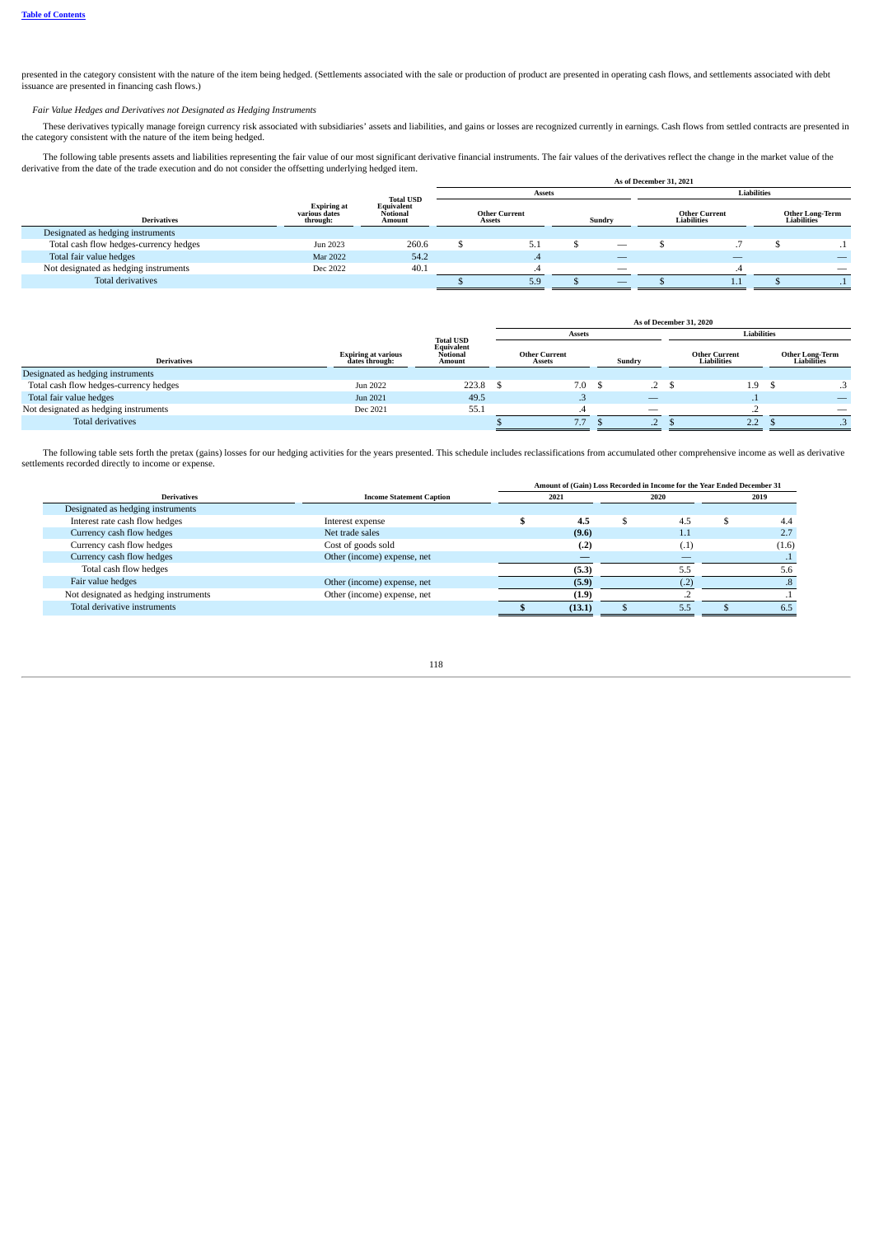presented in the category consistent with the nature of the item being hedged. (Settlements associated with the sale or production of product are presented in operating cash flows, and settlements associated with debt issuance are presented in financing cash flows.)

### *Fair Value Hedges and Derivatives not Designated as Hedging Instruments*

These derivatives typically manage foreign currency risk associated with subsidiaries' assets and liabilities, and gains or losses are recognized currently in earnings. Cash flows from settled contracts are presented in the category consistent with the nature of the item being hedged.

The following table presents assets and liabilities representing the fair value of our most significant derivative financial instruments. The fair values of the derivatives reflect the change in the market value of the der **As of December 31, 2021**

|                                        |                                                 |                                  | AS 01 DECEMBER 31, 2021        |     |  |                          |  |             |  |  |  |  |  |  |  |  |  |  |  |  |  |  |  |        |             |                      |  |                                       |
|----------------------------------------|-------------------------------------------------|----------------------------------|--------------------------------|-----|--|--------------------------|--|-------------|--|--|--|--|--|--|--|--|--|--|--|--|--|--|--|--------|-------------|----------------------|--|---------------------------------------|
|                                        |                                                 | <b>Total USD</b>                 | Assets                         |     |  |                          |  | Liabilities |  |  |  |  |  |  |  |  |  |  |  |  |  |  |  |        |             |                      |  |                                       |
| <b>Derivatives</b>                     | <b>Expiring at</b><br>various dates<br>through: | Equivalent<br>Notional<br>Amount | <b>Other Current</b><br>Assets |     |  |                          |  |             |  |  |  |  |  |  |  |  |  |  |  |  |  |  |  | Sundry | Liabilities | <b>Other Current</b> |  | Other Long-Term<br><b>Liabilities</b> |
| Designated as hedging instruments      |                                                 |                                  |                                |     |  |                          |  |             |  |  |  |  |  |  |  |  |  |  |  |  |  |  |  |        |             |                      |  |                                       |
| Total cash flow hedges-currency hedges | Jun 2023                                        | 260.6                            |                                | 5.1 |  | –                        |  |             |  |  |  |  |  |  |  |  |  |  |  |  |  |  |  |        |             |                      |  |                                       |
| Total fair value hedges                | Mar 2022                                        | 54.2                             |                                | .4  |  |                          |  | _           |  |  |  |  |  |  |  |  |  |  |  |  |  |  |  |        |             |                      |  |                                       |
| Not designated as hedging instruments  | Dec 2022                                        | 40.1                             |                                |     |  | $\overline{\phantom{a}}$ |  |             |  |  |  |  |  |  |  |  |  |  |  |  |  |  |  |        |             |                      |  |                                       |
| Total derivatives                      |                                                 |                                  |                                | 5.9 |  |                          |  | $\pm$ .1    |  |  |  |  |  |  |  |  |  |  |  |  |  |  |  |        |             |                      |  |                                       |

|                                        |                                              |                                  |                                | As of December 31, 2020 |        |                          |                                     |                    |                                       |                          |  |
|----------------------------------------|----------------------------------------------|----------------------------------|--------------------------------|-------------------------|--------|--------------------------|-------------------------------------|--------------------|---------------------------------------|--------------------------|--|
|                                        |                                              | <b>Total USD</b>                 |                                | Assets                  |        |                          |                                     | <b>Liabilities</b> |                                       |                          |  |
| <b>Derivatives</b>                     | <b>Expiring at various</b><br>dates through: | Equivalent<br>Notional<br>Amount | <b>Other Current</b><br>Assets |                         | Sundry |                          | <b>Other Current</b><br>Liabilities |                    | <b>Other Long-Term</b><br>Liabilities |                          |  |
| Designated as hedging instruments      |                                              |                                  |                                |                         |        |                          |                                     |                    |                                       |                          |  |
| Total cash flow hedges-currency hedges | Jun 2022                                     | $223.8$ \$                       |                                | 7.0 <sup>5</sup>        |        |                          |                                     | 1.9                |                                       |                          |  |
| Total fair value hedges                | Jun 2021                                     | 49.5                             |                                | 5.                      |        | $\overline{\phantom{m}}$ |                                     | $\cdot$            |                                       |                          |  |
| Not designated as hedging instruments  | Dec 2021                                     | 55.1                             |                                |                         |        | $\overline{\phantom{a}}$ |                                     |                    |                                       | $\overline{\phantom{a}}$ |  |
| <b>Total derivatives</b>               |                                              |                                  |                                | 7.7                     |        |                          |                                     | 2.2                |                                       |                          |  |

The following table sets forth the pretax (gains) losses for our hedging activities for the years presented. This schedule includes reclassifications from accumulated other comprehensive income as well as derivative settlements recorded directly to income or expense.

|                                       |                                 |  | Amount of (Gain) Loss Recorded in Income for the Year Ended December 31 |      |         |  |       |
|---------------------------------------|---------------------------------|--|-------------------------------------------------------------------------|------|---------|--|-------|
| <b>Derivatives</b>                    | <b>Income Statement Caption</b> |  | 2021                                                                    | 2020 |         |  | 2019  |
| Designated as hedging instruments     |                                 |  |                                                                         |      |         |  |       |
| Interest rate cash flow hedges        | Interest expense                |  | 4.5                                                                     |      | 4.5     |  | 4.4   |
| Currency cash flow hedges             | Net trade sales                 |  | (9.6)                                                                   |      | $1.1\,$ |  | 2.7   |
| Currency cash flow hedges             | Cost of goods sold              |  | (.2)                                                                    |      | (.1)    |  | (1.6) |
| Currency cash flow hedges             | Other (income) expense, net     |  |                                                                         |      |         |  |       |
| Total cash flow hedges                |                                 |  | (5.3)                                                                   |      | 5.5     |  | 5.6   |
| Fair value hedges                     | Other (income) expense, net     |  | (5.9)                                                                   |      | (.2)    |  |       |
| Not designated as hedging instruments | Other (income) expense, net     |  | (1.9)                                                                   |      |         |  |       |
| Total derivative instruments          |                                 |  | (13.1)                                                                  |      | 5.5     |  | 6.5   |
|                                       |                                 |  |                                                                         |      |         |  |       |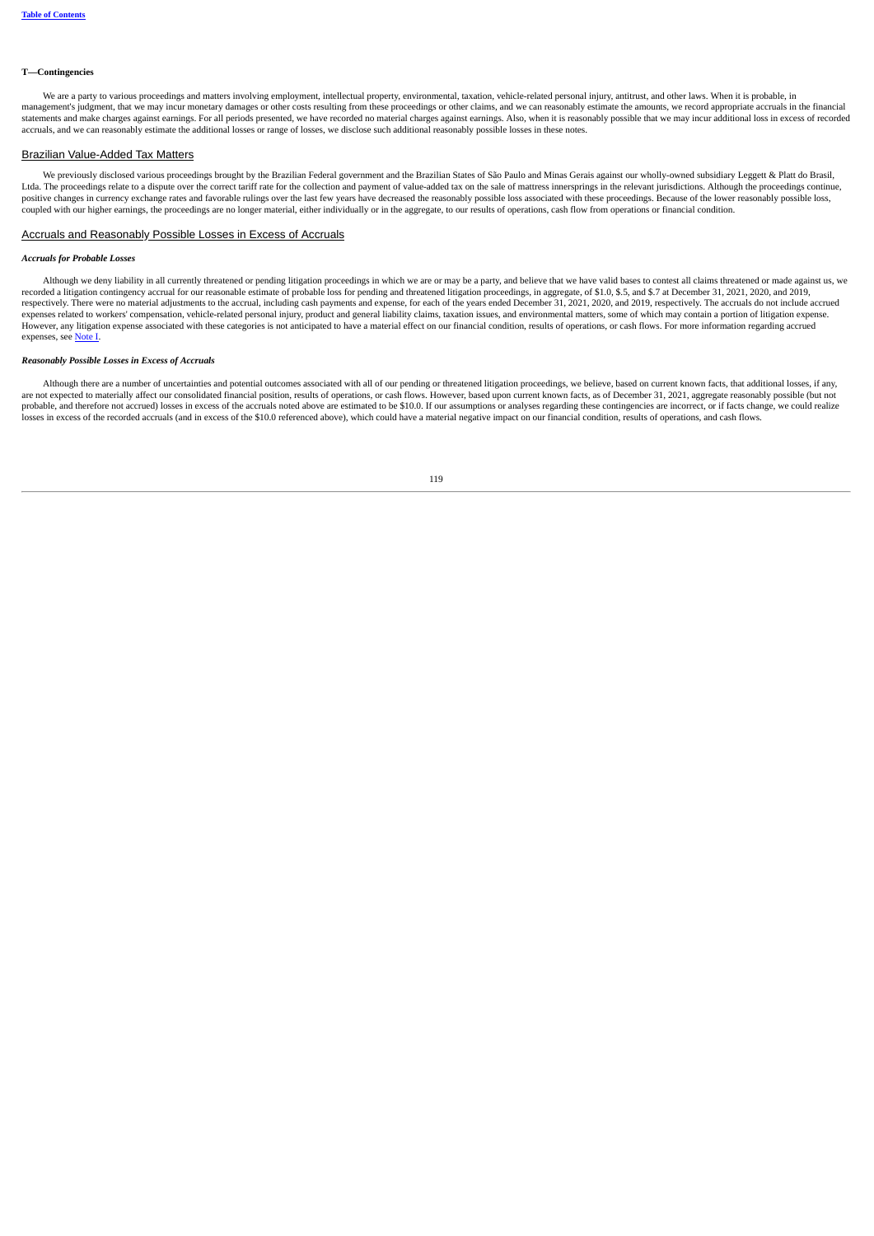#### **T—Contingencies**

We are a party to various proceedings and matters involving employment, intellectual property, environmental, taxation, vehicle-related personal injury, antitrust, and other laws. When it is probable, in management's judgment, that we may incur monetary damages or other costs resulting from these proceedings or other claims, and we can reasonably estimate the amounts, we record appropriate accruals in the financial managem statements and make charges against earnings. For all periods presented, we have recorded no material charges against earnings. Also, when it is reasonably possible that we may incur additional loss in excess of recorded accruals, and we can reasonably estimate the additional losses or range of losses, we disclose such additional reasonably possible losses in these notes.

# Brazilian Value-Added Tax Matters

We previously disclosed various proceedings brought by the Brazilian Federal government and the Brazilian States of São Paulo and Minas Gerais against our wholly-owned subsidiary Leggett & Platt do Brasil Ltda. The proceedings relate to a dispute over the correct tariff rate for the collection and payment of value-added tax on the sale of mattress innersprings in the relevant jurisdictions. Although the proceedings continue, positive changes in currency exchange rates and favorable rulings over the last few years have decreased the reasonably possible loss associated with these proceedings. Because of the lower reasonably possible loss, coupled with our higher earnings, the proceedings are no longer material, either individually or in the aggregate, to our results of operations, cash flow from operations or financial condition.

### Accruals and Reasonably Possible Losses in Excess of Accruals

#### *Accruals for Probable Losses*

Although we deny liability in all currently threatened or pending litigation proceedings in which we are or may be a party, and believe that we have valid bases to contest all claims threatened or made against us, we recorded a litigation contingency accrual for our reasonable estimate of probable loss for pending and threatened litigation proceedings, in aggregate, of \$1.0, \$.5, and \$.7 at December 31, 2021, 2020, and 2019, respective expenses related to workers' compensation, vehicle-related personal injury, product and general liability claims, taxation issues, and environmental matters, some of which may contain a portion of litigation expense.<br>Howev expenses, see Note I.

#### *Reasonably Possible Losses in Excess of Accruals*

Although there are a number of uncertainties and potential outcomes associated with all of our pending or threatened litigation proceedings, we believe, based on current known facts, that additional losses, if any, are not expected to materially affect our consolidated financial position, results of operations, or cash flows. However, based upon current known facts, as of December 31, 2021, aggregate reasonably possible (but not probable, and therefore not accrued) losses in excess of the accruals noted above are estimated to be \$10.0. If our assumptions or analyses regarding these contingencies are incorrect, or if facts change, we could realize losses in excess of the recorded accruals (and in excess of the \$10.0 referenced above), which could have a material negative impact on our financial condition, results of operations, and cash flows.